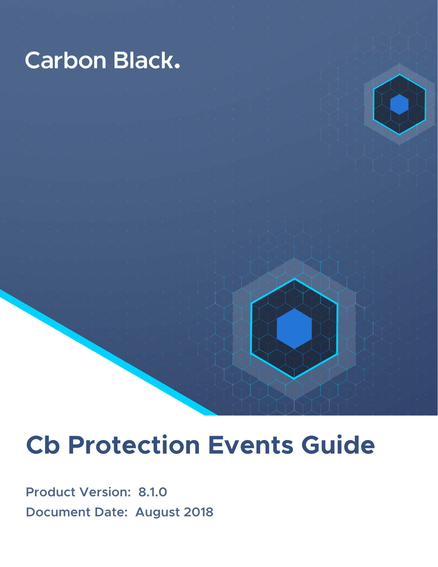

# **Cb Protection Events Guide**

**Product Version: 8.1.0 Document Date: August 2018**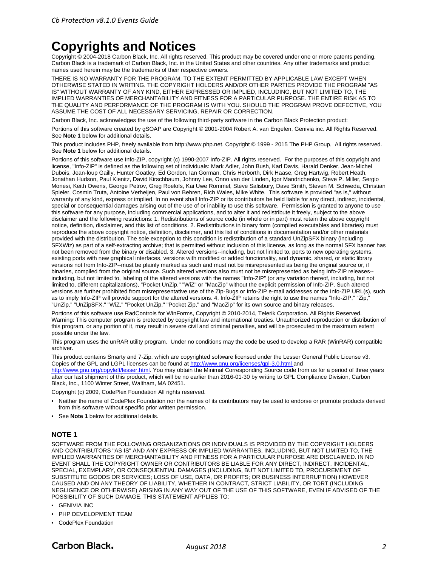### **Copyrights and Notices**

Copyright © 2004-2018 Carbon Black, Inc. All rights reserved. This product may be covered under one or more patents pending. Carbon Black is a trademark of Carbon Black, Inc. in the United States and other countries. Any other trademarks and product names used herein may be the trademarks of their respective owners.

THERE IS NO WARRANTY FOR THE PROGRAM, TO THE EXTENT PERMITTED BY APPLICABLE LAW EXCEPT WHEN OTHERWISE STATED IN WRITING. THE COPYRIGHT HOLDERS AND/OR OTHER PARTIES PROVIDE THE PROGRAM "AS IS" WITHOUT WARRANTY OF ANY KIND, EITHER EXPRESSED OR IMPLIED, INCLUDING, BUT NOT LIMITED TO, THE IMPLIED WARRANTIES OF MERCHANTABILITY AND FITNESS FOR A PARTICULAR PURPOSE. THE ENTIRE RISK AS TO THE QUALITY AND PERFORMANCE OF THE PROGRAM IS WITH YOU. SHOULD THE PROGRAM PROVE DEFECTIVE, YOU ASSUME THE COST OF ALL NECESSARY SERVICING, REPAIR OR CORRECTION.

Carbon Black, Inc. acknowledges the use of the following third-party software in the Carbon Black Protection product:

Portions of this software created by gSOAP are Copyright © 2001-2004 Robert A. van Engelen, Genivia inc. All Rights Reserved. See **Note 1** below for additional details.

This product includes PHP, freely available from http://www.php.net. Copyright © 1999 - 2015 The PHP Group, All rights reserved. See **Note 1** below for additional details.

Portions of this software use Info-ZIP, copyright (c) 1990-2007 Info-ZIP. All rights reserved. For the purposes of this copyright and license, "Info-ZIP" is defined as the following set of individuals: Mark Adler, John Bush, Karl Davis, Harald Denker, Jean-Michel Dubois, Jean-loup Gailly, Hunter Goatley, Ed Gordon, Ian Gorman, Chris Herborth, Dirk Haase, Greg Hartwig, Robert Heath, Jonathan Hudson, Paul Kienitz, David Kirschbaum, Johnny Lee, Onno van der Linden, Igor Mandrichenko, Steve P. Miller, Sergio Monesi, Keith Owens, George Petrov, Greg Roelofs, Kai Uwe Rommel, Steve Salisbury, Dave Smith, Steven M. Schweda, Christian Spieler, Cosmin Truta, Antoine Verheijen, Paul von Behren, Rich Wales, Mike White. This software is provided "as is," without warranty of any kind, express or implied. In no event shall Info-ZIP or its contributors be held liable for any direct, indirect, incidental, special or consequential damages arising out of the use of or inability to use this software. Permission is granted to anyone to use this software for any purpose, including commercial applications, and to alter it and redistribute it freely, subject to the above disclaimer and the following restrictions: 1. Redistributions of source code (in whole or in part) must retain the above copyright notice, definition, disclaimer, and this list of conditions. 2. Redistributions in binary form (compiled executables and libraries) must reproduce the above copyright notice, definition, disclaimer, and this list of conditions in documentation and/or other materials provided with the distribution. The sole exception to this condition is redistribution of a standard UnZipSFX binary (including SFXWiz) as part of a self-extracting archive; that is permitted without inclusion of this license, as long as the normal SFX banner has not been removed from the binary or disabled. 3. Altered versions--including, but not limited to, ports to new operating systems, existing ports with new graphical interfaces, versions with modified or added functionality, and dynamic, shared, or static library versions not from Info-ZIP--must be plainly marked as such and must not be misrepresented as being the original source or, if binaries, compiled from the original source. Such altered versions also must not be misrepresented as being Info-ZIP releases- including, but not limited to, labeling of the altered versions with the names "Info-ZIP" (or any variation thereof, including, but not limited to, different capitalizations), "Pocket UnZip," "WiZ" or "MacZip" without the explicit permission of Info-ZIP. Such altered versions are further prohibited from misrepresentative use of the Zip-Bugs or Info-ZIP e-mail addresses or the Info-ZIP URL(s), such as to imply Info-ZIP will provide support for the altered versions. 4. Info-ZIP retains the right to use the names "Info-ZIP," "Zip," "UnZip," "UnZipSFX," "WiZ," "Pocket UnZip," "Pocket Zip," and "MacZip" for its own source and binary releases.

Portions of this software use RadControls for WinForms, Copyright © 2010-2014, Telerik Corporation. All Rights Reserved. Warning: This computer program is protected by copyright law and international treaties. Unauthorized reproduction or distribution of this program, or any portion of it, may result in severe civil and criminal penalties, and will be prosecuted to the maximum extent possible under the law.

This program uses the unRAR utility program. Under no conditions may the code be used to develop a RAR (WinRAR) compatible archiver.

This product contains Smarty and 7-Zip, which are copyrighted software licensed under the Lesser General Public License v3. Copies of the GPL and LGPL licenses can be found a[t http://www.gnu.org/licenses/gpl-3.0.html a](http://www.gnu.org/licenses/gpl-3.0.html)nd

[http://www.gnu.org/c](http://www.gnu.org/copyleft/lesser.html)opyleft/lesser.html. You may obtain the Minimal Corresponding Source code from us for a period of three years after our last shipment of this product, which will be no earlier than 2016-01-30 by writing to GPL Compliance Division, Carbon Black, Inc., 1100 Winter Street, Waltham, MA 02451.

Copyright (c) 2009, CodePlex Foundation All rights reserved.

- Neither the name of CodePlex Foundation nor the names of its contributors may be used to endorse or promote products derived from this software without specific prior written permission.
- See **Note 1** below for additional details.

#### **NOTE 1**

SOFTWARE FROM THE FOLLOWING ORGANIZATIONS OR INDIVIDUALS IS PROVIDED BY THE COPYRIGHT HOLDERS AND CONTRIBUTORS "AS IS" AND ANY EXPRESS OR IMPLIED WARRANTIES, INCLUDING, BUT NOT LIMITED TO, THE IMPLIED WARRANTIES OF MERCHANTABILITY AND FITNESS FOR A PARTICULAR PURPOSE ARE DISCLAIMED. IN NO EVENT SHALL THE COPYRIGHT OWNER OR CONTRIBUTORS BE LIABLE FOR ANY DIRECT, INDIRECT, INCIDENTAL, SPECIAL, EXEMPLARY, OR CONSEQUENTIAL DAMAGES (INCLUDING, BUT NOT LIMITED TO, PROCUREMENT OF SUBSTITUTE GOODS OR SERVICES; LOSS OF USE, DATA, OR PROFITS; OR BUSINESS INTERRUPTION) HOWEVER CAUSED AND ON ANY THEORY OF LIABILITY, WHETHER IN CONTRACT, STRICT LIABILITY, OR TORT (INCLUDING NEGLIGENCE OR OTHERWISE) ARISING IN ANY WAY OUT OF THE USE OF THIS SOFTWARE, EVEN IF ADVISED OF THE POSSIBILITY OF SUCH DAMAGE. THIS STATEMENT APPLIES TO:

- GENIVIA INC
- PHP DEVELOPMENT TEAM
- CodePlex Foundation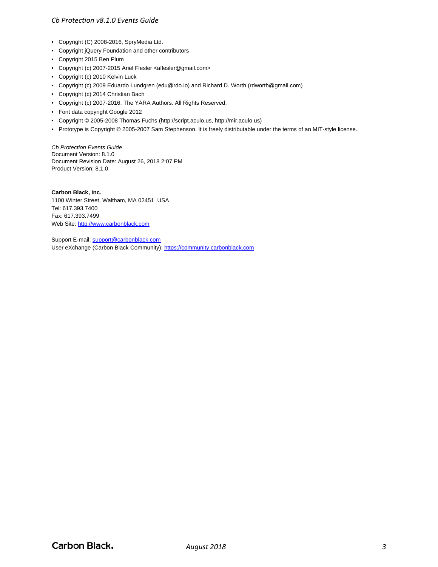#### *Cb Protection v8.1.0 Events Guide*

- Copyright (C) 2008-2016, SpryMedia Ltd.
- Copyright jQuery Foundation and other contributors
- Copyright 2015 Ben Plum
- Copyright (c) 2007-2015 Ariel Flesler <aflesler@gmail.com>
- Copyright (c) 2010 Kelvin Luck
- Copyright (c) 2009 Eduardo Lundgren (edu@rdo.io) and Richard D. Worth (rdworth@gmail.com)
- Copyright (c) 2014 Christian Bach
- Copyright (c) 2007-2016. The YARA Authors. All Rights Reserved.
- Font data copyright Google 2012
- Copyright © 2005-2008 Thomas Fuchs (http://script.aculo.us, http://mir.aculo.us)
- Prototype is Copyright © 2005-2007 Sam Stephenson. It is freely distributable under the terms of an MIT-style license.

*Cb Protection Events Guide* Document Version: 8.1.0 Document Revision Date: August 26, 2018 2:07 PM Product Version: 8.1.0

**Carbon Black, Inc.** 1100 Winter Street, Waltham, MA 02451 USA Tel: 617.393.7400 Fax: 617.393.7499 Web Site: [http://www.carbonblack.com](http://www.carbonblack.com/)

Support E-mail[: support@carbonblack.com](mailto:support@carbonblack.com) User eXchange (Carbon Black Community): https://communit[y.carbonblack.com](https://community.carbonblack.com/)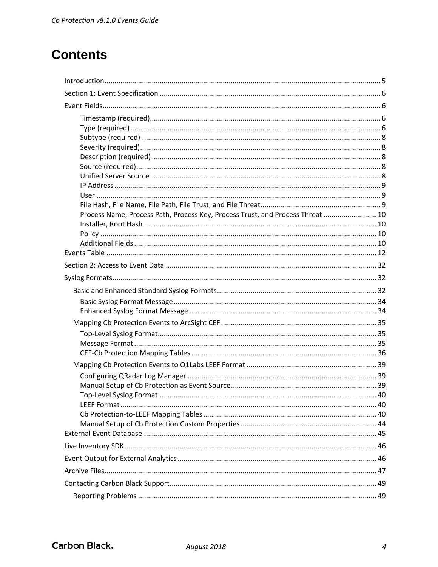# **Contents**

| Process Name, Process Path, Process Key, Process Trust, and Process Threat  10 |
|--------------------------------------------------------------------------------|
|                                                                                |
|                                                                                |
|                                                                                |
|                                                                                |
|                                                                                |
|                                                                                |
|                                                                                |
|                                                                                |
|                                                                                |
|                                                                                |
|                                                                                |
|                                                                                |
|                                                                                |
|                                                                                |
|                                                                                |
|                                                                                |
|                                                                                |
|                                                                                |
|                                                                                |
|                                                                                |
|                                                                                |
|                                                                                |
|                                                                                |
|                                                                                |
|                                                                                |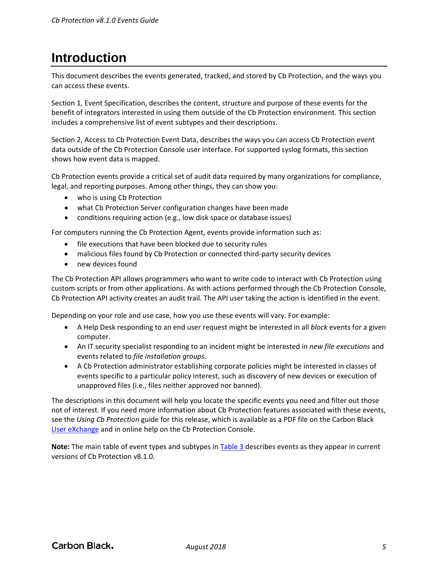# <span id="page-4-0"></span>**Introduction**

This document describes the events generated, tracked, and stored by Cb Protection, and the ways you can access these events.

Section 1, Event Specification, describes the content, structure and purpose of these events for the benefit of integrators interested in using them outside of the Cb Protection environment. This section includes a comprehensive list of event subtypes and their descriptions.

Section 2, Access to Cb Protection Event Data, describes the ways you can access Cb Protection event data outside of the Cb Protection Console user interface. For supported syslog formats, this section shows how event data is mapped.

Cb Protection events provide a critical set of audit data required by many organizations for compliance, legal, and reporting purposes. Among other things, they can show you:

- who is using Cb Protection
- what Cb Protection Server configuration changes have been made
- conditions requiring action (e.g., low disk space or database issues)

For computers running the Cb Protection Agent, events provide information such as:

- file executions that have been blocked due to security rules
- malicious files found by Cb Protection or connected third-party security devices
- new devices found

The Cb Protection API allows programmers who want to write code to interact with Cb Protection using custom scripts or from other applications. As with actions performed through the Cb Protection Console, Cb Protection API activity creates an audit trail. The API user taking the action is identified in the event.

Depending on your role and use case, how you use these events will vary. For example:

- A Help Desk responding to an end user request might be interested in all *block* events for a given computer.
- An IT security specialist responding to an incident might be interested in *new file executions* and events related to *file installation groups.*
- A Cb Protection administrator establishing corporate policies might be interested in classes of events specific to a particular policy interest, such as discovery of new devices or execution of unapproved files (i.e., files neither approved nor banned).

The descriptions in this document will help you locate the specific events you need and filter out those not of interest. If you need more information about Cb Protection features associated with these events, see the *Using Cb Protection* guide for this release, which is available as a PDF file on the Carbon Black [User eXchange](https://community.carbonblack.com/) and in online help on the Cb Protection Console.

**Note:** The main table of event types and subtypes in [Table](#page-12-0) 3 describes events as they appear in current versions of Cb Protection v8.1.0.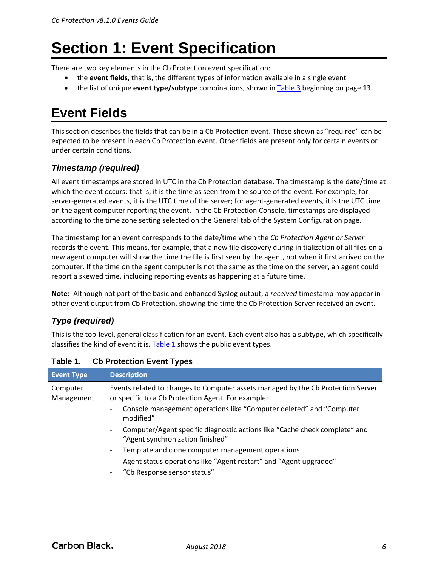# <span id="page-5-0"></span>**Section 1: Event Specification**

There are two key elements in the Cb Protection event specification:

- the **event fields**, that is, the different types of information available in a single event
- the list of unique **event type/subtype** combinations, shown i[n Table 3](#page-12-0) beginning on page [13.](#page-12-0)

# <span id="page-5-1"></span>**Event Fields**

This section describes the fields that can be in a Cb Protection event. Those shown as "required" can be expected to be present in each Cb Protection event. Other fields are present only for certain events or under certain conditions.

#### <span id="page-5-2"></span>*Timestamp (required)*

All event timestamps are stored in UTC in the Cb Protection database. The timestamp is the date/time at which the event occurs; that is, it is the time as seen from the source of the event. For example, for server-generated events, it is the UTC time of the server; for agent-generated events, it is the UTC time on the agent computer reporting the event. In the Cb Protection Console, timestamps are displayed according to the time zone setting selected on the General tab of the System Configuration page.

The timestamp for an event corresponds to the date/time when the *Cb Protection Agent or Server* records the event. This means, for example, that a new file discovery during initialization of all files on a new agent computer will show the time the file is first seen by the agent, not when it first arrived on the computer. If the time on the agent computer is not the same as the time on the server, an agent could report a skewed time, including reporting events as happening at a future time.

**Note:** Although not part of the basic and enhanced Syslog output, a *received* timestamp may appear in other event output from Cb Protection, showing the time the Cb Protection Server received an event.

#### <span id="page-5-3"></span>*Type (required)*

This is the top-level, general classification for an event. Each event also has a subtype, which specifically classifies the kind of event it is.  $Table 1$  shows the public event types.

| <b>Event Type</b>      | <b>Description</b>                                                                                                                             |
|------------------------|------------------------------------------------------------------------------------------------------------------------------------------------|
| Computer<br>Management | Events related to changes to Computer assets managed by the Cb Protection Server<br>or specific to a Cb Protection Agent. For example:         |
|                        | Console management operations like "Computer deleted" and "Computer<br>modified"                                                               |
|                        | Computer/Agent specific diagnostic actions like "Cache check complete" and<br>$\qquad \qquad \blacksquare$<br>"Agent synchronization finished" |
|                        | Template and clone computer management operations<br>$\qquad \qquad \blacksquare$                                                              |
|                        | Agent status operations like "Agent restart" and "Agent upgraded"                                                                              |
|                        | "Cb Response sensor status"                                                                                                                    |

<span id="page-5-4"></span>**Table 1. Cb Protection Event Types**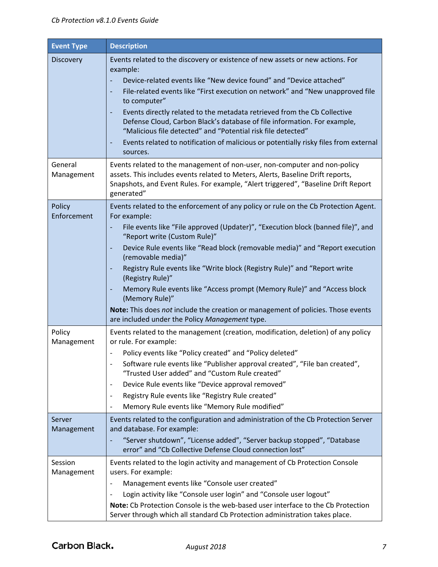| <b>Event Type</b>     | <b>Description</b>                                                                                                                                                                                                                                                                                                                                                                                                                                                                                                                                                                                                                                                                                                 |
|-----------------------|--------------------------------------------------------------------------------------------------------------------------------------------------------------------------------------------------------------------------------------------------------------------------------------------------------------------------------------------------------------------------------------------------------------------------------------------------------------------------------------------------------------------------------------------------------------------------------------------------------------------------------------------------------------------------------------------------------------------|
| Discovery             | Events related to the discovery or existence of new assets or new actions. For<br>example:<br>Device-related events like "New device found" and "Device attached"<br>$\overline{\phantom{a}}$<br>File-related events like "First execution on network" and "New unapproved file<br>$\overline{\phantom{a}}$<br>to computer"<br>Events directly related to the metadata retrieved from the Cb Collective<br>÷,<br>Defense Cloud, Carbon Black's database of file information. For example,<br>"Malicious file detected" and "Potential risk file detected"<br>Events related to notification of malicious or potentially risky files from external<br>$\overline{\phantom{0}}$<br>sources.                          |
| General<br>Management | Events related to the management of non-user, non-computer and non-policy<br>assets. This includes events related to Meters, Alerts, Baseline Drift reports,<br>Snapshots, and Event Rules. For example, "Alert triggered", "Baseline Drift Report<br>generated"                                                                                                                                                                                                                                                                                                                                                                                                                                                   |
| Policy<br>Enforcement | Events related to the enforcement of any policy or rule on the Cb Protection Agent.<br>For example:<br>File events like "File approved (Updater)", "Execution block (banned file)", and<br>"Report write (Custom Rule)"<br>Device Rule events like "Read block (removable media)" and "Report execution<br>(removable media)"<br>Registry Rule events like "Write block (Registry Rule)" and "Report write<br>$\frac{1}{2}$<br>(Registry Rule)"<br>Memory Rule events like "Access prompt (Memory Rule)" and "Access block<br>$\qquad \qquad \blacksquare$<br>(Memory Rule)"<br>Note: This does not include the creation or management of policies. Those events<br>are included under the Policy Management type. |
| Policy<br>Management  | Events related to the management (creation, modification, deletion) of any policy<br>or rule. For example:<br>Policy events like "Policy created" and "Policy deleted"<br>Software rule events like "Publisher approval created", "File ban created",<br>"Trusted User added" and "Custom Rule created"<br>Device Rule events like "Device approval removed"<br>$\qquad \qquad \blacksquare$<br>Registry Rule events like "Registry Rule created"<br>$\overline{\phantom{a}}$<br>Memory Rule events like "Memory Rule modified"                                                                                                                                                                                    |
| Server<br>Management  | Events related to the configuration and administration of the Cb Protection Server<br>and database. For example:<br>"Server shutdown", "License added", "Server backup stopped", "Database<br>error" and "Cb Collective Defense Cloud connection lost"                                                                                                                                                                                                                                                                                                                                                                                                                                                             |
| Session<br>Management | Events related to the login activity and management of Cb Protection Console<br>users. For example:<br>Management events like "Console user created"<br>$\qquad \qquad \blacksquare$<br>Login activity like "Console user login" and "Console user logout"<br>$\overline{\phantom{0}}$<br>Note: Cb Protection Console is the web-based user interface to the Cb Protection<br>Server through which all standard Cb Protection administration takes place.                                                                                                                                                                                                                                                          |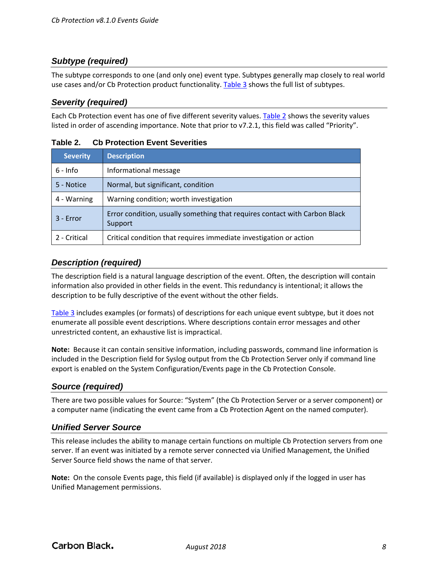#### <span id="page-7-0"></span>*Subtype (required)*

The subtype corresponds to one (and only one) event type. Subtypes generally map closely to real world use cases and/or Cb Protection product functionality[. Table 3](#page-12-0) shows the full list of subtypes.

#### <span id="page-7-1"></span>*Severity (required)*

Each Cb Protection event has one of five different severity values. [Table 2](#page-7-5) shows the severity values listed in order of ascending importance. Note that prior to v7.2.1, this field was called "Priority".

| <b>Severity</b> | <b>Description</b>                                                                    |
|-----------------|---------------------------------------------------------------------------------------|
| $6 - lnfo$      | Informational message                                                                 |
| 5 - Notice      | Normal, but significant, condition                                                    |
| 4 - Warning     | Warning condition; worth investigation                                                |
| $3 - Error$     | Error condition, usually something that requires contact with Carbon Black<br>Support |
| 2 - Critical    | Critical condition that requires immediate investigation or action                    |

#### <span id="page-7-5"></span>**Table 2. Cb Protection Event Severities**

#### <span id="page-7-2"></span>*Description (required)*

The description field is a natural language description of the event. Often, the description will contain information also provided in other fields in the event. This redundancy is intentional; it allows the description to be fully descriptive of the event without the other fields.

[Table 3](#page-12-0) includes examples (or formats) of descriptions for each unique event subtype, but it does not enumerate all possible event descriptions. Where descriptions contain error messages and other unrestricted content, an exhaustive list is impractical.

**Note:** Because it can contain sensitive information, including passwords, command line information is included in the Description field for Syslog output from the Cb Protection Server only if command line export is enabled on the System Configuration/Events page in the Cb Protection Console.

#### <span id="page-7-3"></span>*Source (required)*

There are two possible values for Source: "System" (the Cb Protection Server or a server component) or a computer name (indicating the event came from a Cb Protection Agent on the named computer).

#### <span id="page-7-4"></span>*Unified Server Source*

This release includes the ability to manage certain functions on multiple Cb Protection servers from one server. If an event was initiated by a remote server connected via Unified Management, the Unified Server Source field shows the name of that server.

**Note:** On the console Events page, this field (if available) is displayed only if the logged in user has Unified Management permissions.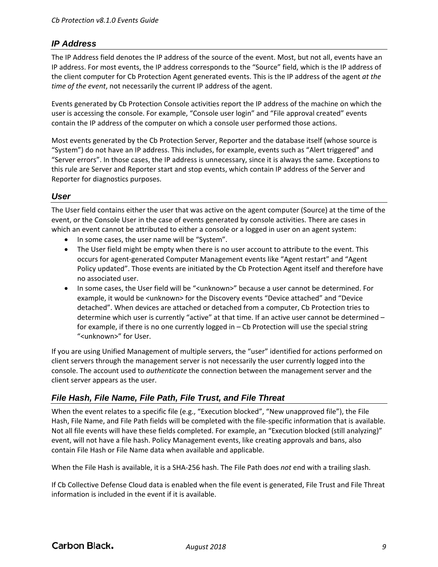#### <span id="page-8-0"></span>*IP Address*

The IP Address field denotes the IP address of the source of the event. Most, but not all, events have an IP address. For most events, the IP address corresponds to the "Source" field, which is the IP address of the client computer for Cb Protection Agent generated events. This is the IP address of the agent *at the time of the event*, not necessarily the current IP address of the agent.

Events generated by Cb Protection Console activities report the IP address of the machine on which the user is accessing the console. For example, "Console user login" and "File approval created" events contain the IP address of the computer on which a console user performed those actions.

Most events generated by the Cb Protection Server, Reporter and the database itself (whose source is "System") do not have an IP address. This includes, for example, events such as "Alert triggered" and "Server errors". In those cases, the IP address is unnecessary, since it is always the same. Exceptions to this rule are Server and Reporter start and stop events, which contain IP address of the Server and Reporter for diagnostics purposes.

#### <span id="page-8-1"></span>*User*

The User field contains either the user that was active on the agent computer (Source) at the time of the event, or the Console User in the case of events generated by console activities. There are cases in which an event cannot be attributed to either a console or a logged in user on an agent system:

- In some cases, the user name will be "System".
- The User field might be empty when there is no user account to attribute to the event. This occurs for agent-generated Computer Management events like "Agent restart" and "Agent Policy updated". Those events are initiated by the Cb Protection Agent itself and therefore have no associated user.
- In some cases, the User field will be "<unknown>" because a user cannot be determined. For example, it would be <unknown> for the Discovery events "Device attached" and "Device detached". When devices are attached or detached from a computer, Cb Protection tries to determine which user is currently "active" at that time. If an active user cannot be determined – for example, if there is no one currently logged in – Cb Protection will use the special string "<unknown>" for User.

If you are using Unified Management of multiple servers, the "user" identified for actions performed on client servers through the management server is not necessarily the user currently logged into the console. The account used to *authenticate* the connection between the management server and the client server appears as the user.

#### <span id="page-8-2"></span>*File Hash, File Name, File Path, File Trust, and File Threat*

When the event relates to a specific file (e.g., "Execution blocked", "New unapproved file"), the File Hash, File Name, and File Path fields will be completed with the file-specific information that is available. Not all file events will have these fields completed. For example, an "Execution blocked (still analyzing)" event, will not have a file hash. Policy Management events, like creating approvals and bans, also contain File Hash or File Name data when available and applicable.

When the File Hash is available, it is a SHA-256 hash. The File Path does *not* end with a trailing slash.

If Cb Collective Defense Cloud data is enabled when the file event is generated, File Trust and File Threat information is included in the event if it is available.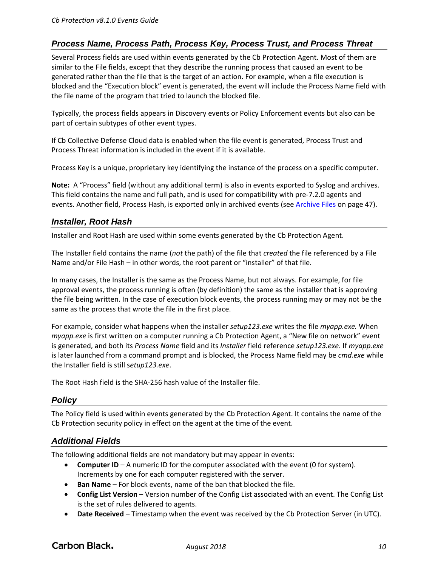#### <span id="page-9-0"></span>*Process Name, Process Path, Process Key, Process Trust, and Process Threat*

Several Process fields are used within events generated by the Cb Protection Agent. Most of them are similar to the File fields, except that they describe the running process that caused an event to be generated rather than the file that is the target of an action. For example, when a file execution is blocked and the "Execution block" event is generated, the event will include the Process Name field with the file name of the program that tried to launch the blocked file.

Typically, the process fields appears in Discovery events or Policy Enforcement events but also can be part of certain subtypes of other event types.

If Cb Collective Defense Cloud data is enabled when the file event is generated, Process Trust and Process Threat information is included in the event if it is available.

Process Key is a unique, proprietary key identifying the instance of the process on a specific computer.

**Note:** A "Process" field (without any additional term) is also in events exported to Syslog and archives. This field contains the name and full path, and is used for compatibility with pre-7.2.0 agents and events. Another field, Process Hash, is exported only in archived events (see [Archive Files](#page-46-0) on page [47\)](#page-46-0).

#### <span id="page-9-1"></span>*Installer, Root Hash*

Installer and Root Hash are used within some events generated by the Cb Protection Agent.

The Installer field contains the name (*not* the path) of the file that *created* the file referenced by a File Name and/or File Hash – in other words, the root parent or "installer" of that file.

In many cases, the Installer is the same as the Process Name, but not always. For example, for file approval events, the process running is often (by definition) the same as the installer that is approving the file being written. In the case of execution block events, the process running may or may not be the same as the process that wrote the file in the first place.

For example, consider what happens when the installer *setup123.exe* writes the file *myapp.exe.* When *myapp.exe* is first written on a computer running a Cb Protection Agent, a "New file on network" event is generated, and both its *Process Name* field and its *Installer* field reference *setup123.exe*. If *myapp.exe* is later launched from a command prompt and is blocked, the Process Name field may be *cmd.exe* while the Installer field is still s*etup123.exe*.

The Root Hash field is the SHA-256 hash value of the Installer file.

#### <span id="page-9-2"></span>*Policy*

The Policy field is used within events generated by the Cb Protection Agent. It contains the name of the Cb Protection security policy in effect on the agent at the time of the event.

#### <span id="page-9-3"></span>*Additional Fields*

The following additional fields are not mandatory but may appear in events:

- **Computer ID** A numeric ID for the computer associated with the event (0 for system). Increments by one for each computer registered with the server.
- **Ban Name** For block events, name of the ban that blocked the file.
- **Config List Version** Version number of the Config List associated with an event. The Config List is the set of rules delivered to agents.
- **Date Received** Timestamp when the event was received by the Cb Protection Server (in UTC).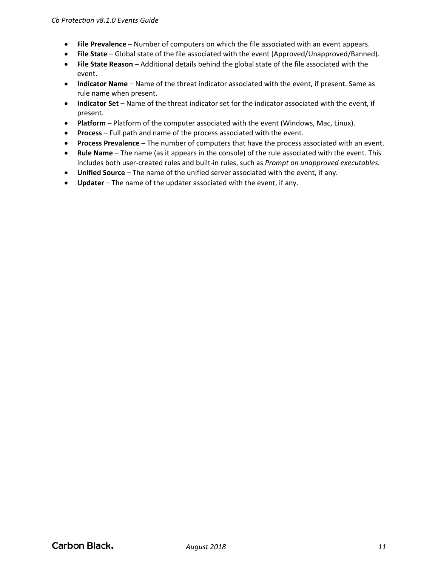- **File Prevalence** Number of computers on which the file associated with an event appears.
- **File State** Global state of the file associated with the event (Approved/Unapproved/Banned).
- **File State Reason** Additional details behind the global state of the file associated with the event.
- **Indicator Name** Name of the threat indicator associated with the event, if present. Same as rule name when present.
- **Indicator Set** Name of the threat indicator set for the indicator associated with the event, if present.
- **Platform** Platform of the computer associated with the event (Windows, Mac, Linux).
- **Process** Full path and name of the process associated with the event.
- **Process Prevalence** The number of computers that have the process associated with an event.
- **Rule Name** The name (as it appears in the console) of the rule associated with the event. This includes both user-created rules and built-in rules, such as *Prompt on unapproved executables.*
- **Unified Source**  The name of the unified server associated with the event, if any.
- **Updater** The name of the updater associated with the event, if any.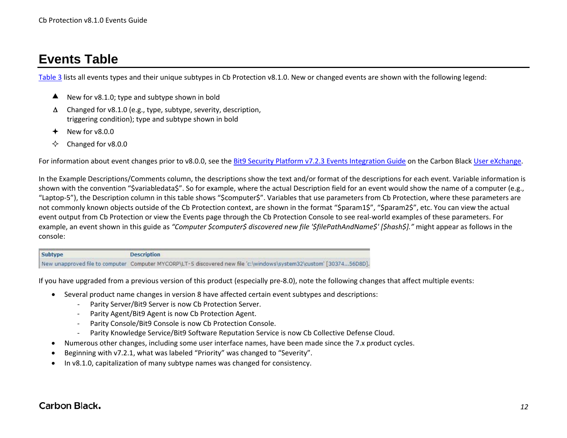### **Events Table**

[Table 3](#page-12-1) lists all events types and their unique subtypes in Cb Protection v8.1.0. New or changed events are shown with the following legend:

- New for  $v8.1.0$ ; type and subtype shown in bold
- ∆ Changed for v8.1.0 (e.g., type, subtype, severity, description, triggering condition); type and subtype shown in bold
- $+$  New for v8.0.0
- $\diamondsuit$  Changed for v8.0.0

For information about event changes prior to v8.0.0, see the [Bit9 Security Platform v7.2.3 Events Integration Guide](https://community.carbonblack.com/docs/DOC-4495) on the Carbon Blac[k User eXchange.](https://community.carbonblack.com/)

<span id="page-11-0"></span>In the Example Descriptions/Comments column, the descriptions show the text and/or format of the descriptions for each event. Variable information is shown with the convention "\$variabledata\$". So for example, where the actual Description field for an event would show the name of a computer (e.g., "Laptop-5"), the Description column in this table shows "\$computer\$". Variables that use parameters from Cb Protection, where these parameters are not commonly known objects outside of the Cb Protection context, are shown in the format "\$param1\$", "\$param2\$", etc. You can view the actual event output from Cb Protection or view the Events page through the Cb Protection Console to see real-world examples of these parameters. For example, an event shown in this guide as *"Computer \$computer\$ discovered new file '\$filePathAndName\$' [\$hash\$]."* might appear as follows in the console:

| <b>Subtype</b> | <b>Description</b>                                                                                                  |
|----------------|---------------------------------------------------------------------------------------------------------------------|
|                | New unapproved file to computer Computer MYCORP\LT-5 discovered new file 'c:\windows\system32\custom' [3037456D8D]. |

If you have upgraded from a previous version of this product (especially pre-8.0), note the following changes that affect multiple events:

- Several product name changes in version 8 have affected certain event subtypes and descriptions:
	- Parity Server/Bit9 Server is now Cb Protection Server.
	- Parity Agent/Bit9 Agent is now Cb Protection Agent.
	- Parity Console/Bit9 Console is now Cb Protection Console.
	- Parity Knowledge Service/Bit9 Software Reputation Service is now Cb Collective Defense Cloud.
- Numerous other changes, including some user interface names, have been made since the 7.x product cycles.
- Beginning with v7.2.1, what was labeled "Priority" was changed to "Severity".
- In v8.1.0, capitalization of many subtype names was changed for consistency.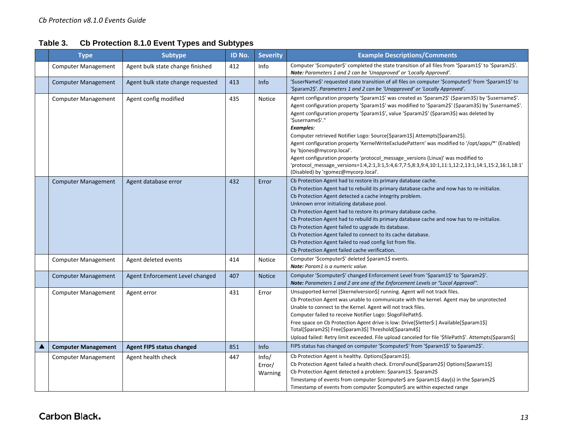<span id="page-12-1"></span>

| Table 3. Cb Protection 8.1.0 Event Types and Subtypes |
|-------------------------------------------------------|
|                                                       |

<span id="page-12-0"></span>

| <b>Type</b>                | <b>Subtype</b>                    | ID No. | <b>Severity</b>            | <b>Example Descriptions/Comments</b>                                                                                                                                                                                                                                                                                                                                                                                                                                                                                                                                                                                                                                                                                                                                                                  |
|----------------------------|-----------------------------------|--------|----------------------------|-------------------------------------------------------------------------------------------------------------------------------------------------------------------------------------------------------------------------------------------------------------------------------------------------------------------------------------------------------------------------------------------------------------------------------------------------------------------------------------------------------------------------------------------------------------------------------------------------------------------------------------------------------------------------------------------------------------------------------------------------------------------------------------------------------|
| <b>Computer Management</b> | Agent bulk state change finished  | 412    | Info                       | Computer '\$computer\$' completed the state transition of all files from '\$param1\$' to '\$param2\$'.<br>Note: Parameters 1 and 2 can be 'Unapproved' or 'Locally Approved'.                                                                                                                                                                                                                                                                                                                                                                                                                                                                                                                                                                                                                         |
| <b>Computer Management</b> | Agent bulk state change requested | 413    | Info                       | '\$userName\$' requested state transition of all files on computer '\$computer\$' from '\$param1\$' to<br>'\$param2\$'. Parameters 1 and 2 can be 'Unapproved' or 'Locally Approved'.                                                                                                                                                                                                                                                                                                                                                                                                                                                                                                                                                                                                                 |
| <b>Computer Management</b> | Agent config modified             | 435    | <b>Notice</b>              | Agent configuration property '\$param1\$' was created as '\$param2\$' (\$param3\$) by '\$username\$'.<br>Agent configuration property '\$param1\$' was modified to '\$param2\$' (\$param3\$) by '\$username\$'.<br>Agent configuration property '\$param1\$', value '\$param2\$' (\$param3\$) was deleted by<br>'\$username\$'."<br><b>Examples:</b><br>Computer retrieved Notifier Logo: Source[\$param1\$] Attempts[\$param2\$].<br>Agent configuration property 'KernelWriteExcludePattern' was modified to '/opt/apps/*' (Enabled)<br>by 'bjones@mycorp.local'.<br>Agent configuration property 'protocol_message_versions (Linux)' was modified to<br>'protocol message versions=1:4,2:1,3:1,5:4,6:7,7:5,8:3,9:4,10:1,11:1,12:2,13:1,14:1,15:2,16:1,18:1<br>(Disabled) by 'rgomez@mycorp.local'. |
| <b>Computer Management</b> | Agent database error              | 432    | Error                      | Cb Protection Agent had to restore its primary database cache.<br>Cb Protection Agent had to rebuild its primary database cache and now has to re-initialize.<br>Cb Protection Agent detected a cache integrity problem.<br>Unknown error initializing database pool.<br>Cb Protection Agent had to restore its primary database cache.<br>Cb Protection Agent had to rebuild its primary database cache and now has to re-initialize.<br>Cb Protection Agent failed to upgrade its database.<br>Cb Protection Agent failed to connect to its cache database.<br>Cb Protection Agent failed to read config list from file.<br>Cb Protection Agent failed cache verification.                                                                                                                          |
| <b>Computer Management</b> | Agent deleted events              | 414    | <b>Notice</b>              | Computer '\$computer\$' deleted \$param1\$ events.<br>Note: Param1 is a numeric value.                                                                                                                                                                                                                                                                                                                                                                                                                                                                                                                                                                                                                                                                                                                |
| <b>Computer Management</b> | Agent Enforcement Level changed   | 407    | <b>Notice</b>              | Computer '\$computer\$' changed Enforcement Level from '\$param1\$' to '\$param2\$'.<br>Note: Parameters 1 and 2 are one of the Enforcement Levels or "Local Approval".                                                                                                                                                                                                                                                                                                                                                                                                                                                                                                                                                                                                                               |
| <b>Computer Management</b> | Agent error                       | 431    | Error                      | Unsupported kernel [\$kernelversion\$] running. Agent will not track files.<br>Cb Protection Agent was unable to communicate with the kernel. Agent may be unprotected<br>Unable to connect to the Kernel. Agent will not track files.<br>Computer failed to receive Notifier Logo: \$logoFilePath\$.<br>Free space on Cb Protection Agent drive is low: Drive[\$letter\$:] Available[\$param1\$]<br>Total[\$param2\$] Free[\$param3\$] Threshold[\$param4\$]<br>Upload failed: Retry limit exceeded. File upload canceled for file '\$filePath\$'. Attempts[\$param\$]                                                                                                                                                                                                                               |
| <b>Computer Management</b> | <b>Agent FIPS status changed</b>  | 851    | <b>Info</b>                | FIPS status has changed on computer '\$computer\$' from '\$param1\$' to \$param2\$'.                                                                                                                                                                                                                                                                                                                                                                                                                                                                                                                                                                                                                                                                                                                  |
| <b>Computer Management</b> | Agent health check                | 447    | Info/<br>Error/<br>Warning | Cb Protection Agent is healthy. Options[\$param1\$].<br>Cb Protection Agent failed a health check. ErrorsFound[\$param2\$] Options[\$param1\$]<br>Cb Protection Agent detected a problem: \$param1\$. \$param2\$<br>Timestamp of events from computer \$computer\$ are \$param1\$ day(s) in the \$param2\$<br>Timestamp of events from computer \$computer\$ are within expected range                                                                                                                                                                                                                                                                                                                                                                                                                |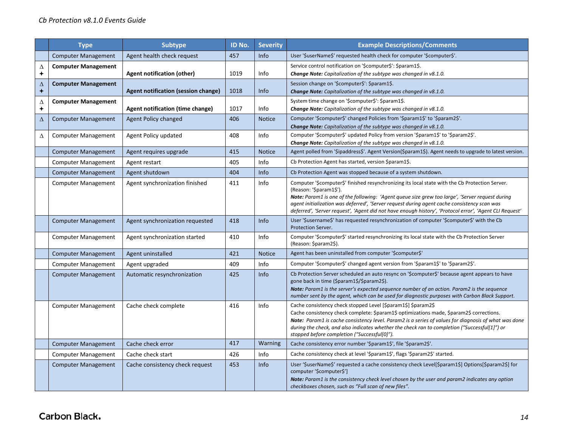|               | <b>Type</b>                | <b>Subtype</b>                      | ID No. | <b>Severity</b> | <b>Example Descriptions/Comments</b>                                                                                                                                                                                                                                                                                                                                                                                                    |
|---------------|----------------------------|-------------------------------------|--------|-----------------|-----------------------------------------------------------------------------------------------------------------------------------------------------------------------------------------------------------------------------------------------------------------------------------------------------------------------------------------------------------------------------------------------------------------------------------------|
|               | <b>Computer Management</b> | Agent health check request          | 457    | <b>Info</b>     | User '\$userName\$' requested health check for computer '\$computer\$'.                                                                                                                                                                                                                                                                                                                                                                 |
| Δ             | <b>Computer Management</b> |                                     |        |                 | Service control notification on '\$computer\$': \$param1\$.                                                                                                                                                                                                                                                                                                                                                                             |
| ✦             |                            | Agent notification (other)          | 1019   | Info            | Change Note: Capitalization of the subtype was changed in v8.1.0.                                                                                                                                                                                                                                                                                                                                                                       |
| Δ<br>$\,{}^*$ | <b>Computer Management</b> | Agent notification (session change) | 1018   | <b>Info</b>     | Session change on '\$computer\$': \$param1\$.<br>Change Note: Capitalization of the subtype was changed in v8.1.0.                                                                                                                                                                                                                                                                                                                      |
|               |                            |                                     |        |                 | System time change on '\$computer\$': \$param1\$.                                                                                                                                                                                                                                                                                                                                                                                       |
| Δ<br>✦        | <b>Computer Management</b> | Agent notification (time change)    | 1017   | Info            | Change Note: Capitalization of the subtype was changed in v8.1.0.                                                                                                                                                                                                                                                                                                                                                                       |
| $\Delta$      | <b>Computer Management</b> | Agent Policy changed                | 406    | <b>Notice</b>   | Computer '\$computer\$' changed Policies from '\$param1\$' to '\$param2\$'.<br>Change Note: Capitalization of the subtype was changed in v8.1.0.                                                                                                                                                                                                                                                                                        |
| Δ             | <b>Computer Management</b> | Agent Policy updated                | 408    | Info            | Computer '\$computer\$' updated Policy from version '\$param1\$' to '\$param2\$'.<br>Change Note: Capitalization of the subtype was changed in v8.1.0.                                                                                                                                                                                                                                                                                  |
|               | <b>Computer Management</b> | Agent requires upgrade              | 415    | <b>Notice</b>   | Agent polled from '\$ipaddress\$'. Agent Version(\$param1\$). Agent needs to upgrade to latest version.                                                                                                                                                                                                                                                                                                                                 |
|               | <b>Computer Management</b> | Agent restart                       | 405    | Info            | Cb Protection Agent has started, version \$param1\$.                                                                                                                                                                                                                                                                                                                                                                                    |
|               | <b>Computer Management</b> | Agent shutdown                      | 404    | Info            | Cb Protection Agent was stopped because of a system shutdown.                                                                                                                                                                                                                                                                                                                                                                           |
|               | <b>Computer Management</b> | Agent synchronization finished      | 411    | Info            | Computer '\$computer\$' finished resynchronizing its local state with the Cb Protection Server.<br>(Reason: '\$param1\$').<br>Note: Param1 is one of the following: 'Agent queue size grew too large', 'Server request during<br>agent initialization was deferred', 'Server request during agent cache consistency scan was<br>deferred', 'Server request', 'Agent did not have enough history', 'Protocol error', 'Agent CLI Request' |
|               | <b>Computer Management</b> | Agent synchronization requested     | 418    | Info            | User '\$username\$' has requested resynchronization of computer '\$computer\$' with the Cb<br>Protection Server.                                                                                                                                                                                                                                                                                                                        |
|               | <b>Computer Management</b> | Agent synchronization started       | 410    | Info            | Computer '\$computer\$' started resynchronizing its local state with the Cb Protection Server<br>(Reason: \$param2\$).                                                                                                                                                                                                                                                                                                                  |
|               | <b>Computer Management</b> | Agent uninstalled                   | 421    | <b>Notice</b>   | Agent has been uninstalled from computer '\$computer\$'                                                                                                                                                                                                                                                                                                                                                                                 |
|               | <b>Computer Management</b> | Agent upgraded                      | 409    | Info            | Computer '\$computer\$' changed agent version from '\$param1\$' to '\$param2\$'.                                                                                                                                                                                                                                                                                                                                                        |
|               | <b>Computer Management</b> | Automatic resynchronization         | 425    | <b>Info</b>     | Cb Protection Server scheduled an auto resync on '\$computer\$' because agent appears to have<br>gone back in time (\$param1\$/\$param2\$).<br>Note: Param1 is the server's expected sequence number of an action. Param2 is the sequence<br>number sent by the agent, which can be used for diagnostic purposes with Carbon Black Support.                                                                                             |
|               | <b>Computer Management</b> | Cache check complete                | 416    | Info            | Cache consistency check stopped Level [\$param1\$] \$param2\$<br>Cache consistency check complete: \$param1\$ optimizations made, \$param2\$ corrections.<br>Note: Param1 is cache consistency level. Param2 is a series of values for diagnosis of what was done<br>during the check, and also indicates whether the check ran to completion ("Successful[1]") or<br>stopped before completion ("Successful[0]").                      |
|               | <b>Computer Management</b> | Cache check error                   | 417    | Warning         | Cache consistency error number '\$param1\$', file '\$param2\$'.                                                                                                                                                                                                                                                                                                                                                                         |
|               | <b>Computer Management</b> | Cache check start                   | 426    | Info            | Cache consistency check at level '\$param1\$', flags '\$param2\$' started.                                                                                                                                                                                                                                                                                                                                                              |
|               | <b>Computer Management</b> | Cache consistency check request     | 453    | Info            | User '\$userName\$' requested a cache consistency check Level[\$param1\$] Options[\$param2\$] for<br>computer '\$computer\$']<br><b>Note:</b> Param1 is the consistency check level chosen by the user and param2 indicates any option<br>checkboxes chosen, such as "Full scan of new files".                                                                                                                                          |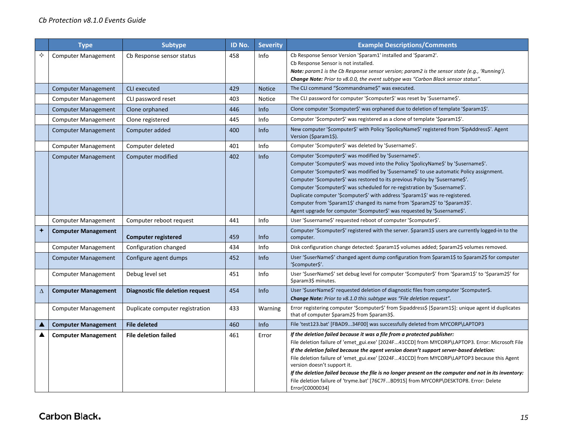|   | <b>Type</b>                | <b>Subtype</b>                   | ID No. | <b>Severity</b> | <b>Example Descriptions/Comments</b>                                                                                                                                                                                                                                                                                                                                                                                                                                                                                                                                                                                                                               |
|---|----------------------------|----------------------------------|--------|-----------------|--------------------------------------------------------------------------------------------------------------------------------------------------------------------------------------------------------------------------------------------------------------------------------------------------------------------------------------------------------------------------------------------------------------------------------------------------------------------------------------------------------------------------------------------------------------------------------------------------------------------------------------------------------------------|
| ✧ | <b>Computer Management</b> | Cb Response sensor status        | 458    | Info            | Cb Response Sensor Version '\$param1' installed and '\$param2'.<br>Cb Response Sensor is not installed.<br><b>Note:</b> param1 is the Cb Response sensor version; param2 is the sensor state (e.g., 'Running').<br>Change Note: Prior to v8.0.0, the event subtype was "Carbon Black sensor status".                                                                                                                                                                                                                                                                                                                                                               |
|   | <b>Computer Management</b> | <b>CLI executed</b>              | 429    | <b>Notice</b>   | The CLI command "\$commandname\$" was executed.                                                                                                                                                                                                                                                                                                                                                                                                                                                                                                                                                                                                                    |
|   | <b>Computer Management</b> | CLI password reset               | 403    | Notice          | The CLI password for computer '\$computer\$' was reset by '\$username\$'.                                                                                                                                                                                                                                                                                                                                                                                                                                                                                                                                                                                          |
|   | <b>Computer Management</b> | Clone orphaned                   | 446    | Info            | Clone computer '\$computer\$' was orphaned due to deletion of template '\$param1\$'.                                                                                                                                                                                                                                                                                                                                                                                                                                                                                                                                                                               |
|   | <b>Computer Management</b> | Clone registered                 | 445    | Info            | Computer '\$computer\$' was registered as a clone of template '\$param1\$'.                                                                                                                                                                                                                                                                                                                                                                                                                                                                                                                                                                                        |
|   | <b>Computer Management</b> | Computer added                   | 400    | Info            | New computer '\$computer\$' with Policy '\$policyName\$' registered from '\$ipAddress\$'. Agent<br>Version (\$param1\$).                                                                                                                                                                                                                                                                                                                                                                                                                                                                                                                                           |
|   | <b>Computer Management</b> | Computer deleted                 | 401    | Info            | Computer '\$computer\$' was deleted by '\$username\$'.                                                                                                                                                                                                                                                                                                                                                                                                                                                                                                                                                                                                             |
|   | <b>Computer Management</b> | Computer modified                | 402    | Info            | Computer '\$computer\$' was modified by '\$username\$'.<br>Computer '\$computer\$' was moved into the Policy '\$policyName\$' by '\$username\$'.<br>Computer '\$computer\$' was modified by '\$username\$' to use automatic Policy assignment.<br>Computer '\$computer\$' was restored to its previous Policy by '\$username\$'.<br>Computer '\$computer\$' was scheduled for re-registration by '\$username\$'.<br>Duplicate computer '\$computer\$' with address '\$param1\$' was re-registered.<br>Computer from '\$param1\$' changed its name from '\$param2\$' to '\$param3\$'.<br>Agent upgrade for computer '\$computer\$' was requested by '\$username\$'. |
|   | <b>Computer Management</b> | Computer reboot request          | 441    | Info            | User '\$username\$' requested reboot of computer '\$computer\$'.                                                                                                                                                                                                                                                                                                                                                                                                                                                                                                                                                                                                   |
|   | <b>Computer Management</b> | <b>Computer registered</b>       | 459    | Info            | Computer '\$computer\$' registered with the server. \$param1\$ users are currently logged-in to the<br>computer.                                                                                                                                                                                                                                                                                                                                                                                                                                                                                                                                                   |
|   | <b>Computer Management</b> | Configuration changed            | 434    | Info            | Disk configuration change detected: \$param1\$ volumes added; \$param2\$ volumes removed.                                                                                                                                                                                                                                                                                                                                                                                                                                                                                                                                                                          |
|   | <b>Computer Management</b> | Configure agent dumps            | 452    | Info            | User '\$userName\$' changed agent dump configuration from \$param1\$ to \$param2\$ for computer<br>'\$computer\$'.                                                                                                                                                                                                                                                                                                                                                                                                                                                                                                                                                 |
|   | <b>Computer Management</b> | Debug level set                  | 451    | Info            | User '\$userName\$' set debug level for computer '\$computer\$' from '\$param1\$' to '\$param2\$' for<br>\$param3\$ minutes.                                                                                                                                                                                                                                                                                                                                                                                                                                                                                                                                       |
| Δ | <b>Computer Management</b> | Diagnostic file deletion request | 454    | Info            | User '\$userName\$' requested deletion of diagnostic files from computer '\$computer\$.<br>Change Note: Prior to v8.1.0 this subtype was "File deletion request".                                                                                                                                                                                                                                                                                                                                                                                                                                                                                                  |
|   | <b>Computer Management</b> | Duplicate computer registration  | 433    | Warning         | Error registering computer '\$computer\$' from \$ipaddress\$ [\$param1\$]: unique agent id duplicates<br>that of computer \$param2\$ from \$param3\$.                                                                                                                                                                                                                                                                                                                                                                                                                                                                                                              |
|   | <b>Computer Management</b> | <b>File deleted</b>              | 460    | Info            | File 'test123.bat' [FBAD934F00] was successfully deleted from MYCORP\LAPTOP3                                                                                                                                                                                                                                                                                                                                                                                                                                                                                                                                                                                       |
|   | <b>Computer Management</b> | <b>File deletion failed</b>      | 461    | Error           | If the deletion failed because it was a file from a protected publisher:<br>File deletion failure of 'emet gui.exe' [2024F41CCD] from MYCORP\LAPTOP3. Error: Microsoft File<br>If the deletion failed because the agent version doesn't support server-based deletion:<br>File deletion failure of 'emet_gui.exe' [2024F41CCD] from MYCORP\LAPTOP3 because this Agent<br>version doesn't support it.<br>If the deletion failed because the file is no longer present on the computer and not in its inventory:<br>File deletion failure of 'tryme.bat' [76C7FBD915] from MYCORP\DESKTOP8. Error: Delete<br>Error[C0000034]                                         |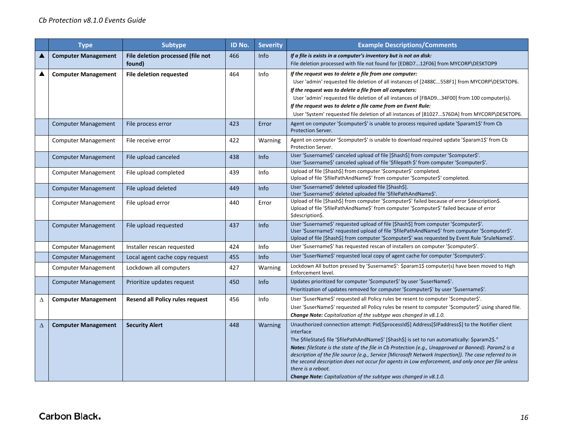|   | <b>Type</b>                | <b>Subtype</b>                              | ID No. | <b>Severity</b> | <b>Example Descriptions/Comments</b>                                                                                                                                                                                                                                                                                                                                                                                                                                                                                                                                                                                                   |
|---|----------------------------|---------------------------------------------|--------|-----------------|----------------------------------------------------------------------------------------------------------------------------------------------------------------------------------------------------------------------------------------------------------------------------------------------------------------------------------------------------------------------------------------------------------------------------------------------------------------------------------------------------------------------------------------------------------------------------------------------------------------------------------------|
|   | <b>Computer Management</b> | File deletion processed (file not<br>found) | 466    | Info            | If a file is exists in a computer's inventory but is not on disk:<br>File deletion processed with file not found for [EDBD712F06] from MYCORP\DESKTOP9                                                                                                                                                                                                                                                                                                                                                                                                                                                                                 |
|   | <b>Computer Management</b> | <b>File deletion requested</b>              | 464    | Info            | If the request was to delete a file from one computer:<br>User 'admin' requested file deletion of all instances of [2488C558F1] from MYCORP\DESKTOP6.<br>If the request was to delete a file from all computers:<br>User 'admin' requested file deletion of all instances of [FBAD934F00] from 100 computer(s).<br>If the request was to delete a file came from an Event Rule:<br>User 'System' requested file deletion of all instances of [81027576DA] from MYCORP\DESKTOP6.                                                                                                                                                        |
|   | <b>Computer Management</b> | File process error                          | 423    | Error           | Agent on computer '\$computer\$' is unable to process required update '\$param1\$' from Cb<br>Protection Server.                                                                                                                                                                                                                                                                                                                                                                                                                                                                                                                       |
|   | <b>Computer Management</b> | File receive error                          | 422    | Warning         | Agent on computer '\$computer\$' is unable to download required update '\$param1\$' from Cb<br>Protection Server.                                                                                                                                                                                                                                                                                                                                                                                                                                                                                                                      |
|   | <b>Computer Management</b> | File upload canceled                        | 438    | Info            | User '\$username\$' canceled upload of file [\$hash\$] from computer '\$computer\$'.<br>User '\$username\$' canceled upload of file '\$filepath \$' from computer '\$computer\$'.                                                                                                                                                                                                                                                                                                                                                                                                                                                      |
|   | <b>Computer Management</b> | File upload completed                       | 439    | Info            | Upload of file [\$hash\$] from computer '\$computer\$' completed.<br>Upload of file '\$filePathAndName\$' from computer '\$computer\$' completed.                                                                                                                                                                                                                                                                                                                                                                                                                                                                                      |
|   | <b>Computer Management</b> | File upload deleted                         | 449    | Info            | User '\$username\$' deleted uploaded file [\$hash\$].<br>User '\$username\$' deleted uploaded file '\$filePathAndName\$'.                                                                                                                                                                                                                                                                                                                                                                                                                                                                                                              |
|   | <b>Computer Management</b> | File upload error                           | 440    | Error           | Upload of file [\$hash\$] from computer '\$computer\$' failed because of error \$description\$.<br>Upload of file '\$filePathAndName\$' from computer '\$computer\$' failed because of error<br>\$description\$.                                                                                                                                                                                                                                                                                                                                                                                                                       |
|   | <b>Computer Management</b> | File upload requested                       | 437    | Info            | User '\$username\$' requested upload of file [\$hash\$] from computer '\$computer\$'.<br>User '\$username\$' requested upload of file '\$filePathAndName\$' from computer '\$computer\$'.<br>Upload of file [\$hash\$] from computer '\$computer\$' was requested by Event Rule '\$ruleName\$'.                                                                                                                                                                                                                                                                                                                                        |
|   | <b>Computer Management</b> | Installer rescan requested                  | 424    | Info            | User '\$username\$' has requested rescan of installers on computer '\$computer\$'.                                                                                                                                                                                                                                                                                                                                                                                                                                                                                                                                                     |
|   | <b>Computer Management</b> | Local agent cache copy request              | 455    | Info            | User '\$userName\$' requested local copy of agent cache for computer '\$computer\$'.                                                                                                                                                                                                                                                                                                                                                                                                                                                                                                                                                   |
|   | <b>Computer Management</b> | Lockdown all computers                      | 427    | Warning         | Lockdown All button pressed by '\$username\$': \$param1\$ computer(s) have been moved to High<br>Enforcement level.                                                                                                                                                                                                                                                                                                                                                                                                                                                                                                                    |
|   | <b>Computer Management</b> | Prioritize updates request                  | 450    | <b>Info</b>     | Updates prioritized for computer '\$computer\$' by user '\$userName\$'.<br>Prioritization of updates removed for computer '\$computer\$' by user '\$username\$'.                                                                                                                                                                                                                                                                                                                                                                                                                                                                       |
| Δ | <b>Computer Management</b> | <b>Resend all Policy rules request</b>      | 456    | Info            | User '\$userName\$' requested all Policy rules be resent to computer '\$computer\$'.<br>User '\$userName\$' requested all Policy rules be resent to computer '\$computer\$' using shared file.<br>Change Note: Capitalization of the subtype was changed in v8.1.0.                                                                                                                                                                                                                                                                                                                                                                    |
| Δ | <b>Computer Management</b> | <b>Security Alert</b>                       | 448    | Warning         | Unauthorized connection attempt: Pid[\$processId\$] Address[\$IPaddress\$] to the Notifier client<br>interface<br>The \$fileState\$ file '\$filePathAndName\$' [\$hash\$] is set to run automatically: \$param2\$."<br>Notes: fileState is the state of the file in Cb Protection (e.g., Unapproved or Banned). Param2 is a<br>description of the file source (e.g., Service [Microsoft Network Inspection]). The case referred to in<br>the second description does not occur for agents in Low enforcement, and only once per file unless<br>there is a reboot.<br>Change Note: Capitalization of the subtype was changed in v8.1.0. |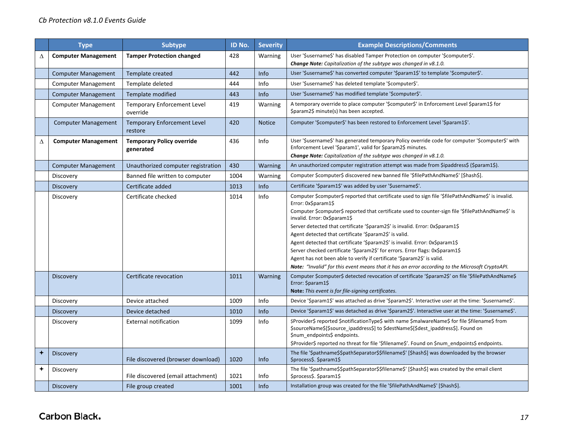|            | <b>Type</b>                | <b>Subtype</b>                                 | ID No. | <b>Severity</b> | <b>Example Descriptions/Comments</b>                                                                                                                                                                                                                                                                                                                                                                                                                                                                                                                                                                                                                                                                                                                       |
|------------|----------------------------|------------------------------------------------|--------|-----------------|------------------------------------------------------------------------------------------------------------------------------------------------------------------------------------------------------------------------------------------------------------------------------------------------------------------------------------------------------------------------------------------------------------------------------------------------------------------------------------------------------------------------------------------------------------------------------------------------------------------------------------------------------------------------------------------------------------------------------------------------------------|
| Δ          | <b>Computer Management</b> | <b>Tamper Protection changed</b>               | 428    | Warning         | User '\$username\$' has disabled Tamper Protection on computer '\$computer\$'.<br>Change Note: Capitalization of the subtype was changed in v8.1.0.                                                                                                                                                                                                                                                                                                                                                                                                                                                                                                                                                                                                        |
|            | <b>Computer Management</b> | Template created                               | 442    | Info            | User '\$username\$' has converted computer '\$param1\$' to template '\$computer\$'.                                                                                                                                                                                                                                                                                                                                                                                                                                                                                                                                                                                                                                                                        |
|            | <b>Computer Management</b> | Template deleted                               | 444    | Info            | User '\$username\$' has deleted template '\$computer\$'.                                                                                                                                                                                                                                                                                                                                                                                                                                                                                                                                                                                                                                                                                                   |
|            | <b>Computer Management</b> | Template modified                              | 443    | Info            | User '\$username\$' has modified template '\$computer\$'.                                                                                                                                                                                                                                                                                                                                                                                                                                                                                                                                                                                                                                                                                                  |
|            | <b>Computer Management</b> | <b>Temporary Enforcement Level</b><br>override | 419    | Warning         | A temporary override to place computer '\$computer\$' in Enforcement Level \$param1\$ for<br>\$param2\$ minute(s) has been accepted.                                                                                                                                                                                                                                                                                                                                                                                                                                                                                                                                                                                                                       |
|            | <b>Computer Management</b> | <b>Temporary Enforcement Level</b><br>restore  | 420    | <b>Notice</b>   | Computer '\$computer\$' has been restored to Enforcement Level '\$param1\$'.                                                                                                                                                                                                                                                                                                                                                                                                                                                                                                                                                                                                                                                                               |
| Δ          | <b>Computer Management</b> | <b>Temporary Policy override</b><br>generated  | 436    | Info            | User '\$username\$' has generated temporary Policy override code for computer '\$computer\$' with<br>Enforcement Level '\$param1', valid for \$param2\$ minutes.<br>Change Note: Capitalization of the subtype was changed in v8.1.0.                                                                                                                                                                                                                                                                                                                                                                                                                                                                                                                      |
|            | <b>Computer Management</b> | Unauthorized computer registration             | 430    | Warning         | An unauthorized computer registration attempt was made from \$ipaddress\$ (\$param1\$).                                                                                                                                                                                                                                                                                                                                                                                                                                                                                                                                                                                                                                                                    |
|            | Discovery                  | Banned file written to computer                | 1004   | Warning         | Computer \$computer\$ discovered new banned file '\$filePathAndName\$' [\$hash\$].                                                                                                                                                                                                                                                                                                                                                                                                                                                                                                                                                                                                                                                                         |
|            | <b>Discovery</b>           | Certificate added                              | 1013   | <b>Info</b>     | Certificate '\$param1\$' was added by user '\$username\$'.                                                                                                                                                                                                                                                                                                                                                                                                                                                                                                                                                                                                                                                                                                 |
|            | Discovery                  | Certificate checked                            | 1014   | Info            | Computer \$computer\$ reported that certificate used to sign file '\$filePathAndName\$' is invalid.<br>Error: 0x\$param1\$<br>Computer \$computer\$ reported that certificate used to counter-sign file '\$filePathAndName\$' is<br>invalid. Error: 0x\$param1\$<br>Server detected that certificate '\$param2\$' is invalid. Error: 0x\$param1\$<br>Agent detected that certificate '\$param2\$' is valid.<br>Agent detected that certificate '\$param2\$' is invalid. Error: 0x\$param1\$<br>Server checked certificate '\$param2\$' for errors. Error flags: 0x\$param1\$<br>Agent has not been able to verify if certificate '\$param2\$' is valid.<br>Note: "Invalid" for this event means that it has an error according to the Microsoft CryptoAPI. |
|            | <b>Discovery</b>           | Certificate revocation                         | 1011   | Warning         | Computer \$computer\$ detected revocation of certificate '\$param2\$' on file '\$filePathAndName\$<br>Error: \$param1\$<br>Note: This event is for file-signing certificates.                                                                                                                                                                                                                                                                                                                                                                                                                                                                                                                                                                              |
|            | Discovery                  | Device attached                                | 1009   | Info            | Device '\$param1\$' was attached as drive '\$param2\$'. Interactive user at the time: '\$username\$'.                                                                                                                                                                                                                                                                                                                                                                                                                                                                                                                                                                                                                                                      |
|            | <b>Discovery</b>           | Device detached                                | 1010   | <b>Info</b>     | Device '\$param1\$' was detached as drive '\$param2\$'. Interactive user at the time: '\$username\$'.                                                                                                                                                                                                                                                                                                                                                                                                                                                                                                                                                                                                                                                      |
|            | Discovery                  | <b>External notification</b>                   | 1099   | Info            | \$Provider\$ reported \$notificationType\$ with name \$malwareName\$ for file \$filename\$ from<br>\$sourceName\$[\$source_ipaddress\$] to \$destName\$[\$dest_ipaddress\$]. Found on<br>\$num endpoints\$ endpoints.<br>\$Provider\$ reported no threat for file '\$filename\$'. Found on \$num endpoints\$ endpoints.                                                                                                                                                                                                                                                                                                                                                                                                                                    |
| $\bigstar$ | Discovery                  | File discovered (browser download)             | 1020   | <b>Info</b>     | The file '\$pathname\$\$pathSeparator\$\$filename\$' [\$hash\$] was downloaded by the browser<br>\$process\$. \$param1\$                                                                                                                                                                                                                                                                                                                                                                                                                                                                                                                                                                                                                                   |
| ✦          | Discovery                  | File discovered (email attachment)             | 1021   | Info            | The file '\$pathname\$\$pathSeparator\$\$filename\$' [\$hash\$] was created by the email client<br>\$process\$. \$param1\$                                                                                                                                                                                                                                                                                                                                                                                                                                                                                                                                                                                                                                 |
|            | <b>Discovery</b>           | File group created                             | 1001   | Info            | Installation group was created for the file '\$filePathAndName\$' [\$hash\$].                                                                                                                                                                                                                                                                                                                                                                                                                                                                                                                                                                                                                                                                              |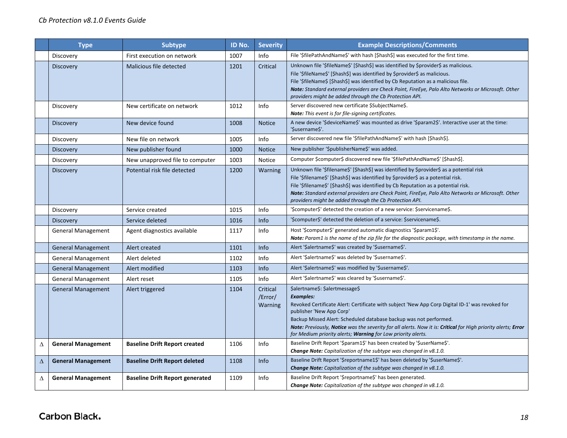|   | <b>Type</b>               | <b>Subtype</b>                         | ID No. | <b>Severity</b>                | <b>Example Descriptions/Comments</b>                                                                                                                                                                                                                                                                                                                                                                                                            |
|---|---------------------------|----------------------------------------|--------|--------------------------------|-------------------------------------------------------------------------------------------------------------------------------------------------------------------------------------------------------------------------------------------------------------------------------------------------------------------------------------------------------------------------------------------------------------------------------------------------|
|   | Discovery                 | First execution on network             | 1007   | Info                           | File '\$filePathAndName\$' with hash [\$hash\$] was executed for the first time.                                                                                                                                                                                                                                                                                                                                                                |
|   | <b>Discovery</b>          | Malicious file detected                | 1201   | Critical                       | Unknown file '\$fileName\$' [\$hash\$] was identified by \$provider\$ as malicious.<br>File '\$fileName\$' [\$hash\$] was identified by \$provider\$ as malicious.<br>File '\$fileName\$ [\$hash\$] was identified by Cb Reputation as a malicious file.<br>Note: Standard external providers are Check Point, FireEye, Palo Alto Networks or Microsoft. Other<br>providers might be added through the Cb Protection API.                       |
|   | Discovery                 | New certificate on network             | 1012   | Info                           | Server discovered new certificate \$SubjectName\$.<br>Note: This event is for file-signing certificates.                                                                                                                                                                                                                                                                                                                                        |
|   | <b>Discovery</b>          | New device found                       | 1008   | <b>Notice</b>                  | A new device '\$deviceName\$' was mounted as drive '\$param2\$'. Interactive user at the time:<br>'\$username\$'.                                                                                                                                                                                                                                                                                                                               |
|   | Discovery                 | New file on network                    | 1005   | Info                           | Server discovered new file '\$filePathAndName\$' with hash [\$hash\$].                                                                                                                                                                                                                                                                                                                                                                          |
|   | <b>Discovery</b>          | New publisher found                    | 1000   | <b>Notice</b>                  | New publisher '\$publisherName\$' was added.                                                                                                                                                                                                                                                                                                                                                                                                    |
|   | Discovery                 | New unapproved file to computer        | 1003   | Notice                         | Computer \$computer\$ discovered new file '\$filePathAndName\$' [\$hash\$].                                                                                                                                                                                                                                                                                                                                                                     |
|   | <b>Discovery</b>          | Potential risk file detected           | 1200   | Warning                        | Unknown file '\$filename\$' [\$hash\$] was identified by \$provider\$ as a potential risk<br>File '\$filename\$' [\$hash\$] was identified by \$provider\$ as a potential risk.<br>File '\$filename\$' [\$hash\$] was identified by Cb Reputation as a potential risk.<br>Note: Standard external providers are Check Point, FireEye, Palo Alto Networks or Microsoft. Other<br>providers might be added through the Cb Protection API.         |
|   | Discovery                 | Service created                        | 1015   | Info                           | '\$computer\$' detected the creation of a new service: \$servicename\$.                                                                                                                                                                                                                                                                                                                                                                         |
|   | <b>Discovery</b>          | Service deleted                        | 1016   | <b>Info</b>                    | '\$computer\$' detected the deletion of a service: \$servicename\$.                                                                                                                                                                                                                                                                                                                                                                             |
|   | General Management        | Agent diagnostics available            | 1117   | Info                           | Host '\$computer\$' generated automatic diagnostics '\$param1\$'.<br>Note: Param1 is the name of the zip file for the diagnostic package, with timestamp in the name.                                                                                                                                                                                                                                                                           |
|   | <b>General Management</b> | Alert created                          | 1101   | <b>Info</b>                    | Alert '\$alertname\$' was created by '\$username\$'.                                                                                                                                                                                                                                                                                                                                                                                            |
|   | <b>General Management</b> | Alert deleted                          | 1102   | Info                           | Alert '\$alertname\$' was deleted by '\$username\$'.                                                                                                                                                                                                                                                                                                                                                                                            |
|   | <b>General Management</b> | Alert modified                         | 1103   | Info                           | Alert '\$alertname\$' was modified by '\$username\$'.                                                                                                                                                                                                                                                                                                                                                                                           |
|   | <b>General Management</b> | Alert reset                            | 1105   | Info                           | Alert '\$alertname\$' was cleared by '\$username\$'.                                                                                                                                                                                                                                                                                                                                                                                            |
|   | <b>General Management</b> | Alert triggered                        | 1104   | Critical<br>/Error/<br>Warning | \$alertname\$: \$alertmessage\$<br><b>Examples:</b><br>Revoked Certificate Alert: Certificate with subject 'New App Corp Digital ID-1' was revoked for<br>publisher 'New App Corp'<br>Backup Missed Alert: Scheduled database backup was not performed.<br>Note: Previously, Notice was the severity for all alerts. Now it is: Critical for High priority alerts; Error<br>for Medium priority alerts; <b>Warning</b> for Low priority alerts. |
| Δ | <b>General Management</b> | <b>Baseline Drift Report created</b>   | 1106   | Info                           | Baseline Drift Report '\$param1\$' has been created by '\$userName\$'.<br>Change Note: Capitalization of the subtype was changed in v8.1.0.                                                                                                                                                                                                                                                                                                     |
| Δ | <b>General Management</b> | <b>Baseline Drift Report deleted</b>   | 1108   | Info                           | Baseline Drift Report '\$reportname1\$' has been deleted by '\$userName\$'.<br>Change Note: Capitalization of the subtype was changed in v8.1.0.                                                                                                                                                                                                                                                                                                |
| Δ | <b>General Management</b> | <b>Baseline Drift Report generated</b> | 1109   | Info                           | Baseline Drift Report '\$reportname\$' has been generated.<br>Change Note: Capitalization of the subtype was changed in v8.1.0.                                                                                                                                                                                                                                                                                                                 |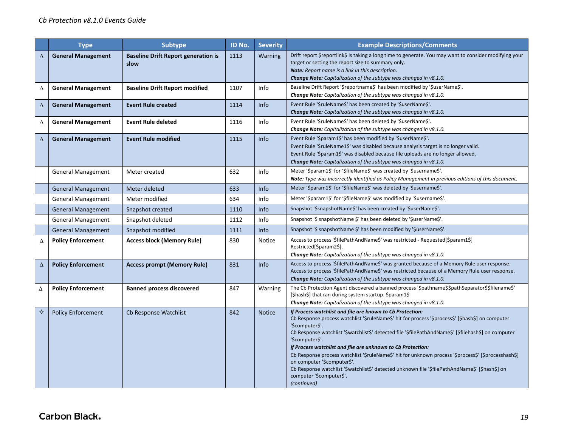|   | <b>Type</b>               | <b>Subtype</b>                                     | ID No. | <b>Severity</b> | <b>Example Descriptions/Comments</b>                                                                                                                                                                                                                                                                                                                                                                                                                                                                                                                                                                                                                             |
|---|---------------------------|----------------------------------------------------|--------|-----------------|------------------------------------------------------------------------------------------------------------------------------------------------------------------------------------------------------------------------------------------------------------------------------------------------------------------------------------------------------------------------------------------------------------------------------------------------------------------------------------------------------------------------------------------------------------------------------------------------------------------------------------------------------------------|
| Δ | <b>General Management</b> | <b>Baseline Drift Report generation is</b><br>slow | 1113   | Warning         | Drift report \$reportlink\$ is taking a long time to generate. You may want to consider modifying your<br>target or setting the report size to summary only.<br>Note: Report name is a link in this description.<br>Change Note: Capitalization of the subtype was changed in v8.1.0.                                                                                                                                                                                                                                                                                                                                                                            |
| Δ | <b>General Management</b> | <b>Baseline Drift Report modified</b>              | 1107   | Info            | Baseline Drift Report '\$reportname\$' has been modified by '\$userName\$'.<br>Change Note: Capitalization of the subtype was changed in v8.1.0.                                                                                                                                                                                                                                                                                                                                                                                                                                                                                                                 |
| Δ | <b>General Management</b> | <b>Event Rule created</b>                          | 1114   | Info            | Event Rule '\$ruleName\$' has been created by '\$userName\$'.<br>Change Note: Capitalization of the subtype was changed in v8.1.0.                                                                                                                                                                                                                                                                                                                                                                                                                                                                                                                               |
| Δ | <b>General Management</b> | <b>Event Rule deleted</b>                          | 1116   | Info            | Event Rule '\$ruleName\$' has been deleted by '\$userName\$'.<br>Change Note: Capitalization of the subtype was changed in v8.1.0.                                                                                                                                                                                                                                                                                                                                                                                                                                                                                                                               |
| Δ | <b>General Management</b> | <b>Event Rule modified</b>                         | 1115   | <b>Info</b>     | Event Rule '\$param1\$' has been modified by '\$userName\$'.<br>Event Rule '\$ruleName1\$' was disabled because analysis target is no longer valid.<br>Event Rule '\$param1\$' was disabled because file uploads are no longer allowed.<br>Change Note: Capitalization of the subtype was changed in v8.1.0.                                                                                                                                                                                                                                                                                                                                                     |
|   | <b>General Management</b> | Meter created                                      | 632    | Info            | Meter '\$param1\$' for '\$fileName\$' was created by '\$username\$'.<br>Note: Type was incorrectly identified as Policy Management in previous editions of this document.                                                                                                                                                                                                                                                                                                                                                                                                                                                                                        |
|   | <b>General Management</b> | Meter deleted                                      | 633    | <b>Info</b>     | Meter '\$param1\$' for '\$fileName\$' was deleted by '\$username\$'.                                                                                                                                                                                                                                                                                                                                                                                                                                                                                                                                                                                             |
|   | <b>General Management</b> | Meter modified                                     | 634    | Info            | Meter '\$param1\$' for '\$fileName\$' was modified by '\$username\$'.                                                                                                                                                                                                                                                                                                                                                                                                                                                                                                                                                                                            |
|   | General Management        | Snapshot created                                   | 1110   | <b>Info</b>     | Snapshot '\$snapshotName\$' has been created by '\$userName\$'.                                                                                                                                                                                                                                                                                                                                                                                                                                                                                                                                                                                                  |
|   | <b>General Management</b> | Snapshot deleted                                   | 1112   | Info            | Snapshot '\$ snapshotName \$' has been deleted by '\$userName\$'.                                                                                                                                                                                                                                                                                                                                                                                                                                                                                                                                                                                                |
|   | <b>General Management</b> | Snapshot modified                                  | 1111   | <b>Info</b>     | Snapshot '\$ snapshotName \$' has been modified by '\$userName\$'.                                                                                                                                                                                                                                                                                                                                                                                                                                                                                                                                                                                               |
| Δ | <b>Policy Enforcement</b> | <b>Access block (Memory Rule)</b>                  | 830    | Notice          | Access to process '\$filePathAndName\$' was restricted - Requested[\$param1\$]<br>Restricted[\$param2\$].<br>Change Note: Capitalization of the subtype was changed in v8.1.0.                                                                                                                                                                                                                                                                                                                                                                                                                                                                                   |
| Δ | <b>Policy Enforcement</b> | <b>Access prompt (Memory Rule)</b>                 | 831    | <b>Info</b>     | Access to process '\$filePathAndName\$' was granted because of a Memory Rule user response.<br>Access to process '\$filePathAndName\$' was restricted because of a Memory Rule user response.<br>Change Note: Capitalization of the subtype was changed in v8.1.0.                                                                                                                                                                                                                                                                                                                                                                                               |
| Δ | <b>Policy Enforcement</b> | <b>Banned process discovered</b>                   | 847    | Warning         | The Cb Protection Agent discovered a banned process '\$pathname\$\$pathSeparator\$\$filename\$'<br>[\$hash\$] that ran during system startup. \$param1\$<br>Change Note: Capitalization of the subtype was changed in v8.1.0.                                                                                                                                                                                                                                                                                                                                                                                                                                    |
| ✧ | <b>Policy Enforcement</b> | Cb Response Watchlist                              | 842    | <b>Notice</b>   | If Process watchlist and file are known to Cb Protection:<br>Cb Response process watchlist '\$ruleName\$' hit for process '\$process\$' [\$hash\$] on computer<br>'\$computer\$'.<br>Cb Response watchlist '\$watchlist\$' detected file '\$filePathAndName\$' [\$filehash\$] on computer<br>'\$computer\$'.<br>If Process watchlist and file are unknown to Cb Protection:<br>Cb Response process watchlist '\$ruleName\$' hit for unknown process '\$process\$' [\$processhash\$]<br>on computer '\$computer\$'.<br>Cb Response watchlist '\$watchlist\$' detected unknown file '\$filePathAndName\$' [\$hash\$] on<br>computer '\$computer\$'.<br>(continued) |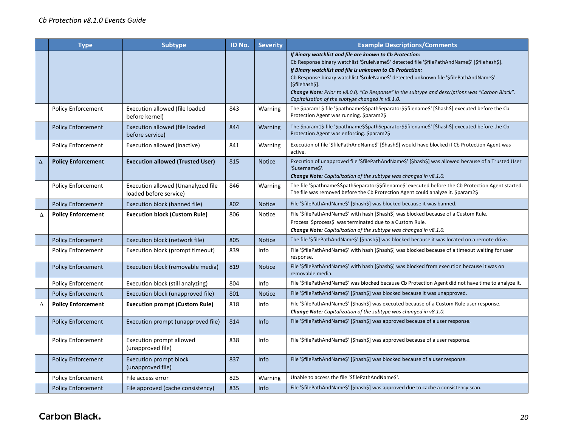|   | <b>Type</b>               | <b>Subtype</b>                                               | ID No. | <b>Severity</b> | <b>Example Descriptions/Comments</b>                                                                                                                                                                                                                                                                                                                                                                                                                                                          |
|---|---------------------------|--------------------------------------------------------------|--------|-----------------|-----------------------------------------------------------------------------------------------------------------------------------------------------------------------------------------------------------------------------------------------------------------------------------------------------------------------------------------------------------------------------------------------------------------------------------------------------------------------------------------------|
|   |                           |                                                              |        |                 | If Binary watchlist and file are known to Cb Protection:<br>Cb Response binary watchlist '\$ruleName\$' detected file '\$filePathAndName\$' [\$filehash\$].<br>If Binary watchlist and file is unknown to Cb Protection:<br>Cb Response binary watchlist '\$ruleName\$' detected unknown file '\$filePathAndName\$'<br>[\$filehash\$].<br>Change Note: Prior to v8.0.0, "Cb Response" in the subtype and descriptions was "Carbon Black".<br>Capitalization of the subtype changed in v8.1.0. |
|   | <b>Policy Enforcement</b> | Execution allowed (file loaded<br>before kernel)             | 843    | Warning         | The \$param1\$ file '\$pathname\$\$pathSeparator\$\$filename\$' [\$hash\$] executed before the Cb<br>Protection Agent was running. \$param2\$                                                                                                                                                                                                                                                                                                                                                 |
|   | <b>Policy Enforcement</b> | Execution allowed (file loaded<br>before service)            | 844    | Warning         | The \$param1\$ file '\$pathname\$\$pathSeparator\$\$filename\$' [\$hash\$] executed before the Cb<br>Protection Agent was enforcing. \$param2\$                                                                                                                                                                                                                                                                                                                                               |
|   | <b>Policy Enforcement</b> | Execution allowed (inactive)                                 | 841    | Warning         | Execution of file '\$filePathAndName\$' [\$hash\$] would have blocked if Cb Protection Agent was<br>active.                                                                                                                                                                                                                                                                                                                                                                                   |
| Δ | <b>Policy Enforcement</b> | <b>Execution allowed (Trusted User)</b>                      | 815    | <b>Notice</b>   | Execution of unapproved file '\$filePathAndName\$' [\$hash\$] was allowed because of a Trusted User<br>'\$username\$'.<br>Change Note: Capitalization of the subtype was changed in v8.1.0.                                                                                                                                                                                                                                                                                                   |
|   | <b>Policy Enforcement</b> | Execution allowed (Unanalyzed file<br>loaded before service) | 846    | Warning         | The file '\$pathname\$\$pathSeparator\$\$filename\$' executed before the Cb Protection Agent started.<br>The file was removed before the Cb Protection Agent could analyze it. \$param2\$                                                                                                                                                                                                                                                                                                     |
|   | <b>Policy Enforcement</b> | Execution block (banned file)                                | 802    | <b>Notice</b>   | File '\$filePathAndName\$' [\$hash\$] was blocked because it was banned.                                                                                                                                                                                                                                                                                                                                                                                                                      |
| Δ | <b>Policy Enforcement</b> | <b>Execution block (Custom Rule)</b>                         | 806    | Notice          | File '\$filePathAndName\$' with hash [\$hash\$] was blocked because of a Custom Rule.<br>Process '\$process\$' was terminated due to a Custom Rule.<br><b>Change Note:</b> Capitalization of the subtype was changed in v8.1.0.                                                                                                                                                                                                                                                               |
|   | <b>Policy Enforcement</b> | Execution block (network file)                               | 805    | <b>Notice</b>   | The file '\$filePathAndName\$' [\$hash\$] was blocked because it was located on a remote drive.                                                                                                                                                                                                                                                                                                                                                                                               |
|   | <b>Policy Enforcement</b> | Execution block (prompt timeout)                             | 839    | Info            | File '\$filePathAndName\$' with hash [\$hash\$] was blocked because of a timeout waiting for user<br>response.                                                                                                                                                                                                                                                                                                                                                                                |
|   | <b>Policy Enforcement</b> | Execution block (removable media)                            | 819    | <b>Notice</b>   | File '\$filePathAndName\$' with hash [\$hash\$] was blocked from execution because it was on<br>removable media.                                                                                                                                                                                                                                                                                                                                                                              |
|   | Policy Enforcement        | Execution block (still analyzing)                            | 804    | Info            | File '\$filePathAndName\$' was blocked because Cb Protection Agent did not have time to analyze it.                                                                                                                                                                                                                                                                                                                                                                                           |
|   | <b>Policy Enforcement</b> | Execution block (unapproved file)                            | 801    | <b>Notice</b>   | File '\$filePathAndName\$' [\$hash\$] was blocked because it was unapproved.                                                                                                                                                                                                                                                                                                                                                                                                                  |
| Δ | <b>Policy Enforcement</b> | <b>Execution prompt (Custom Rule)</b>                        | 818    | Info            | File '\$filePathAndName\$' [\$hash\$] was executed because of a Custom Rule user response.<br>Change Note: Capitalization of the subtype was changed in v8.1.0.                                                                                                                                                                                                                                                                                                                               |
|   | <b>Policy Enforcement</b> | Execution prompt (unapproved file)                           | 814    | <b>Info</b>     | File '\$filePathAndName\$' [\$hash\$] was approved because of a user response.                                                                                                                                                                                                                                                                                                                                                                                                                |
|   | Policy Enforcement        | Execution prompt allowed<br>(unapproved file)                | 838    | Info            | File '\$filePathAndName\$' [\$hash\$] was approved because of a user response.                                                                                                                                                                                                                                                                                                                                                                                                                |
|   | <b>Policy Enforcement</b> | <b>Execution prompt block</b><br>(unapproved file)           | 837    | <b>Info</b>     | File '\$filePathAndName\$' [\$hash\$] was blocked because of a user response.                                                                                                                                                                                                                                                                                                                                                                                                                 |
|   | <b>Policy Enforcement</b> | File access error                                            | 825    | Warning         | Unable to access the file '\$filePathAndName\$'.                                                                                                                                                                                                                                                                                                                                                                                                                                              |
|   | <b>Policy Enforcement</b> | File approved (cache consistency)                            | 835    | <b>Info</b>     | File '\$filePathAndName\$' [\$hash\$] was approved due to cache a consistency scan.                                                                                                                                                                                                                                                                                                                                                                                                           |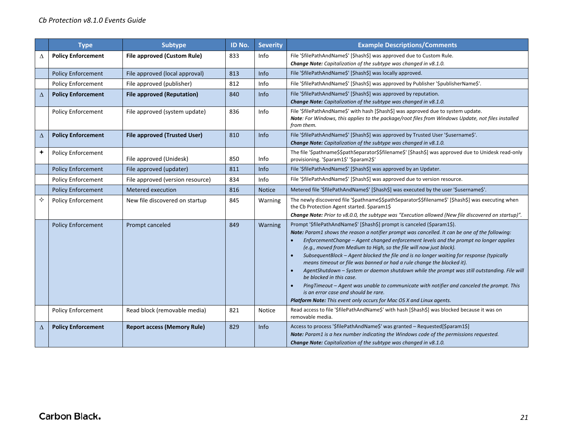|          | <b>Type</b>               | <b>Subtype</b>                      | ID No. | <b>Severity</b> | <b>Example Descriptions/Comments</b>                                                                                                                                                                                                                                                                                                                                                                                                                                                                                                                                                                                                       |
|----------|---------------------------|-------------------------------------|--------|-----------------|--------------------------------------------------------------------------------------------------------------------------------------------------------------------------------------------------------------------------------------------------------------------------------------------------------------------------------------------------------------------------------------------------------------------------------------------------------------------------------------------------------------------------------------------------------------------------------------------------------------------------------------------|
| Δ        | <b>Policy Enforcement</b> | File approved (Custom Rule)         | 833    | Info            | File '\$filePathAndName\$' [\$hash\$] was approved due to Custom Rule.                                                                                                                                                                                                                                                                                                                                                                                                                                                                                                                                                                     |
|          |                           |                                     |        |                 | Change Note: Capitalization of the subtype was changed in v8.1.0.                                                                                                                                                                                                                                                                                                                                                                                                                                                                                                                                                                          |
|          | <b>Policy Enforcement</b> | File approved (local approval)      | 813    | Info            | File '\$filePathAndName\$' [\$hash\$] was locally approved.                                                                                                                                                                                                                                                                                                                                                                                                                                                                                                                                                                                |
|          | <b>Policy Enforcement</b> | File approved (publisher)           | 812    | Info            | File '\$filePathAndName\$' [\$hash\$] was approved by Publisher '\$publisherName\$'.                                                                                                                                                                                                                                                                                                                                                                                                                                                                                                                                                       |
| $\Delta$ | <b>Policy Enforcement</b> | <b>File approved (Reputation)</b>   | 840    | Info            | File '\$filePathAndName\$' [\$hash\$] was approved by reputation.                                                                                                                                                                                                                                                                                                                                                                                                                                                                                                                                                                          |
|          |                           |                                     |        |                 | Change Note: Capitalization of the subtype was changed in v8.1.0.                                                                                                                                                                                                                                                                                                                                                                                                                                                                                                                                                                          |
|          | <b>Policy Enforcement</b> | File approved (system update)       | 836    | Info            | File '\$filePathAndName\$' with hash [\$hash\$] was approved due to system update.<br>Note: For Windows, this applies to the package/root files from Windows Update, not files installed<br>from them.                                                                                                                                                                                                                                                                                                                                                                                                                                     |
| $\Delta$ | <b>Policy Enforcement</b> | <b>File approved (Trusted User)</b> | 810    | Info            | File '\$filePathAndName\$' [\$hash\$] was approved by Trusted User '\$username\$'.<br>Change Note: Capitalization of the subtype was changed in v8.1.0.                                                                                                                                                                                                                                                                                                                                                                                                                                                                                    |
| $\,{}^*$ | <b>Policy Enforcement</b> | File approved (Unidesk)             | 850    | Info            | The file '\$pathname\$\$pathSeparator\$\$filename\$' [\$hash\$] was approved due to Unidesk read-only<br>provisioning. '\$param1\$' '\$param2\$'                                                                                                                                                                                                                                                                                                                                                                                                                                                                                           |
|          | <b>Policy Enforcement</b> | File approved (updater)             | 811    | Info            | File '\$filePathAndName\$' [\$hash\$] was approved by an Updater.                                                                                                                                                                                                                                                                                                                                                                                                                                                                                                                                                                          |
|          | <b>Policy Enforcement</b> | File approved (version resource)    | 834    | Info            | File '\$filePathAndName\$' [\$hash\$] was approved due to version resource.                                                                                                                                                                                                                                                                                                                                                                                                                                                                                                                                                                |
|          | <b>Policy Enforcement</b> | Metered execution                   | 816    | <b>Notice</b>   | Metered file '\$filePathAndName\$' [\$hash\$] was executed by the user '\$username\$'.                                                                                                                                                                                                                                                                                                                                                                                                                                                                                                                                                     |
| ✧        | <b>Policy Enforcement</b> | New file discovered on startup      | 845    | Warning         | The newly discovered file '\$pathname\$\$pathSeparator\$\$filename\$' [\$hash\$] was executing when<br>the Cb Protection Agent started. \$param1\$                                                                                                                                                                                                                                                                                                                                                                                                                                                                                         |
|          |                           |                                     |        |                 | Change Note: Prior to v8.0.0, the subtype was "Execution allowed (New file discovered on startup)".                                                                                                                                                                                                                                                                                                                                                                                                                                                                                                                                        |
|          | <b>Policy Enforcement</b> | Prompt canceled                     | 849    | Warning         | Prompt '\$filePathAndName\$' [\$hash\$] prompt is canceled (\$param1\$).<br>Note: Param1 shows the reason a notifier prompt was cancelled. It can be one of the following:<br>EnforcementChange - Agent changed enforcement levels and the prompt no longer applies<br>(e.g., moved from Medium to High, so the file will now just block).<br>SubsequentBlock - Agent blocked the file and is no longer waiting for response (typically<br>$\bullet$<br>means timeout or file was banned or had a rule change the blocked it).<br>AgentShutdown - System or daemon shutdown while the prompt was still outstanding. File will<br>$\bullet$ |
|          |                           |                                     |        |                 | be blocked in this case.<br>PingTimeout - Agent was unable to communicate with notifier and canceled the prompt. This<br>is an error case and should be rare.<br>Platform Note: This event only occurs for Mac OS X and Linux agents.                                                                                                                                                                                                                                                                                                                                                                                                      |
|          | <b>Policy Enforcement</b> | Read block (removable media)        | 821    | Notice          | Read access to file '\$filePathAndName\$' with hash [\$hash\$] was blocked because it was on<br>removable media.                                                                                                                                                                                                                                                                                                                                                                                                                                                                                                                           |
| Δ        | <b>Policy Enforcement</b> | <b>Report access (Memory Rule)</b>  | 829    | Info            | Access to process '\$filePathAndName\$' was granted - Requested[\$param1\$]<br>Note: Param1 is a hex number indicating the Windows code of the permissions requested.<br>Change Note: Capitalization of the subtype was changed in v8.1.0.                                                                                                                                                                                                                                                                                                                                                                                                 |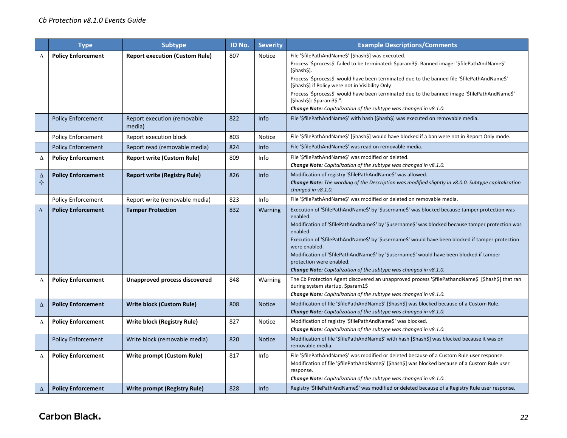|                        | <b>Type</b>               | <b>Subtype</b>                        | ID No. | <b>Severity</b> | <b>Example Descriptions/Comments</b>                                                                                                                                                                                                                                                                                                                                                                                                                                                                                                            |
|------------------------|---------------------------|---------------------------------------|--------|-----------------|-------------------------------------------------------------------------------------------------------------------------------------------------------------------------------------------------------------------------------------------------------------------------------------------------------------------------------------------------------------------------------------------------------------------------------------------------------------------------------------------------------------------------------------------------|
| Δ                      | <b>Policy Enforcement</b> | <b>Report execution (Custom Rule)</b> | 807    | Notice          | File '\$filePathAndName\$' [\$hash\$] was executed.<br>Process '\$process\$' failed to be terminated: \$param3\$. Banned image: '\$filePathAndName\$'<br>[\$hash\$].<br>Process '\$process\$' would have been terminated due to the banned file '\$filePathAndName\$'<br>[\$hash\$] if Policy were not in Visibility Only<br>Process '\$process\$' would have been terminated due to the banned image '\$filePathAndName\$'<br>[\$hash\$]: \$param3\$.".<br>Change Note: Capitalization of the subtype was changed in v8.1.0.                   |
|                        | <b>Policy Enforcement</b> | Report execution (removable<br>media) | 822    | Info            | File '\$filePathAndName\$' with hash [\$hash\$] was executed on removable media.                                                                                                                                                                                                                                                                                                                                                                                                                                                                |
|                        | <b>Policy Enforcement</b> | Report execution block                | 803    | <b>Notice</b>   | File '\$filePathAndName\$' [\$hash\$] would have blocked if a ban were not in Report Only mode.                                                                                                                                                                                                                                                                                                                                                                                                                                                 |
|                        | <b>Policy Enforcement</b> | Report read (removable media)         | 824    | <b>Info</b>     | File '\$filePathAndName\$' was read on removable media.                                                                                                                                                                                                                                                                                                                                                                                                                                                                                         |
| Δ                      | <b>Policy Enforcement</b> | <b>Report write (Custom Rule)</b>     | 809    | Info            | File '\$filePathAndName\$' was modified or deleted.<br>Change Note: Capitalization of the subtype was changed in v8.1.0.                                                                                                                                                                                                                                                                                                                                                                                                                        |
| Δ<br>$\Leftrightarrow$ | <b>Policy Enforcement</b> | <b>Report write (Registry Rule)</b>   | 826    | Info            | Modification of registry '\$filePathAndName\$' was allowed.<br>Change Note: The wording of the Description was modified slightly in v8.0.0. Subtype capitalization<br>changed in v8.1.0.                                                                                                                                                                                                                                                                                                                                                        |
|                        | <b>Policy Enforcement</b> | Report write (removable media)        | 823    | Info            | File '\$filePathAndName\$' was modified or deleted on removable media.                                                                                                                                                                                                                                                                                                                                                                                                                                                                          |
| $\Delta$               | <b>Policy Enforcement</b> | <b>Tamper Protection</b>              | 832    | Warning         | Execution of '\$filePathAndName\$' by '\$username\$' was blocked because tamper protection was<br>enabled.<br>Modification of '\$filePathAndName\$' by '\$username\$' was blocked because tamper protection was<br>enabled.<br>Execution of '\$filePathAndName\$' by '\$username\$' would have been blocked if tamper protection<br>were enabled.<br>Modification of '\$filePathAndName\$' by '\$username\$' would have been blocked if tamper<br>protection were enabled.<br>Change Note: Capitalization of the subtype was changed in v8.1.0. |
| Δ                      | <b>Policy Enforcement</b> | Unapproved process discovered         | 848    | Warning         | The Cb Protection Agent discovered an unapproved process '\$filePathandName\$' [\$hash\$] that ran<br>during system startup. \$param1\$<br><b>Change Note:</b> Capitalization of the subtype was changed in v8.1.0.                                                                                                                                                                                                                                                                                                                             |
| $\Delta$               | <b>Policy Enforcement</b> | <b>Write block (Custom Rule)</b>      | 808    | <b>Notice</b>   | Modification of file '\$filePathAndName\$' [\$hash\$] was blocked because of a Custom Rule.<br>Change Note: Capitalization of the subtype was changed in v8.1.0.                                                                                                                                                                                                                                                                                                                                                                                |
| Δ                      | <b>Policy Enforcement</b> | Write block (Registry Rule)           | 827    | Notice          | Modification of registry '\$filePathAndName\$' was blocked.<br>Change Note: Capitalization of the subtype was changed in v8.1.0.                                                                                                                                                                                                                                                                                                                                                                                                                |
|                        | <b>Policy Enforcement</b> | Write block (removable media)         | 820    | <b>Notice</b>   | Modification of file '\$filePathAndName\$' with hash [\$hash\$] was blocked because it was on<br>removable media.                                                                                                                                                                                                                                                                                                                                                                                                                               |
| Δ                      | <b>Policy Enforcement</b> | Write prompt (Custom Rule)            | 817    | Info            | File '\$filePathAndName\$' was modified or deleted because of a Custom Rule user response.<br>Modification of file '\$filePathAndName\$' [\$hash\$] was blocked because of a Custom Rule user<br>response.<br>Change Note: Capitalization of the subtype was changed in v8.1.0.                                                                                                                                                                                                                                                                 |
| Δ                      | <b>Policy Enforcement</b> | <b>Write prompt (Registry Rule)</b>   | 828    | Info            | Registry '\$filePathAndName\$' was modified or deleted because of a Registry Rule user response.                                                                                                                                                                                                                                                                                                                                                                                                                                                |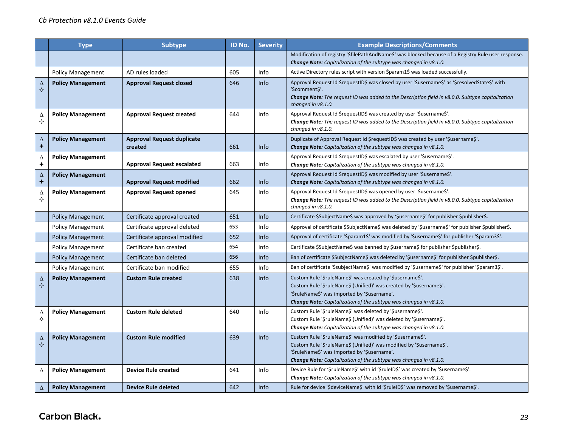|                 | <b>Type</b>              | <b>Subtype</b>                               | ID No. | <b>Severity</b> | <b>Example Descriptions/Comments</b>                                                                                                                                                                                                                         |
|-----------------|--------------------------|----------------------------------------------|--------|-----------------|--------------------------------------------------------------------------------------------------------------------------------------------------------------------------------------------------------------------------------------------------------------|
|                 |                          |                                              |        |                 | Modification of registry '\$filePathAndName\$' was blocked because of a Registry Rule user response.<br>Change Note: Capitalization of the subtype was changed in v8.1.0.                                                                                    |
|                 | <b>Policy Management</b> | AD rules loaded                              | 605    | Info            | Active Directory rules script with version \$param1\$ was loaded successfully.                                                                                                                                                                               |
| Δ<br>✧          | <b>Policy Management</b> | <b>Approval Request closed</b>               | 646    | Info            | Approval Request Id \$requestID\$ was closed by user '\$username\$' as '\$resolvedState\$' with<br>'\$comment\$'.<br><b>Change Note:</b> The request ID was added to the Description field in v8.0.0. Subtype capitalization<br>changed in v8.1.0.           |
| Δ<br>✧          | <b>Policy Management</b> | <b>Approval Request created</b>              | 644    | Info            | Approval Request Id \$requestID\$ was created by user '\$username\$'.<br><b>Change Note:</b> The request ID was added to the Description field in v8.0.0. Subtype capitalization<br>changed in v8.1.0.                                                       |
| Δ<br>$\bigstar$ | <b>Policy Management</b> | <b>Approval Request duplicate</b><br>created | 661    | Info            | Duplicate of Approval Request Id \$requestID\$ was created by user '\$username\$'.<br>Change Note: Capitalization of the subtype was changed in v8.1.0.                                                                                                      |
| Δ<br>✦          | <b>Policy Management</b> | <b>Approval Request escalated</b>            | 663    | Info            | Approval Request Id \$requestID\$ was escalated by user '\$username\$'.<br>Change Note: Capitalization of the subtype was changed in v8.1.0.                                                                                                                 |
| Δ<br>$\bigstar$ | <b>Policy Management</b> | <b>Approval Request modified</b>             | 662    | <b>Info</b>     | Approval Request Id \$requestID\$ was modified by user '\$username\$'.<br>Change Note: Capitalization of the subtype was changed in v8.1.0.                                                                                                                  |
| Δ<br>✧          | <b>Policy Management</b> | <b>Approval Request opened</b>               | 645    | Info            | Approval Request Id \$requestID\$ was opened by user '\$username\$'.<br>Change Note: The request ID was added to the Description field in v8.0.0. Subtype capitalization<br>changed in v8.1.0.                                                               |
|                 | <b>Policy Management</b> | Certificate approval created                 | 651    | Info            | Certificate \$SubjectName\$ was approved by '\$username\$' for publisher \$publisher\$.                                                                                                                                                                      |
|                 | <b>Policy Management</b> | Certificate approval deleted                 | 653    | Info            | Approval of certificate \$SubjectName\$ was deleted by '\$username\$' for publisher \$publisher\$.                                                                                                                                                           |
|                 | <b>Policy Management</b> | Certificate approval modified                | 652    | Info            | Approval of certificate '\$param1\$' was modified by '\$username\$' for publisher '\$param3\$'.                                                                                                                                                              |
|                 | <b>Policy Management</b> | Certificate ban created                      | 654    | Info            | Certificate \$SubjectName\$ was banned by \$username\$ for publisher \$publisher\$.                                                                                                                                                                          |
|                 | <b>Policy Management</b> | Certificate ban deleted                      | 656    | Info            | Ban of certificate \$SubjectName\$ was deleted by '\$username\$' for publisher \$publisher\$.                                                                                                                                                                |
|                 | <b>Policy Management</b> | Certificate ban modified                     | 655    | Info            | Ban of certificate '\$subjectName\$' was modified by '\$username\$' for publisher '\$param3\$'.                                                                                                                                                              |
| Δ<br>♦          | <b>Policy Management</b> | <b>Custom Rule created</b>                   | 638    | <b>Info</b>     | Custom Rule '\$ruleName\$' was created by '\$username\$'.<br>Custom Rule '\$ruleName\$ (Unified)' was created by '\$username\$'.<br>'\$ruleName\$' was imported by '\$username'.<br><b>Change Note:</b> Capitalization of the subtype was changed in v8.1.0. |
| Δ<br>✧          | <b>Policy Management</b> | <b>Custom Rule deleted</b>                   | 640    | Info            | Custom Rule '\$ruleName\$' was deleted by '\$username\$'.<br>Custom Rule '\$ruleName\$ (Unified)' was deleted by '\$username\$'.<br>Change Note: Capitalization of the subtype was changed in v8.1.0.                                                        |
| Δ<br>✧          | <b>Policy Management</b> | <b>Custom Rule modified</b>                  | 639    | Info            | Custom Rule '\$ruleName\$' was modified by '\$username\$'.<br>Custom Rule '\$ruleName\$ (Unified)' was modified by '\$username\$'.<br>'\$ruleName\$' was imported by '\$username'.<br>Change Note: Capitalization of the subtype was changed in v8.1.0.      |
| Δ               | <b>Policy Management</b> | <b>Device Rule created</b>                   | 641    | Info            | Device Rule for '\$ruleName\$' with id '\$ruleID\$' was created by '\$username\$'.<br>Change Note: Capitalization of the subtype was changed in v8.1.0.                                                                                                      |
| Δ               | <b>Policy Management</b> | <b>Device Rule deleted</b>                   | 642    | Info            | Rule for device '\$deviceName\$' with id '\$ruleID\$' was removed by '\$username\$'.                                                                                                                                                                         |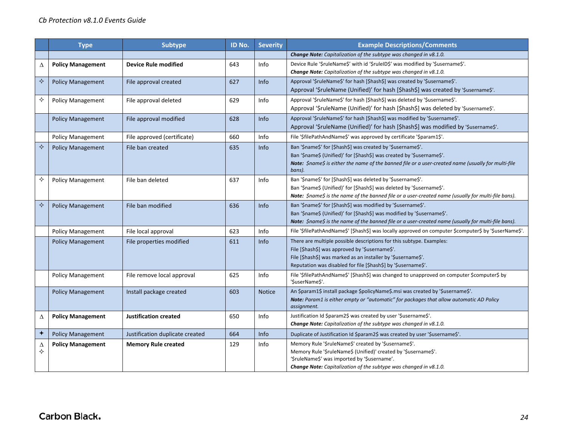|   | <b>Type</b>              | <b>Subtype</b>                  | ID No. | <b>Severity</b> | <b>Example Descriptions/Comments</b>                                                                           |
|---|--------------------------|---------------------------------|--------|-----------------|----------------------------------------------------------------------------------------------------------------|
|   |                          |                                 |        |                 | Change Note: Capitalization of the subtype was changed in v8.1.0.                                              |
| Δ | <b>Policy Management</b> | <b>Device Rule modified</b>     | 643    | Info            | Device Rule '\$ruleName\$' with id '\$ruleID\$' was modified by '\$username\$'.                                |
|   |                          |                                 |        |                 | Change Note: Capitalization of the subtype was changed in v8.1.0.                                              |
| ❖ | <b>Policy Management</b> | File approval created           | 627    | <b>Info</b>     | Approval '\$ruleName\$' for hash [\$hash\$] was created by '\$username\$'.                                     |
|   |                          |                                 |        |                 | Approval '\$ruleName (Unified)' for hash [\$hash\$] was created by '\$username\$'.                             |
| ✧ | <b>Policy Management</b> | File approval deleted           | 629    | Info            | Approval '\$ruleName\$' for hash [\$hash\$] was deleted by '\$username\$'.                                     |
|   |                          |                                 |        |                 | Approval '\$ruleName (Unified)' for hash [\$hash\$] was deleted by '\$username\$'.                             |
|   | <b>Policy Management</b> | File approval modified          | 628    | <b>Info</b>     | Approval '\$ruleName\$' for hash [\$hash\$] was modified by '\$username\$'.                                    |
|   |                          |                                 |        |                 | Approval '\$ruleName (Unified)' for hash [\$hash\$] was modified by '\$username\$'.                            |
|   | <b>Policy Management</b> | File approved (certificate)     | 660    | Info            | File '\$filePathAndName\$' was approved by certificate '\$param1\$'.                                           |
| ✧ | <b>Policy Management</b> | File ban created                | 635    | <b>Info</b>     | Ban '\$name\$' for [\$hash\$] was created by '\$username\$'.                                                   |
|   |                          |                                 |        |                 | Ban '\$name\$ (Unified)' for [\$hash\$] was created by '\$username\$'.                                         |
|   |                          |                                 |        |                 | Note: \$name\$ is either the name of the banned file or a user-created name (usually for multi-file<br>bans).  |
| ✧ |                          |                                 | 637    | Info            | Ban '\$name\$' for [\$hash\$] was deleted by '\$username\$'.                                                   |
|   | <b>Policy Management</b> | File ban deleted                |        |                 | Ban '\$name\$ (Unified)' for [\$hash\$] was deleted by '\$username\$'.                                         |
|   |                          |                                 |        |                 | Note: \$name\$ is the name of the banned file or a user-created name (usually for multi-file bans).            |
| ✧ | <b>Policy Management</b> | File ban modified               | 636    | Info            | Ban '\$name\$' for [\$hash\$] was modified by '\$username\$'.                                                  |
|   |                          |                                 |        |                 | Ban '\$name\$ (Unified)' for [\$hash\$] was modified by '\$username\$'.                                        |
|   |                          |                                 |        |                 | Note: \$name\$ is the name of the banned file or a user-created name (usually for multi-file bans).            |
|   | <b>Policy Management</b> | File local approval             | 623    | Info            | File '\$filePathAndName\$' [\$hash\$] was locally approved on computer \$computer\$ by '\$userName\$'.         |
|   | <b>Policy Management</b> | File properties modified        | 611    | <b>Info</b>     | There are multiple possible descriptions for this subtype. Examples:                                           |
|   |                          |                                 |        |                 | File [\$hash\$] was approved by '\$username\$'.                                                                |
|   |                          |                                 |        |                 | File [\$hash\$] was marked as an installer by '\$username\$'.                                                  |
|   |                          |                                 |        |                 | Reputation was disabled for file [\$hash\$] by '\$username\$'.                                                 |
|   | <b>Policy Management</b> | File remove local approval      | 625    | Info            | File '\$filePathAndName\$' [\$hash\$] was changed to unapproved on computer \$computer\$ by<br>'\$userName\$'. |
|   | <b>Policy Management</b> | Install package created         | 603    | <b>Notice</b>   | An \$param1\$ install package \$policyName\$.msi was created by '\$username\$'.                                |
|   |                          |                                 |        |                 | <b>Note:</b> Param1 is either empty or "automatic" for packages that allow automatic AD Policy<br>assignment.  |
| Δ | <b>Policy Management</b> | <b>Justification created</b>    | 650    | Info            | Justification Id Sparam2\$ was created by user '\$username\$'.                                                 |
|   |                          |                                 |        |                 | Change Note: Capitalization of the subtype was changed in v8.1.0.                                              |
| ✦ | <b>Policy Management</b> | Justification duplicate created | 664    | Info            | Duplicate of Justification Id \$param2\$ was created by user '\$username\$'.                                   |
| Δ | <b>Policy Management</b> | <b>Memory Rule created</b>      | 129    | Info            | Memory Rule '\$ruleName\$' created by '\$username\$'.                                                          |
| ✧ |                          |                                 |        |                 | Memory Rule '\$ruleName\$ (Unified)' created by '\$username\$'.                                                |
|   |                          |                                 |        |                 | '\$ruleName\$' was imported by '\$username'.                                                                   |
|   |                          |                                 |        |                 | <b>Change Note:</b> Capitalization of the subtype was changed in v8.1.0.                                       |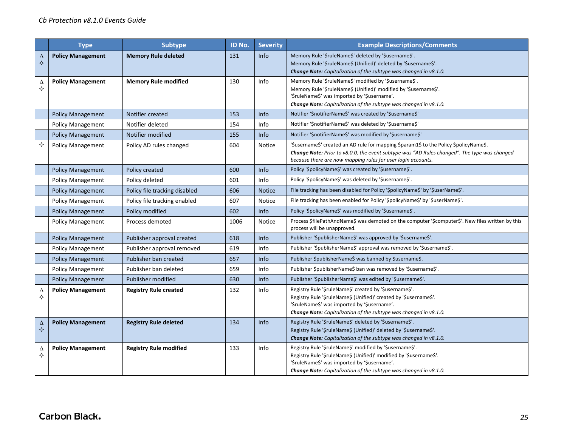|                        | <b>Type</b>              | <b>Subtype</b>                | ID No. | <b>Severity</b> | <b>Example Descriptions/Comments</b>                                                                                                                                                                                                                          |
|------------------------|--------------------------|-------------------------------|--------|-----------------|---------------------------------------------------------------------------------------------------------------------------------------------------------------------------------------------------------------------------------------------------------------|
| Δ<br>$\Leftrightarrow$ | <b>Policy Management</b> | <b>Memory Rule deleted</b>    | 131    | <b>Info</b>     | Memory Rule '\$ruleName\$' deleted by '\$username\$'.<br>Memory Rule '\$ruleName\$ (Unified)' deleted by '\$username\$'.<br>Change Note: Capitalization of the subtype was changed in v8.1.0.                                                                 |
| Δ<br>✧                 | <b>Policy Management</b> | <b>Memory Rule modified</b>   | 130    | Info            | Memory Rule '\$ruleName\$' modified by '\$username\$'.<br>Memory Rule '\$ruleName\$ (Unified)' modified by '\$username\$'.<br>'\$ruleName\$' was imported by '\$username'.<br><b>Change Note:</b> Capitalization of the subtype was changed in v8.1.0.        |
|                        | <b>Policy Management</b> | Notifier created              | 153    | Info            | Notifier '\$notifierName\$' was created by '\$username\$'                                                                                                                                                                                                     |
|                        | <b>Policy Management</b> | Notifier deleted              | 154    | Info            | Notifier '\$notifierName\$' was deleted by '\$username\$'                                                                                                                                                                                                     |
|                        | <b>Policy Management</b> | Notifier modified             | 155    | Info            | Notifier '\$notifierName\$' was modified by '\$username\$'                                                                                                                                                                                                    |
| ✧                      | <b>Policy Management</b> | Policy AD rules changed       | 604    | <b>Notice</b>   | '\$username\$' created an AD rule for mapping \$param1\$ to the Policy \$policyName\$.<br><b>Change Note:</b> Prior to v8.0.0, the event subtype was "AD Rules changed". The type was changed<br>because there are now mapping rules for user login accounts. |
|                        | <b>Policy Management</b> | Policy created                | 600    | Info            | Policy '\$policyName\$' was created by '\$username\$'.                                                                                                                                                                                                        |
|                        | <b>Policy Management</b> | Policy deleted                | 601    | Info            | Policy '\$policyName\$' was deleted by '\$username\$'.                                                                                                                                                                                                        |
|                        | <b>Policy Management</b> | Policy file tracking disabled | 606    | <b>Notice</b>   | File tracking has been disabled for Policy '\$policyName\$' by '\$userName\$'.                                                                                                                                                                                |
|                        | <b>Policy Management</b> | Policy file tracking enabled  | 607    | Notice          | File tracking has been enabled for Policy '\$policyName\$' by '\$userName\$'.                                                                                                                                                                                 |
|                        | <b>Policy Management</b> | Policy modified               | 602    | Info            | Policy '\$policyName\$' was modified by '\$username\$'.                                                                                                                                                                                                       |
|                        | <b>Policy Management</b> | Process demoted               | 1006   | <b>Notice</b>   | Process \$filePathAndName\$ was demoted on the computer '\$computer\$'. New files written by this<br>process will be unapproved.                                                                                                                              |
|                        | <b>Policy Management</b> | Publisher approval created    | 618    | <b>Info</b>     | Publisher '\$publisherName\$' was approved by '\$username\$'.                                                                                                                                                                                                 |
|                        | <b>Policy Management</b> | Publisher approval removed    | 619    | Info            | Publisher '\$publisherName\$' approval was removed by '\$username\$'.                                                                                                                                                                                         |
|                        | <b>Policy Management</b> | Publisher ban created         | 657    | Info            | Publisher \$publisherName\$ was banned by \$username\$.                                                                                                                                                                                                       |
|                        | <b>Policy Management</b> | Publisher ban deleted         | 659    | Info            | Publisher \$publisherName\$ ban was removed by '\$username\$'.                                                                                                                                                                                                |
|                        | <b>Policy Management</b> | Publisher modified            | 630    | <b>Info</b>     | Publisher '\$publisherName\$' was edited by '\$username\$'.                                                                                                                                                                                                   |
| Δ<br>✧                 | <b>Policy Management</b> | <b>Registry Rule created</b>  | 132    | Info            | Registry Rule '\$ruleName\$' created by '\$username\$'.<br>Registry Rule '\$ruleName\$ (Unified)' created by '\$username\$'.<br>'\$ruleName\$' was imported by '\$username'.<br>Change Note: Capitalization of the subtype was changed in v8.1.0.             |
| Δ<br>♦                 | <b>Policy Management</b> | <b>Registry Rule deleted</b>  | 134    | Info            | Registry Rule '\$ruleName\$' deleted by '\$username\$'.<br>Registry Rule '\$ruleName\$ (Unified)' deleted by '\$username\$'.<br>Change Note: Capitalization of the subtype was changed in v8.1.0.                                                             |
| Δ<br>♦                 | <b>Policy Management</b> | <b>Registry Rule modified</b> | 133    | Info            | Registry Rule '\$ruleName\$' modified by '\$username\$'.<br>Registry Rule '\$ruleName\$ (Unified)' modified by '\$username\$'.<br>'\$ruleName\$' was imported by '\$username'.<br>Change Note: Capitalization of the subtype was changed in v8.1.0.           |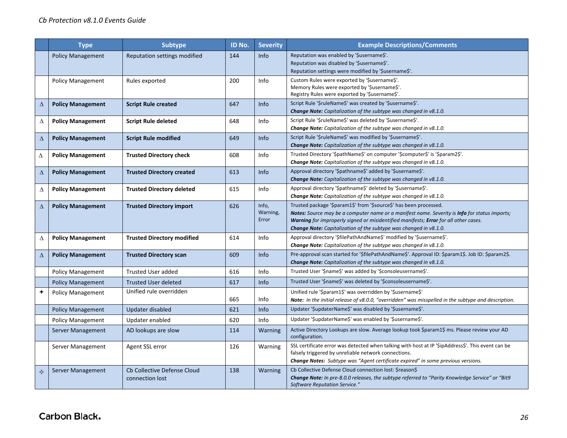|          | <b>Type</b>              | <b>Subtype</b>                                 | ID No. | <b>Severity</b>            | <b>Example Descriptions/Comments</b>                                                                                                                                                                                                                                                                                             |
|----------|--------------------------|------------------------------------------------|--------|----------------------------|----------------------------------------------------------------------------------------------------------------------------------------------------------------------------------------------------------------------------------------------------------------------------------------------------------------------------------|
|          | <b>Policy Management</b> | Reputation settings modified                   | 144    | <b>Info</b>                | Reputation was enabled by '\$username\$'.<br>Reputation was disabled by '\$username\$'.<br>Reputation settings were modified by '\$username\$'.                                                                                                                                                                                  |
|          | <b>Policy Management</b> | Rules exported                                 | 200    | Info                       | Custom Rules were exported by '\$username\$'.<br>Memory Rules were exported by '\$username\$'.<br>Registry Rules were exported by '\$username\$'.                                                                                                                                                                                |
| $\Delta$ | <b>Policy Management</b> | <b>Script Rule created</b>                     | 647    | Info                       | Script Rule '\$ruleName\$' was created by '\$username\$'.<br><b>Change Note:</b> Capitalization of the subtype was changed in v8.1.0.                                                                                                                                                                                            |
| Δ        | <b>Policy Management</b> | <b>Script Rule deleted</b>                     | 648    | Info                       | Script Rule '\$ruleName\$' was deleted by '\$username\$'.<br>Change Note: Capitalization of the subtype was changed in v8.1.0.                                                                                                                                                                                                   |
| $\Delta$ | <b>Policy Management</b> | <b>Script Rule modified</b>                    | 649    | Info                       | Script Rule '\$ruleName\$' was modified by '\$username\$'.<br>Change Note: Capitalization of the subtype was changed in v8.1.0.                                                                                                                                                                                                  |
| Δ        | <b>Policy Management</b> | <b>Trusted Directory check</b>                 | 608    | Info                       | Trusted Directory '\$pathName\$' on computer '\$computer\$' is '\$param2\$'.<br>Change Note: Capitalization of the subtype was changed in v8.1.0.                                                                                                                                                                                |
| Δ        | <b>Policy Management</b> | <b>Trusted Directory created</b>               | 613    | Info                       | Approval directory '\$pathname\$' added by '\$username\$'.<br>Change Note: Capitalization of the subtype was changed in v8.1.0.                                                                                                                                                                                                  |
| Δ        | <b>Policy Management</b> | <b>Trusted Directory deleted</b>               | 615    | Info                       | Approval directory '\$pathname\$' deleted by '\$username\$'.<br>Change Note: Capitalization of the subtype was changed in v8.1.0.                                                                                                                                                                                                |
| Δ        | <b>Policy Management</b> | <b>Trusted Directory import</b>                | 626    | Info,<br>Warning,<br>Error | Trusted package '\$param1\$' from '\$source\$' has been processed.<br>Notes: Source may be a computer name or a manifest name. Severity is Info for status imports;<br>Warning for improperly signed or misidentified manifests; Error for all other cases.<br>Change Note: Capitalization of the subtype was changed in v8.1.0. |
| Δ        | <b>Policy Management</b> | <b>Trusted Directory modified</b>              | 614    | Info                       | Approval directory '\$filePathAndName\$' modified by '\$username\$'.<br>Change Note: Capitalization of the subtype was changed in v8.1.0.                                                                                                                                                                                        |
| Δ        | <b>Policy Management</b> | <b>Trusted Directory scan</b>                  | 609    | Info                       | Pre-approval scan started for '\$filePathAndName\$'. Approval ID: \$param1\$. Job ID: \$param2\$.<br><b>Change Note:</b> Capitalization of the subtype was changed in v8.1.0.                                                                                                                                                    |
|          | <b>Policy Management</b> | Trusted User added                             | 616    | Info                       | Trusted User '\$name\$' was added by '\$consoleusername\$'.                                                                                                                                                                                                                                                                      |
|          | <b>Policy Management</b> | <b>Trusted User deleted</b>                    | 617    | <b>Info</b>                | Trusted User '\$name\$' was deleted by '\$consoleusername\$'.                                                                                                                                                                                                                                                                    |
| ✦        | <b>Policy Management</b> | Unified rule overridden                        | 665    | Info                       | Unified rule '\$param1\$' was overridden by '\$username\$'<br>Note: In the initial release of v8.0.0, "overridden" was misspelled in the subtype and description.                                                                                                                                                                |
|          | <b>Policy Management</b> | Updater disabled                               | 621    | Info                       | Updater '\$updaterName\$' was disabled by '\$username\$'.                                                                                                                                                                                                                                                                        |
|          | <b>Policy Management</b> | Updater enabled                                | 620    | Info                       | Updater '\$updaterName\$' was enabled by '\$username\$'.                                                                                                                                                                                                                                                                         |
|          | Server Management        | AD lookups are slow                            | 114    | <b>Warning</b>             | Active Directory Lookups are slow. Average lookup took \$param1\$ ms. Please review your AD<br>configuration.                                                                                                                                                                                                                    |
|          | Server Management        | Agent SSL error                                | 126    | Warning                    | SSL certificate error was detected when talking with host at IP '\$ipAddress\$'. This event can be<br>falsely triggered by unreliable network connections.<br>Change Notes: Subtype was "Agent certificate expired" in some previous versions.                                                                                   |
| ❖        | Server Management        | Cb Collective Defense Cloud<br>connection lost | 138    | <b>Warning</b>             | Cb Collective Defense Cloud connection lost: \$reason\$<br>Change Note: In pre-8.0.0 releases, the subtype referred to "Parity Knowledge Service" or "Bit9<br>Software Reputation Service."                                                                                                                                      |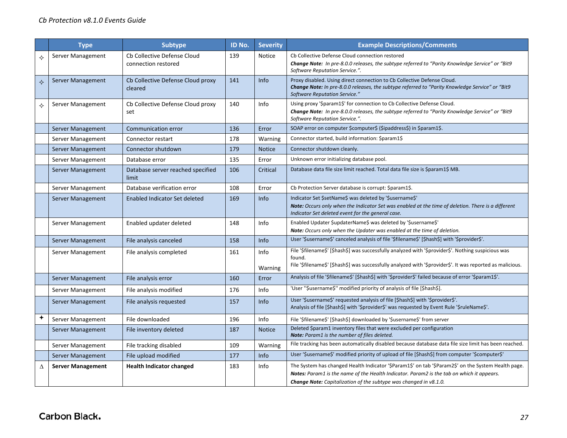|   | <b>Type</b>              | <b>Subtype</b>                                     | ID No. | <b>Severity</b> | <b>Example Descriptions/Comments</b>                                                                                                                                                                                                                                  |
|---|--------------------------|----------------------------------------------------|--------|-----------------|-----------------------------------------------------------------------------------------------------------------------------------------------------------------------------------------------------------------------------------------------------------------------|
| ❖ | Server Management        | Cb Collective Defense Cloud<br>connection restored | 139    | <b>Notice</b>   | Cb Collective Defense Cloud connection restored<br>Change Note: In pre-8.0.0 releases, the subtype referred to "Parity Knowledge Service" or "Bit9<br>Software Reputation Service.".                                                                                  |
| ❖ | Server Management        | Cb Collective Defense Cloud proxy<br>cleared       | 141    | Info            | Proxy disabled. Using direct connection to Cb Collective Defense Cloud.<br>Change Note: In pre-8.0.0 releases, the subtype referred to "Parity Knowledge Service" or "Bit9<br>Software Reputation Service."                                                           |
| ❖ | Server Management        | Cb Collective Defense Cloud proxy<br>set           | 140    | Info            | Using proxy '\$param1\$' for connection to Cb Collective Defense Cloud.<br>Change Note: In pre-8.0.0 releases, the subtype referred to "Parity Knowledge Service" or "Bit9<br>Software Reputation Service.".                                                          |
|   | Server Management        | Communication error                                | 136    | Error           | SOAP error on computer \$computer\$ (\$ipaddress\$) in \$param1\$.                                                                                                                                                                                                    |
|   | Server Management        | Connector restart                                  | 178    | Warning         | Connector started, build information: \$param1\$                                                                                                                                                                                                                      |
|   | Server Management        | Connector shutdown                                 | 179    | <b>Notice</b>   | Connector shutdown cleanly.                                                                                                                                                                                                                                           |
|   | Server Management        | Database error                                     | 135    | Error           | Unknown error initializing database pool.                                                                                                                                                                                                                             |
|   | Server Management        | Database server reached specified<br>limit         | 106    | Critical        | Database data file size limit reached. Total data file size is \$param1\$ MB.                                                                                                                                                                                         |
|   | Server Management        | Database verification error                        | 108    | Error           | Cb Protection Server database is corrupt: \$param1\$.                                                                                                                                                                                                                 |
|   | Server Management        | Enabled Indicator Set deleted                      | 169    | Info            | Indicator Set \$setName\$ was deleted by '\$username\$'<br>Note: Occurs only when the Indicator Set was enabled at the time of deletion. There is a different<br>Indicator Set deleted event for the general case.                                                    |
|   | Server Management        | Enabled updater deleted                            | 148    | Info            | Enabled Updater \$updaterName\$ was deleted by '\$username\$'<br>Note: Occurs only when the Updater was enabled at the time of deletion.                                                                                                                              |
|   | Server Management        | File analysis canceled                             | 158    | <b>Info</b>     | User '\$username\$' canceled analysis of file '\$filename\$' [\$hash\$] with '\$provider\$'.                                                                                                                                                                          |
|   | Server Management        | File analysis completed                            | 161    | Info<br>Warning | File '\$filename\$' [\$hash\$] was successfully analyzed with '\$provider\$'. Nothing suspicious was<br>found.<br>File '\$filename\$' [\$hash\$] was successfully analyzed with '\$provider\$'. It was reported as malicious.                                         |
|   | Server Management        | File analysis error                                | 160    | Error           | Analysis of file '\$filename\$' [\$hash\$] with '\$provider\$' failed because of error '\$param1\$'.                                                                                                                                                                  |
|   | Server Management        | File analysis modified                             | 176    | Info            | 'User "\$username\$" modified priority of analysis of file [\$hash\$].                                                                                                                                                                                                |
|   | Server Management        | File analysis requested                            | 157    | Info            | User '\$username\$' requested analysis of file [\$hash\$] with '\$provider\$'.<br>Analysis of file [\$hash\$] with '\$provider\$' was requested by Event Rule '\$ruleName\$'.                                                                                         |
| ✦ | Server Management        | File downloaded                                    | 196    | Info            | File '\$filename\$' [\$hash\$] downloaded by '\$username\$' from server                                                                                                                                                                                               |
|   | Server Management        | File inventory deleted                             | 187    | <b>Notice</b>   | Deleted \$param1 inventory files that were excluded per configuration<br>Note: Param1 is the number of files deleted.                                                                                                                                                 |
|   | Server Management        | File tracking disabled                             | 109    | Warning         | File tracking has been automatically disabled because database data file size limit has been reached.                                                                                                                                                                 |
|   | Server Management        | File upload modified                               | 177    | <b>Info</b>     | User '\$username\$' modified priority of upload of file [\$hash\$] from computer '\$computer\$'                                                                                                                                                                       |
| Δ | <b>Server Management</b> | <b>Health Indicator changed</b>                    | 183    | Info            | The System has changed Health Indicator '\$Param1\$' on tab '\$Param2\$' on the System Health page.<br>Notes: Param1 is the name of the Health Indicator. Param2 is the tab on which it appears.<br>Change Note: Capitalization of the subtype was changed in v8.1.0. |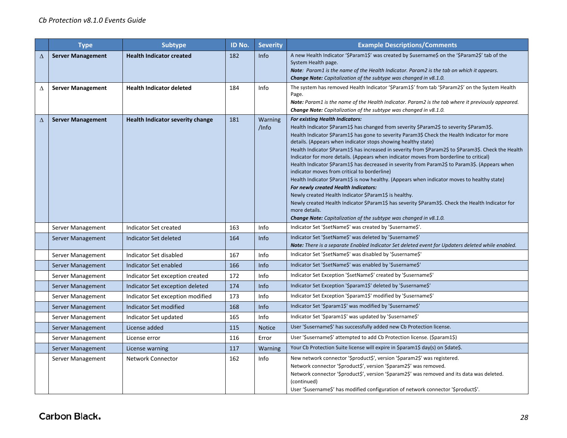|   | <b>Type</b>              | <b>Subtype</b>                          | ID No. | <b>Severity</b>  | <b>Example Descriptions/Comments</b>                                                                                                                                                                                                                                                                                                                                                                                                                                                                                                                                                                                                                                                                                                                                                                                                                                                                                                                                                                                                                 |
|---|--------------------------|-----------------------------------------|--------|------------------|------------------------------------------------------------------------------------------------------------------------------------------------------------------------------------------------------------------------------------------------------------------------------------------------------------------------------------------------------------------------------------------------------------------------------------------------------------------------------------------------------------------------------------------------------------------------------------------------------------------------------------------------------------------------------------------------------------------------------------------------------------------------------------------------------------------------------------------------------------------------------------------------------------------------------------------------------------------------------------------------------------------------------------------------------|
| Δ | <b>Server Management</b> | <b>Health Indicator created</b>         | 182    | <b>Info</b>      | A new Health Indicator '\$Param1\$' was created by \$username\$ on the '\$Param2\$' tab of the<br>System Health page.<br>Note: Param1 is the name of the Health Indicator. Param2 is the tab on which it appears.<br>Change Note: Capitalization of the subtype was changed in v8.1.0.                                                                                                                                                                                                                                                                                                                                                                                                                                                                                                                                                                                                                                                                                                                                                               |
| Δ | <b>Server Management</b> | <b>Health Indicator deleted</b>         | 184    | Info             | The system has removed Health Indicator '\$Param1\$' from tab '\$Param2\$' on the System Health<br>Page.<br>Note: Param1 is the name of the Health Indicator. Param2 is the tab where it previously appeared.<br>Change Note: Capitalization of the subtype was changed in v8.1.0.                                                                                                                                                                                                                                                                                                                                                                                                                                                                                                                                                                                                                                                                                                                                                                   |
| Δ | <b>Server Management</b> | <b>Health Indicator severity change</b> | 181    | Warning<br>/Info | <b>For existing Health Indicators:</b><br>Health Indicator \$Param1\$ has changed from severity \$Param2\$ to severity \$Param3\$.<br>Health Indicator \$Param1\$ has gone to severity Param3\$ Check the Health Indicator for more<br>details. (Appears when indicator stops showing healthy state)<br>Health Indicator \$Param1\$ has increased in severity from \$Param2\$ to \$Param3\$. Check the Health<br>Indicator for more details. (Appears when indicator moves from borderline to critical)<br>Health Indicator \$Param1\$ has decreased in severity from Param2\$ to Param3\$. (Appears when<br>indicator moves from critical to borderline)<br>Health Indicator \$Param1\$ is now healthy. (Appears when indicator moves to healthy state)<br>For newly created Health Indicators:<br>Newly created Health Indicator \$Param1\$ is healthy.<br>Newly created Health Indicator \$Param1\$ has severity \$Param3\$. Check the Health Indicator for<br>more details.<br>Change Note: Capitalization of the subtype was changed in v8.1.0. |
|   | Server Management        | Indicator Set created                   | 163    | Info             | Indicator Set '\$setName\$' was created by '\$username\$'.                                                                                                                                                                                                                                                                                                                                                                                                                                                                                                                                                                                                                                                                                                                                                                                                                                                                                                                                                                                           |
|   | Server Management        | Indicator Set deleted                   | 164    | <b>Info</b>      | Indicator Set '\$setName\$' was deleted by '\$username\$'<br>Note: There is a separate Enabled Indicator Set deleted event for Updaters deleted while enabled.                                                                                                                                                                                                                                                                                                                                                                                                                                                                                                                                                                                                                                                                                                                                                                                                                                                                                       |
|   | Server Management        | Indicator Set disabled                  | 167    | Info             | Indicator Set '\$setName\$' was disabled by '\$username\$'                                                                                                                                                                                                                                                                                                                                                                                                                                                                                                                                                                                                                                                                                                                                                                                                                                                                                                                                                                                           |
|   | Server Management        | Indicator Set enabled                   | 166    | Info             | Indicator Set '\$setName\$' was enabled by '\$username\$'                                                                                                                                                                                                                                                                                                                                                                                                                                                                                                                                                                                                                                                                                                                                                                                                                                                                                                                                                                                            |
|   | Server Management        | Indicator Set exception created         | 172    | Info             | Indicator Set Exception '\$setName\$' created by '\$username\$'                                                                                                                                                                                                                                                                                                                                                                                                                                                                                                                                                                                                                                                                                                                                                                                                                                                                                                                                                                                      |
|   | Server Management        | Indicator Set exception deleted         | 174    | Info             | Indicator Set Exception '\$param1\$' deleted by '\$username\$'                                                                                                                                                                                                                                                                                                                                                                                                                                                                                                                                                                                                                                                                                                                                                                                                                                                                                                                                                                                       |
|   | Server Management        | Indicator Set exception modified        | 173    | Info             | Indicator Set Exception '\$param1\$' modified by '\$username\$'                                                                                                                                                                                                                                                                                                                                                                                                                                                                                                                                                                                                                                                                                                                                                                                                                                                                                                                                                                                      |
|   | Server Management        | Indicator Set modified                  | 168    | Info             | Indicator Set '\$param1\$' was modified by '\$username\$'                                                                                                                                                                                                                                                                                                                                                                                                                                                                                                                                                                                                                                                                                                                                                                                                                                                                                                                                                                                            |
|   | Server Management        | Indicator Set updated                   | 165    | Info             | Indicator Set '\$param1\$' was updated by '\$username\$'                                                                                                                                                                                                                                                                                                                                                                                                                                                                                                                                                                                                                                                                                                                                                                                                                                                                                                                                                                                             |
|   | Server Management        | License added                           | 115    | <b>Notice</b>    | User '\$username\$' has successfully added new Cb Protection license.                                                                                                                                                                                                                                                                                                                                                                                                                                                                                                                                                                                                                                                                                                                                                                                                                                                                                                                                                                                |
|   | Server Management        | License error                           | 116    | Error            | User '\$username\$' attempted to add Cb Protection license. (\$param1\$)                                                                                                                                                                                                                                                                                                                                                                                                                                                                                                                                                                                                                                                                                                                                                                                                                                                                                                                                                                             |
|   | Server Management        | License warning                         | 117    | <b>Warning</b>   | Your Cb Protection Suite license will expire in \$param1\$ day(s) on \$date\$.                                                                                                                                                                                                                                                                                                                                                                                                                                                                                                                                                                                                                                                                                                                                                                                                                                                                                                                                                                       |
|   | Server Management        | Network Connector                       | 162    | Info             | New network connector '\$product\$', version '\$param2\$' was registered.<br>Network connector '\$product\$', version '\$param2\$' was removed.<br>Network connector '\$product\$', version '\$param2\$' was removed and its data was deleted.<br>(continued)<br>User '\$username\$' has modified configuration of network connector '\$product\$'.                                                                                                                                                                                                                                                                                                                                                                                                                                                                                                                                                                                                                                                                                                  |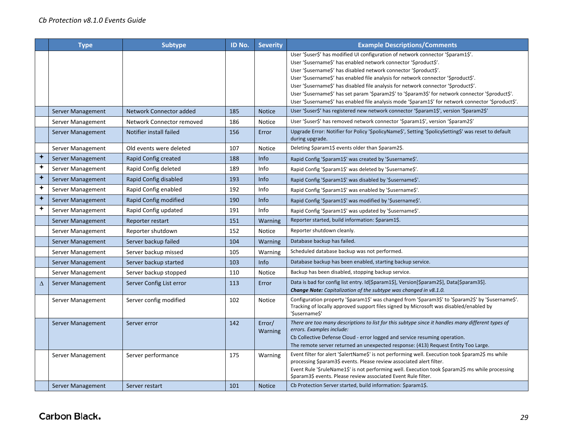|             | <b>Type</b>       | <b>Subtype</b>            | ID No. | <b>Severity</b>   | <b>Example Descriptions/Comments</b>                                                                                                                                                                                                                                                                                                                                                                                                                                                                                                                                                                                  |
|-------------|-------------------|---------------------------|--------|-------------------|-----------------------------------------------------------------------------------------------------------------------------------------------------------------------------------------------------------------------------------------------------------------------------------------------------------------------------------------------------------------------------------------------------------------------------------------------------------------------------------------------------------------------------------------------------------------------------------------------------------------------|
|             |                   |                           |        |                   | User '\$user\$' has modified UI configuration of network connector '\$param1\$'.<br>User '\$username\$' has enabled network connector '\$product\$'.<br>User '\$username\$' has disabled network connector '\$product\$'.<br>User '\$username\$' has enabled file analysis for network connector '\$product\$'.<br>User '\$username\$' has disabled file analysis for network connector '\$product\$'.<br>User '\$username\$' has set param '\$param2\$' to '\$param3\$' for network connector '\$product\$'.<br>User '\$username\$' has enabled file analysis mode '\$param1\$' for network connector '\$product\$'. |
|             | Server Management | Network Connector added   | 185    | <b>Notice</b>     | User '\$user\$' has registered new network connector '\$param1\$', version '\$param2\$'                                                                                                                                                                                                                                                                                                                                                                                                                                                                                                                               |
|             | Server Management | Network Connector removed | 186    | <b>Notice</b>     | User '\$user\$' has removed network connector '\$param1\$', version '\$param2\$'                                                                                                                                                                                                                                                                                                                                                                                                                                                                                                                                      |
|             | Server Management | Notifier install failed   | 156    | Error             | Upgrade Error: Notifier for Policy '\$policyName\$', Setting '\$policySetting\$' was reset to default<br>during upgrade.                                                                                                                                                                                                                                                                                                                                                                                                                                                                                              |
|             | Server Management | Old events were deleted   | 107    | Notice            | Deleting \$param1\$ events older than \$param2\$.                                                                                                                                                                                                                                                                                                                                                                                                                                                                                                                                                                     |
|             | Server Management | Rapid Config created      | 188    | Info              | Rapid Config '\$param1\$' was created by '\$username\$'.                                                                                                                                                                                                                                                                                                                                                                                                                                                                                                                                                              |
| $\ddotmark$ | Server Management | Rapid Config deleted      | 189    | Info              | Rapid Config '\$param1\$' was deleted by '\$username\$'.                                                                                                                                                                                                                                                                                                                                                                                                                                                                                                                                                              |
| $\bigstar$  | Server Management | Rapid Config disabled     | 193    | Info              | Rapid Config '\$param1\$' was disabled by '\$username\$'.                                                                                                                                                                                                                                                                                                                                                                                                                                                                                                                                                             |
| ✦           | Server Management | Rapid Config enabled      | 192    | Info              | Rapid Config '\$param1\$' was enabled by '\$username\$'.                                                                                                                                                                                                                                                                                                                                                                                                                                                                                                                                                              |
|             | Server Management | Rapid Config modified     | 190    | Info              | Rapid Config '\$param1\$' was modified by '\$username\$'.                                                                                                                                                                                                                                                                                                                                                                                                                                                                                                                                                             |
| ✦           | Server Management | Rapid Config updated      | 191    | Info              | Rapid Config '\$param1\$' was updated by '\$username\$'.                                                                                                                                                                                                                                                                                                                                                                                                                                                                                                                                                              |
|             | Server Management | Reporter restart          | 151    | Warning           | Reporter started, build information: \$param1\$.                                                                                                                                                                                                                                                                                                                                                                                                                                                                                                                                                                      |
|             | Server Management | Reporter shutdown         | 152    | Notice            | Reporter shutdown cleanly.                                                                                                                                                                                                                                                                                                                                                                                                                                                                                                                                                                                            |
|             | Server Management | Server backup failed      | 104    | Warning           | Database backup has failed.                                                                                                                                                                                                                                                                                                                                                                                                                                                                                                                                                                                           |
|             | Server Management | Server backup missed      | 105    | Warning           | Scheduled database backup was not performed.                                                                                                                                                                                                                                                                                                                                                                                                                                                                                                                                                                          |
|             | Server Management | Server backup started     | 103    | Info              | Database backup has been enabled, starting backup service.                                                                                                                                                                                                                                                                                                                                                                                                                                                                                                                                                            |
|             | Server Management | Server backup stopped     | 110    | Notice            | Backup has been disabled, stopping backup service.                                                                                                                                                                                                                                                                                                                                                                                                                                                                                                                                                                    |
| Δ           | Server Management | Server Config List error  | 113    | Error             | Data is bad for config list entry. Id[\$param1\$], Version[\$param2\$], Data[\$param3\$].<br>Change Note: Capitalization of the subtype was changed in v8.1.0.                                                                                                                                                                                                                                                                                                                                                                                                                                                        |
|             | Server Management | Server config modified    | 102    | Notice            | Configuration property '\$param1\$' was changed from '\$param3\$' to '\$param2\$' by '\$username\$'.<br>Tracking of locally approved support files signed by Microsoft was disabled/enabled by<br>'\$username\$'                                                                                                                                                                                                                                                                                                                                                                                                      |
|             | Server Management | Server error              | 142    | Error/<br>Warning | There are too many descriptions to list for this subtype since it handles many different types of<br>errors. Examples include:<br>Cb Collective Defense Cloud - error logged and service resuming operation.<br>The remote server returned an unexpected response: (413) Request Entity Too Large.                                                                                                                                                                                                                                                                                                                    |
|             | Server Management | Server performance        | 175    | Warning           | Event filter for alert '\$alertName\$' is not performing well. Execution took \$param2\$ ms while<br>processing \$param3\$ events. Please review associated alert filter.<br>Event Rule '\$ruleName1\$' is not performing well. Execution took \$param2\$ ms while processing<br>\$param3\$ events. Please review associated Event Rule filter.                                                                                                                                                                                                                                                                       |
|             | Server Management | Server restart            | 101    | <b>Notice</b>     | Cb Protection Server started, build information: \$param1\$.                                                                                                                                                                                                                                                                                                                                                                                                                                                                                                                                                          |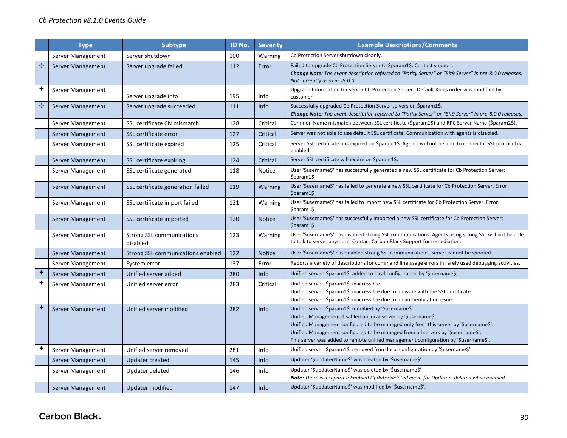|            | <b>Type</b>              | <b>Subtype</b>                               | ID No. | <b>Severity</b> | <b>Example Descriptions/Comments</b>                                                                                                                                                                                                                                                                                                                                                        |
|------------|--------------------------|----------------------------------------------|--------|-----------------|---------------------------------------------------------------------------------------------------------------------------------------------------------------------------------------------------------------------------------------------------------------------------------------------------------------------------------------------------------------------------------------------|
|            | Server Management        | Server shutdown                              | 100    | Warning         | Cb Protection Server shutdown cleanly.                                                                                                                                                                                                                                                                                                                                                      |
| ❖          | Server Management        | Server upgrade failed                        | 112    | Error           | Failed to upgrade Cb Protection Server to \$param1\$. Contact support.<br>Change Note: The event description referred to "Parity Server" or "Bit9 Server" in pre-8.0.0 releases.<br>Not currently used in v8.0.0.                                                                                                                                                                           |
| ✦          | Server Management        | Server upgrade info                          | 195    | Info            | Upgrade Information for server Cb Protection Server : Default Rules order was modified by<br>customer                                                                                                                                                                                                                                                                                       |
| ✧          | Server Management        | Server upgrade succeeded                     | 111    | Info            | Successfully upgraded Cb Protection Server to version \$param1\$.<br>Change Note: The event description referred to "Parity Server" or "Bit9 Server" in pre-8.0.0 releases.                                                                                                                                                                                                                 |
|            | Server Management        | SSL certificate CN mismatch                  | 128    | Critical        | Common Name mismatch between SSL certificate (\$param1\$) and RPC Server Name (\$param2\$).                                                                                                                                                                                                                                                                                                 |
|            | Server Management        | SSL certificate error                        | 127    | Critical        | Server was not able to use default SSL certificate. Communication with agents is disabled.                                                                                                                                                                                                                                                                                                  |
|            | Server Management        | SSL certificate expired                      | 125    | Critical        | Server SSL certificate has expired on \$param1\$. Agents will not be able to connect if SSL protocol is<br>enabled.                                                                                                                                                                                                                                                                         |
|            | Server Management        | SSL certificate expiring                     | 124    | Critical        | Server SSL certificate will expire on \$param1\$.                                                                                                                                                                                                                                                                                                                                           |
|            | Server Management        | SSL certificate generated                    | 118    | Notice          | User '\$username\$' has successfully generated a new SSL certificate for Cb Protection Server:<br>\$param1\$                                                                                                                                                                                                                                                                                |
|            | Server Management        | SSL certificate generation failed            | 119    | <b>Warning</b>  | User '\$username\$' has failed to generate a new SSL certificate for Cb Protection Server. Error:<br>\$param1\$                                                                                                                                                                                                                                                                             |
|            | Server Management        | SSL certificate import failed                | 121    | Warning         | User '\$username\$' has failed to import new SSL certificate for Cb Protection Server. Error:<br>\$param1\$                                                                                                                                                                                                                                                                                 |
|            | Server Management        | SSL certificate imported                     | 120    | <b>Notice</b>   | User '\$username\$' has successfully imported a new SSL certificate for Cb Protection Server:<br>\$param1\$                                                                                                                                                                                                                                                                                 |
|            | Server Management        | <b>Strong SSL communications</b><br>disabled | 123    | Warning         | User '\$username\$' has disabled strong SSL communications. Agents using strong SSL will not be able<br>to talk to server anymore. Contact Carbon Black Support for remediation.                                                                                                                                                                                                            |
|            | <b>Server Management</b> | Strong SSL communications enabled            | 122    | <b>Notice</b>   | User '\$username\$' has enabled strong SSL communications. Server cannot be spoofed.                                                                                                                                                                                                                                                                                                        |
|            | Server Management        | System error                                 | 137    | Error           | Reports a variety of descriptions for command line usage errors in rarely used debugging activities.                                                                                                                                                                                                                                                                                        |
| $\bigstar$ | Server Management        | Unified server added                         | 280    | Info            | Unified server '\$param1\$' added to local configuration by '\$username\$'.                                                                                                                                                                                                                                                                                                                 |
| ✦          | Server Management        | Unified server error                         | 283    | Critical        | Unified server '\$param1\$' inaccessible.<br>Unified server '\$param1\$' inaccessible due to an issue with the SSL certificate.<br>Unified server '\$param1\$' inaccessible due to an authentication issue.                                                                                                                                                                                 |
| $\,{}^*$   | Server Management        | Unified server modified                      | 282    | Info            | Unified server '\$param1\$' modified by '\$username\$'.<br>Unified Management disabled on local server by '\$username\$'.<br>Unified Management configured to be managed only from this server by '\$username\$'.<br>Unified Management configured to be managed from all servers by '\$username\$'.<br>This server was added to remote unified management configuration by '\$username\$'. |
| ×          | Server Management        | Unified server removed                       | 281    | Info            | Unified server '\$param1\$' removed from local configuration by '\$username\$'.                                                                                                                                                                                                                                                                                                             |
|            | Server Management        | Updater created                              | 145    | <b>Info</b>     | Updater '\$updaterName\$' was created by '\$username\$'                                                                                                                                                                                                                                                                                                                                     |
|            | Server Management        | Updater deleted                              | 146    | Info            | Updater '\$updaterName\$' was deleted by '\$username\$'                                                                                                                                                                                                                                                                                                                                     |
|            |                          |                                              |        |                 | Note: There is a separate Enabled Updater deleted event for Updaters deleted while enabled.                                                                                                                                                                                                                                                                                                 |
|            | Server Management        | <b>Updater modified</b>                      | 147    | <b>Info</b>     | Updater '\$updaterName\$' was modified by '\$username\$'.                                                                                                                                                                                                                                                                                                                                   |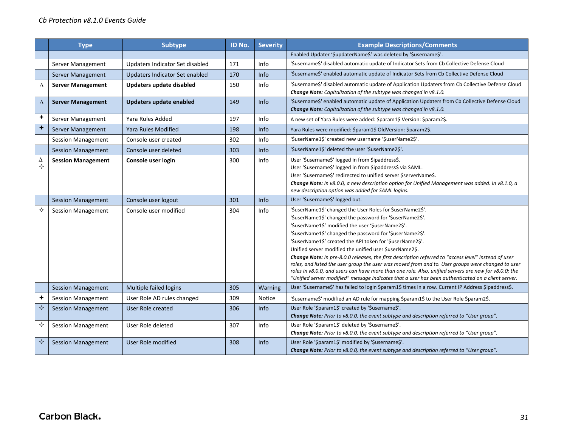|            | <b>Type</b>               | <b>Subtype</b>                  | ID No. | <b>Severity</b> | <b>Example Descriptions/Comments</b>                                                                                                                                                                                                                                                                                                                                                                                                                                                                                                                                                                                                                                                                                                                                                            |
|------------|---------------------------|---------------------------------|--------|-----------------|-------------------------------------------------------------------------------------------------------------------------------------------------------------------------------------------------------------------------------------------------------------------------------------------------------------------------------------------------------------------------------------------------------------------------------------------------------------------------------------------------------------------------------------------------------------------------------------------------------------------------------------------------------------------------------------------------------------------------------------------------------------------------------------------------|
|            |                           |                                 |        |                 | Enabled Updater '\$updaterName\$' was deleted by '\$username\$'.                                                                                                                                                                                                                                                                                                                                                                                                                                                                                                                                                                                                                                                                                                                                |
|            | Server Management         | Updaters Indicator Set disabled | 171    | Info            | '\$username\$' disabled automatic update of Indicator Sets from Cb Collective Defense Cloud                                                                                                                                                                                                                                                                                                                                                                                                                                                                                                                                                                                                                                                                                                     |
|            | Server Management         | Updaters Indicator Set enabled  | 170    | Info            | '\$username\$' enabled automatic update of Indicator Sets from Cb Collective Defense Cloud                                                                                                                                                                                                                                                                                                                                                                                                                                                                                                                                                                                                                                                                                                      |
| Δ          | <b>Server Management</b>  | <b>Updaters update disabled</b> | 150    | Info            | '\$username\$' disabled automatic update of Application Updaters from Cb Collective Defense Cloud                                                                                                                                                                                                                                                                                                                                                                                                                                                                                                                                                                                                                                                                                               |
|            |                           |                                 |        |                 | Change Note: Capitalization of the subtype was changed in v8.1.0.                                                                                                                                                                                                                                                                                                                                                                                                                                                                                                                                                                                                                                                                                                                               |
| $\Delta$   | <b>Server Management</b>  | Updaters update enabled         | 149    | Info            | '\$username\$' enabled automatic update of Application Updaters from Cb Collective Defense Cloud<br>Change Note: Capitalization of the subtype was changed in v8.1.0.                                                                                                                                                                                                                                                                                                                                                                                                                                                                                                                                                                                                                           |
| $\,{}^*$   | Server Management         | Yara Rules Added                | 197    | Info            | A new set of Yara Rules were added: \$param1\$ Version: \$param2\$.                                                                                                                                                                                                                                                                                                                                                                                                                                                                                                                                                                                                                                                                                                                             |
| $\bigstar$ | Server Management         | <b>Yara Rules Modified</b>      | 198    | Info            | Yara Rules were modified: \$param1\$ OldVersion: \$param2\$.                                                                                                                                                                                                                                                                                                                                                                                                                                                                                                                                                                                                                                                                                                                                    |
|            | <b>Session Management</b> | Console user created            | 302    | Info            | '\$userName1\$' created new username '\$userName2\$'.                                                                                                                                                                                                                                                                                                                                                                                                                                                                                                                                                                                                                                                                                                                                           |
|            | <b>Session Management</b> | Console user deleted            | 303    | <b>Info</b>     | '\$userName1\$' deleted the user '\$userName2\$'.                                                                                                                                                                                                                                                                                                                                                                                                                                                                                                                                                                                                                                                                                                                                               |
| Δ<br>❖     | <b>Session Management</b> | Console user login              | 300    | Info            | User '\$username\$' logged in from \$ipaddress\$.<br>User '\$username\$' logged in from \$ipaddress\$ via SAML.<br>User '\$username\$' redirected to unified server \$serverName\$.<br>Change Note: In v8.0.0, a new description option for Unified Management was added. In v8.1.0, a<br>new description option was added for SAML logins.                                                                                                                                                                                                                                                                                                                                                                                                                                                     |
|            | <b>Session Management</b> | Console user logout             | 301    | <b>Info</b>     | User '\$username\$' logged out.                                                                                                                                                                                                                                                                                                                                                                                                                                                                                                                                                                                                                                                                                                                                                                 |
| ✧          | <b>Session Management</b> | Console user modified           | 304    | Info            | '\$userName1\$' changed the User Roles for \$userName2\$'.<br>'\$userName1\$' changed the password for '\$userName2\$'.<br>'\$userName1\$' modified the user '\$userName2\$'.<br>'\$userName1\$' changed the password for '\$userName2\$'.<br>'\$userName1\$' created the API token for '\$userName2\$'.<br>Unified server modified the unified user \$userName2\$.<br>Change Note: In pre-8.0.0 releases, the first description referred to "access level" instead of user<br>roles, and listed the user group the user was moved from and to. User groups were changed to user<br>roles in v8.0.0, and users can have more than one role. Also, unified servers are new for v8.0.0; the<br>"Unified server modified" message indicates that a user has been authenticated on a client server. |
|            | <b>Session Management</b> | Multiple failed logins          | 305    | Warning         | User '\$username\$' has failed to login \$param1\$ times in a row. Current IP Address \$ipaddress\$.                                                                                                                                                                                                                                                                                                                                                                                                                                                                                                                                                                                                                                                                                            |
| ✦          | <b>Session Management</b> | User Role AD rules changed      | 309    | Notice          | '\$username\$' modified an AD rule for mapping \$param1\$ to the User Role \$param2\$.                                                                                                                                                                                                                                                                                                                                                                                                                                                                                                                                                                                                                                                                                                          |
| ♦          | <b>Session Management</b> | <b>User Role created</b>        | 306    | Info            | User Role '\$param1\$' created by '\$username\$'.<br>Change Note: Prior to v8.0.0, the event subtype and description referred to "User group".                                                                                                                                                                                                                                                                                                                                                                                                                                                                                                                                                                                                                                                  |
| ✧          | <b>Session Management</b> | User Role deleted               | 307    | Info            | User Role '\$param1\$' deleted by '\$username\$'.<br>Change Note: Prior to v8.0.0, the event subtype and description referred to "User group".                                                                                                                                                                                                                                                                                                                                                                                                                                                                                                                                                                                                                                                  |
| ✧          | <b>Session Management</b> | User Role modified              | 308    | Info            | User Role '\$param1\$' modified by '\$username\$'.<br><b>Change Note:</b> Prior to v8.0.0, the event subtype and description referred to "User group".                                                                                                                                                                                                                                                                                                                                                                                                                                                                                                                                                                                                                                          |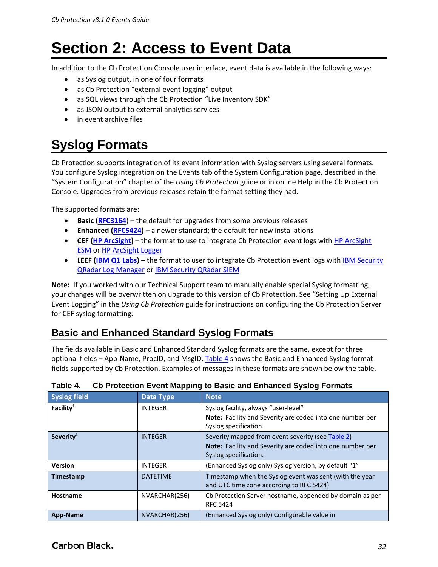# <span id="page-31-0"></span>**Section 2: Access to Event Data**

In addition to the Cb Protection Console user interface, event data is available in the following ways:

- as Syslog output, in one of four formats
- as Cb Protection "external event logging" output
- as SQL views through the Cb Protection "Live Inventory SDK"
- as JSON output to external analytics services
- in event archive files

# <span id="page-31-1"></span>**Syslog Formats**

Cb Protection supports integration of its event information with Syslog servers using several formats. You configure Syslog integration on the Events tab of the System Configuration page, described in the "System Configuration" chapter of the *Using Cb Protection* guide or in online Help in the Cb Protection Console. Upgrades from previous releases retain the format setting they had.

The supported formats are:

- **Basic [\(RFC3164](http://tools.ietf.org/search/rfc3164)**) the default for upgrades from some previous releases
- **Enhanced [\(RFC5424\)](http://tools.ietf.org/search/rfc5424)**  a newer standard; the default for new installations
- **CEF [\(HP ArcSight\)](http://www8.hp.com/us/en/software-solutions/enterprise-security.html)** the format to use to integrate Cb Protection event logs with HP [ArcSight](http://www8.hp.com/us/en/software-solutions/arcsight-esm-enterprise-security-management/index.html)  [ESM](http://www8.hp.com/us/en/software-solutions/arcsight-esm-enterprise-security-management/index.html) or [HP ArcSight Logger](http://www8.hp.com/us/en/software-solutions/arcsight-logger-log-management/index.html)
- **LEEF [\(IBM Q1 Labs\)](http://www-03.ibm.com/software/products/en/category/security-intelligence)**  the format to user to integrate Cb Protection event logs with [IBM Security](http://www-03.ibm.com/software/products/en/qradar-log-manager/)  [QRadar Log Manager](http://www-03.ibm.com/software/products/en/qradar-log-manager/) or [IBM Security QRadar SIEM](http://www-03.ibm.com/software/products/en/qradar-siem/)

**Note:** If you worked with our Technical Support team to manually enable special Syslog formatting, your changes will be overwritten on upgrade to this version of Cb Protection. See "Setting Up External Event Logging" in the *Using Cb Protection* guide for instructions on configuring the Cb Protection Server for CEF syslog formatting.

#### <span id="page-31-2"></span>**Basic and Enhanced Standard Syslog Formats**

The fields available in Basic and Enhanced Standard Syslog formats are the same, except for three optional fields – App-Name, ProcID, and MsgID. [Table 4](#page-31-3) shows the Basic and Enhanced Syslog format fields supported by Cb Protection. Examples of messages in these formats are shown below the table.

|                       | . .              |                                                                                                                                         |
|-----------------------|------------------|-----------------------------------------------------------------------------------------------------------------------------------------|
| Syslog field          | <b>Data Type</b> | <b>Note</b>                                                                                                                             |
| Facility <sup>1</sup> | <b>INTEGER</b>   | Syslog facility, always "user-level"<br>Note: Facility and Severity are coded into one number per<br>Syslog specification.              |
| Severity <sup>1</sup> | <b>INTEGER</b>   | Severity mapped from event severity (see Table 2)<br>Note: Facility and Severity are coded into one number per<br>Syslog specification. |
| <b>Version</b>        | <b>INTEGER</b>   | (Enhanced Syslog only) Syslog version, by default "1"                                                                                   |
| Timestamp             | <b>DATETIME</b>  | Timestamp when the Syslog event was sent (with the year<br>and UTC time zone according to RFC 5424)                                     |
| <b>Hostname</b>       | NVARCHAR(256)    | Cb Protection Server hostname, appended by domain as per<br><b>RFC 5424</b>                                                             |
| App-Name              | NVARCHAR(256)    | (Enhanced Syslog only) Configurable value in                                                                                            |

#### <span id="page-31-3"></span>**Table 4. Cb Protection Event Mapping to Basic and Enhanced Syslog Formats**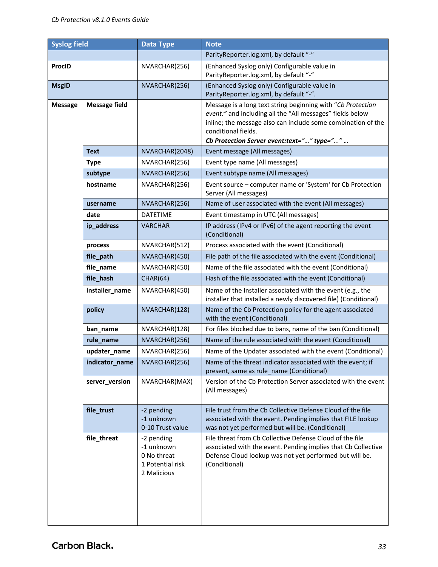| <b>Syslog field</b> |                      | <b>Data Type</b>                                                           | <b>Note</b>                                                                                                                                                                                                                                                   |  |  |
|---------------------|----------------------|----------------------------------------------------------------------------|---------------------------------------------------------------------------------------------------------------------------------------------------------------------------------------------------------------------------------------------------------------|--|--|
|                     |                      |                                                                            | ParityReporter.log.xml, by default "-"                                                                                                                                                                                                                        |  |  |
| ProcID              |                      | NVARCHAR(256)                                                              | (Enhanced Syslog only) Configurable value in<br>ParityReporter.log.xml, by default "-"                                                                                                                                                                        |  |  |
| <b>MsgID</b>        |                      | NVARCHAR(256)                                                              | (Enhanced Syslog only) Configurable value in<br>ParityReporter.log.xml, by default "-".                                                                                                                                                                       |  |  |
| <b>Message</b>      | <b>Message field</b> |                                                                            | Message is a long text string beginning with "Cb Protection<br>event:" and including all the "All messages" fields below<br>inline; the message also can include some combination of the<br>conditional fields.<br>Cb Protection Server event:text="" type="" |  |  |
|                     | <b>Text</b>          | NVARCHAR(2048)                                                             | Event message (All messages)                                                                                                                                                                                                                                  |  |  |
|                     | <b>Type</b>          | NVARCHAR(256)                                                              | Event type name (All messages)                                                                                                                                                                                                                                |  |  |
|                     | subtype              | NVARCHAR(256)                                                              | Event subtype name (All messages)                                                                                                                                                                                                                             |  |  |
|                     | hostname             | NVARCHAR(256)                                                              | Event source - computer name or 'System' for Cb Protection<br>Server (All messages)                                                                                                                                                                           |  |  |
|                     | username             | NVARCHAR(256)                                                              | Name of user associated with the event (All messages)                                                                                                                                                                                                         |  |  |
|                     | date                 | <b>DATETIME</b>                                                            | Event timestamp in UTC (All messages)                                                                                                                                                                                                                         |  |  |
|                     | ip_address           | <b>VARCHAR</b>                                                             | IP address (IPv4 or IPv6) of the agent reporting the event<br>(Conditional)                                                                                                                                                                                   |  |  |
|                     | process              | NVARCHAR(512)                                                              | Process associated with the event (Conditional)                                                                                                                                                                                                               |  |  |
|                     | file_path            | NVARCHAR(450)                                                              | File path of the file associated with the event (Conditional)                                                                                                                                                                                                 |  |  |
|                     | file_name            | NVARCHAR(450)                                                              | Name of the file associated with the event (Conditional)                                                                                                                                                                                                      |  |  |
|                     | file_hash            | CHAR(64)                                                                   | Hash of the file associated with the event (Conditional)                                                                                                                                                                                                      |  |  |
|                     | installer_name       | NVARCHAR(450)                                                              | Name of the Installer associated with the event (e.g., the<br>installer that installed a newly discovered file) (Conditional)                                                                                                                                 |  |  |
|                     | policy               | NVARCHAR(128)                                                              | Name of the Cb Protection policy for the agent associated<br>with the event (Conditional)                                                                                                                                                                     |  |  |
|                     | ban_name             | NVARCHAR(128)                                                              | For files blocked due to bans, name of the ban (Conditional)                                                                                                                                                                                                  |  |  |
|                     | rule_name            | NVARCHAR(256)                                                              | Name of the rule associated with the event (Conditional)                                                                                                                                                                                                      |  |  |
|                     | updater_name         | NVARCHAR(256)                                                              | Name of the Updater associated with the event (Conditional)                                                                                                                                                                                                   |  |  |
|                     | indicator_name       | NVARCHAR(256)                                                              | Name of the threat indicator associated with the event; if<br>present, same as rule_name (Conditional)                                                                                                                                                        |  |  |
|                     | server_version       | NVARCHAR(MAX)                                                              | Version of the Cb Protection Server associated with the event<br>(All messages)                                                                                                                                                                               |  |  |
|                     | file_trust           | -2 pending<br>-1 unknown<br>0-10 Trust value                               | File trust from the Cb Collective Defense Cloud of the file<br>associated with the event. Pending implies that FILE lookup<br>was not yet performed but will be. (Conditional)                                                                                |  |  |
|                     | file_threat          | -2 pending<br>-1 unknown<br>0 No threat<br>1 Potential risk<br>2 Malicious | File threat from Cb Collective Defense Cloud of the file<br>associated with the event. Pending implies that Cb Collective<br>Defense Cloud lookup was not yet performed but will be.<br>(Conditional)                                                         |  |  |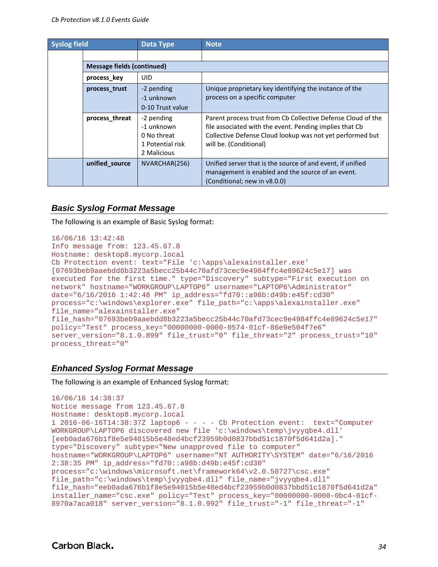| <b>Syslog field</b> |                                   | <b>Data Type</b>                                                           | <b>Note</b>                                                                                                                                                                                                    |
|---------------------|-----------------------------------|----------------------------------------------------------------------------|----------------------------------------------------------------------------------------------------------------------------------------------------------------------------------------------------------------|
|                     |                                   |                                                                            |                                                                                                                                                                                                                |
|                     | <b>Message fields (continued)</b> |                                                                            |                                                                                                                                                                                                                |
|                     | process_key                       | <b>UID</b>                                                                 |                                                                                                                                                                                                                |
|                     | process trust                     | -2 pending<br>-1 unknown<br>0-10 Trust value                               | Unique proprietary key identifying the instance of the<br>process on a specific computer                                                                                                                       |
|                     | process_threat                    | -2 pending<br>-1 unknown<br>0 No threat<br>1 Potential risk<br>2 Malicious | Parent process trust from Cb Collective Defense Cloud of the<br>file associated with the event. Pending implies that Cb<br>Collective Defense Cloud lookup was not yet performed but<br>will be. (Conditional) |
|                     | unified_source                    | NVARCHAR(256)                                                              | Unified server that is the source of and event, if unified<br>management is enabled and the source of an event.<br>(Conditional; new in v8.0.0)                                                                |

#### <span id="page-33-0"></span>*Basic Syslog Format Message*

The following is an example of Basic Syslog format:

```
16/06/16 13:42:48
Info message from: 123.45.67.8
Hostname: desktop8.mycorp.local
Cb Protection event: text="File 'c:\apps\alexainstaller.exe' 
[07693beb9aaebdd8b3223a5becc25b44c70afd73cec9e4984ffc4e89624c5e17] was 
executed for the first time." type="Discovery" subtype="First execution on 
network" hostname="WORKGROUP\LAPTOP6" username="LAPTOP6\Administrator" 
date="6/16/2016 1:42:48 PM" ip_address="fd70::a98b:d49b:e45f:cd30" 
process="c:\windows\explorer.exe" file_path="c:\apps\alexainstaller.exe" 
file_name="alexainstaller.exe" 
file_hash="07693beb9aaebdd8b3223a5becc25b44c70afd73cec9e4984ffc4e89624c5e17" 
policy="Test" process_key="00000000-0000-0574-01cf-86e9e504f7e6" 
server version="8.1.0.899" file trust="0" file threat="2" process trust="10"
process_threat="0"
```
#### <span id="page-33-1"></span>*Enhanced Syslog Format Message*

The following is an example of Enhanced Syslog format:

```
16/06/16 14:38:37
Notice message from 123.45.67.8
Hostname: desktop8.mycorp.local
1 2016-06-16T14:38:37Z laptop6 - - - - Cb Protection event: text="Computer 
WORKGROUP\LAPTOP6 discovered new file 'c:\windows\temp\jvyyqbe4.dll' 
[eeb0ada676b1f8e5e94015b5e48ed4bcf23959b0d0837bbd51c1870f5d641d2a]." 
type="Discovery" subtype="New unapproved file to computer" 
hostname="WORKGROUP\LAPTOP6" username="NT AUTHORITY\SYSTEM" date="6/16/2016
2:38:35 PM" ip_address="fd70::a98b:d49b:e45f:cd30" 
process="c:\windows\microsoft.net\framework64\v2.0.50727\csc.exe" 
file_path="c:\windows\temp\jvyyqbe4.dll" file_name="jvyyqbe4.dll" 
file_hash="eeb0ada676b1f8e5e94015b5e48ed4bcf23959b0d0837bbd51c1870f5d641d2a" 
installer_name="csc.exe" policy="Test" process_key="00000000-0000-0bc4-01cf-
8970a7aca018" server_version="8.1.0.992" file_trust="-1" file_threat="-1"
```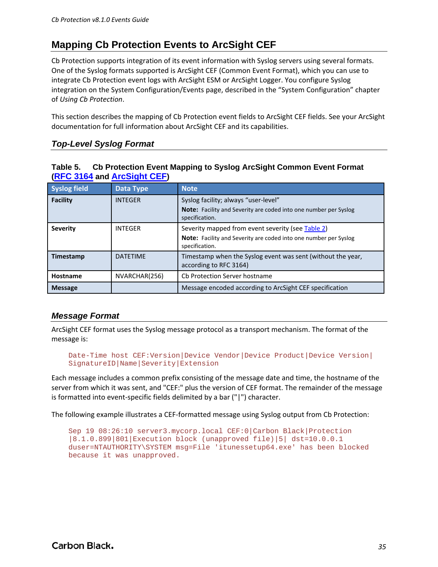#### <span id="page-34-0"></span>**Mapping Cb Protection Events to ArcSight CEF**

Cb Protection supports integration of its event information with Syslog servers using several formats. One of the Syslog formats supported is ArcSight CEF (Common Event Format), which you can use to integrate Cb Protection event logs with ArcSight ESM or ArcSight Logger. You configure Syslog integration on the System Configuration/Events page, described in the "System Configuration" chapter of *Using Cb Protection*.

This section describes the mapping of Cb Protection event fields to ArcSight CEF fields. See your ArcSight documentation for full information about ArcSight CEF and its capabilities.

#### <span id="page-34-1"></span>*Top-Level Syslog Format*

#### **Table 5. Cb Protection Event Mapping to Syslog ArcSight Common Event Format [\(RFC 3164](http://tools.ietf.org/search/rfc3164) and [ArcSight CEF\)](http://www.arcsight.com/solutions/solutions-cef/)**

| <b>Syslog field</b> | Data Type       | <b>Note</b>                                                                                                                             |
|---------------------|-----------------|-----------------------------------------------------------------------------------------------------------------------------------------|
| Facility            | <b>INTEGER</b>  | Syslog facility; always "user-level"<br><b>Note:</b> Facility and Severity are coded into one number per Syslog<br>specification.       |
| <b>Severity</b>     | <b>INTEGER</b>  | Severity mapped from event severity (see Table 2)<br>Note: Facility and Severity are coded into one number per Syslog<br>specification. |
| Timestamp           | <b>DATETIME</b> | Timestamp when the Syslog event was sent (without the year,<br>according to RFC 3164)                                                   |
| Hostname            | NVARCHAR(256)   | Cb Protection Server hostname                                                                                                           |
| <b>Message</b>      |                 | Message encoded according to ArcSight CEF specification                                                                                 |

#### <span id="page-34-2"></span>*Message Format*

ArcSight CEF format uses the Syslog message protocol as a transport mechanism. The format of the message is:

```
Date-Time host CEF:Version|Device Vendor|Device Product|Device Version|
SignatureID|Name|Severity|Extension
```
Each message includes a common prefix consisting of the message date and time, the hostname of the server from which it was sent, and "CEF:" plus the version of CEF format. The remainder of the message is formatted into event-specific fields delimited by a bar ("|") character.

The following example illustrates a CEF-formatted message using Syslog output from Cb Protection:

```
Sep 19 08:26:10 server3.mycorp.local CEF:0|Carbon Black|Protection
|8.1.0.899|801|Execution block (unapproved file)|5| dst=10.0.0.1 
duser=NTAUTHORITY\SYSTEM msg=File 'itunessetup64.exe' has been blocked 
because it was unapproved.
```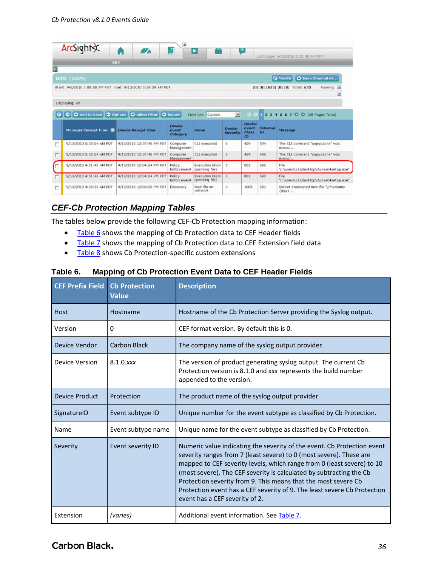|   | ArcSight≮                                                        | Ø.                         | ø<br>E                      |                                   |                                    |                                        |                | Last Login: 9/13/2010 2:32:38 AM PDT               |
|---|------------------------------------------------------------------|----------------------------|-----------------------------|-----------------------------------|------------------------------------|----------------------------------------|----------------|----------------------------------------------------|
|   |                                                                  | <b>Bit9</b>                |                             |                                   |                                    |                                        |                |                                                    |
|   |                                                                  |                            |                             |                                   |                                    |                                        |                |                                                    |
|   | Bit9 (100%)                                                      |                            |                             |                                   |                                    |                                        |                | <b>B</b> Save Channel As<br><b>@</b> Modify        |
|   | Start: 9/6/2010 5:00:00 AM PDT End: 9/13/2010 5:59:59 AM PDT     |                            |                             |                                   |                                    |                                        |                | [0] [0] [633] [0] [0] Total: 633<br>Running E<br>о |
|   | Displaying: All                                                  |                            |                             |                                   |                                    |                                        |                |                                                    |
|   | <b>O O O</b> Add to Case <b>O</b> Options <b>O</b> Inline Filter |                            | <b>O</b> Export             | Field Set: Custom                 | $\left\vert \mathbf{w}\right\vert$ |                                        |                | © © 1 2 3 4 5 6 7 0 1 (26 Pages Total)             |
|   | <b>Manager Receipt Time</b><br>$\bullet$                         | <b>Device Receipt Time</b> | Device<br>Event<br>Category | Name                              | Device<br>Severity                 | Device<br>Event<br><b>Class</b><br>ID. | External<br>ID | Message                                            |
| п | 9/13/2010 S: 25: 04 AM PDT                                       | 9/13/2010 12:37:48 PM PDT  | Computer<br>Management      | CLI executed                      | s                                  | 429                                    | 594            | The CLI command "copycache" was<br>execut          |
| г | 9/13/2010 S: 25: 04 AM PDT                                       | 9/13/2010 12:37:48 PM PDT  | Computer<br>Management      | CLI executed                      | s                                  | 429                                    | 595            | The CLI command "copycache" was<br>execut          |
|   | 9/13/2010 4:51:45 AM PDT                                         | 9/13/2010 12:04:24 PM PDT  | Policy<br>Enforcement       | Execution block<br>(pending file) | s                                  | 801                                    | 592            | File<br>'c:\users\clu\desktop\itunes64setup.exe'   |
|   | 9/13/2010 4:51:45 AM PDT                                         | 9/13/2010 12:04:24 PM PDT  | Policy<br>Enforcement       | Execution block<br>(pending file) | s                                  | 001                                    | 593            | File<br>'c:\users\clu\desktop\itunes64setup.exe'   |
| п | 9/13/2010 4:50:35 AM PDT                                         | 9/13/2010 12:02:58 PM PDT  | Discovery                   | New file on<br>network            | 4                                  | 1005                                   | 501            | Server discovered new file "\\?\Volume<br>${98e7}$ |

#### <span id="page-35-0"></span>*CEF-Cb Protection Mapping Tables*

The tables below provide the following CEF-Cb Protection mapping information:

- [Table 6](#page-35-1) shows the mapping of Cb Protection data to CEF Header fields
- [Table 7](#page-36-0) shows the mapping of Cb Protection data to CEF Extension field data
- [Table 8](#page-37-0) shows Cb Protection-specific custom extensions

#### <span id="page-35-1"></span>**Table 6. Mapping of Cb Protection Event Data to CEF Header Fields**

| <b>CEF Prefix Field</b> | <b>Cb Protection</b><br><b>Value</b> | <b>Description</b>                                                                                                                                                                                                                                                                                                                                                                                                                                                              |
|-------------------------|--------------------------------------|---------------------------------------------------------------------------------------------------------------------------------------------------------------------------------------------------------------------------------------------------------------------------------------------------------------------------------------------------------------------------------------------------------------------------------------------------------------------------------|
| Host                    | Hostname                             | Hostname of the Cb Protection Server providing the Syslog output.                                                                                                                                                                                                                                                                                                                                                                                                               |
| Version                 | 0                                    | CEF format version. By default this is 0.                                                                                                                                                                                                                                                                                                                                                                                                                                       |
| <b>Device Vendor</b>    | <b>Carbon Black</b>                  | The company name of the syslog output provider.                                                                                                                                                                                                                                                                                                                                                                                                                                 |
| <b>Device Version</b>   | $8.1.0$ . $xxx$                      | The version of product generating syslog output. The current Cb<br>Protection version is 8.1.0 and xxx represents the build number<br>appended to the version.                                                                                                                                                                                                                                                                                                                  |
| <b>Device Product</b>   | Protection                           | The product name of the syslog output provider.                                                                                                                                                                                                                                                                                                                                                                                                                                 |
| SignatureID             | Event subtype ID                     | Unique number for the event subtype as classified by Cb Protection.                                                                                                                                                                                                                                                                                                                                                                                                             |
| Name                    | Event subtype name                   | Unique name for the event subtype as classified by Cb Protection.                                                                                                                                                                                                                                                                                                                                                                                                               |
| Severity                | Event severity ID                    | Numeric value indicating the severity of the event. Cb Protection event<br>severity ranges from 7 (least severe) to 0 (most severe). These are<br>mapped to CEF severity levels, which range from 0 (least severe) to 10<br>(most severe). The CEF severity is calculated by subtracting the Cb<br>Protection severity from 9. This means that the most severe Cb<br>Protection event has a CEF severity of 9. The least severe Cb Protection<br>event has a CEF severity of 2. |
| Extension               | (varies)                             | Additional event information. See Table 7.                                                                                                                                                                                                                                                                                                                                                                                                                                      |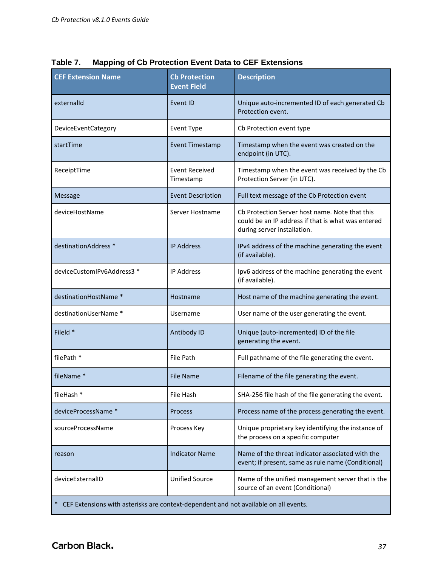| <b>CEF Extension Name</b>                                                            | <b>Cb Protection</b><br><b>Event Field</b> | <b>Description</b>                                                                                                                  |  |  |
|--------------------------------------------------------------------------------------|--------------------------------------------|-------------------------------------------------------------------------------------------------------------------------------------|--|--|
| externalid                                                                           | Event ID                                   | Unique auto-incremented ID of each generated Cb<br>Protection event.                                                                |  |  |
| DeviceEventCategory                                                                  | Event Type                                 | Cb Protection event type                                                                                                            |  |  |
| startTime                                                                            | <b>Event Timestamp</b>                     | Timestamp when the event was created on the<br>endpoint (in UTC).                                                                   |  |  |
| ReceiptTime                                                                          | <b>Event Received</b><br>Timestamp         | Timestamp when the event was received by the Cb<br>Protection Server (in UTC).                                                      |  |  |
| Message                                                                              | <b>Event Description</b>                   | Full text message of the Cb Protection event                                                                                        |  |  |
| deviceHostName                                                                       | Server Hostname                            | Cb Protection Server host name. Note that this<br>could be an IP address if that is what was entered<br>during server installation. |  |  |
| destinationAddress *                                                                 | <b>IP Address</b>                          | IPv4 address of the machine generating the event<br>(if available).                                                                 |  |  |
| deviceCustomIPv6Address3 *                                                           | <b>IP Address</b>                          | Ipv6 address of the machine generating the event<br>(if available).                                                                 |  |  |
| destinationHostName *                                                                | Hostname                                   | Host name of the machine generating the event.                                                                                      |  |  |
| destinationUserName *                                                                | Username                                   | User name of the user generating the event.                                                                                         |  |  |
| Fileld *                                                                             | Antibody ID                                | Unique (auto-incremented) ID of the file<br>generating the event.                                                                   |  |  |
| filePath *<br><b>File Path</b>                                                       |                                            | Full pathname of the file generating the event.                                                                                     |  |  |
| fileName *                                                                           | <b>File Name</b>                           | Filename of the file generating the event.                                                                                          |  |  |
| fileHash *                                                                           | File Hash                                  | SHA-256 file hash of the file generating the event.                                                                                 |  |  |
| deviceProcessName *                                                                  | Process                                    | Process name of the process generating the event.                                                                                   |  |  |
| sourceProcessName                                                                    | Process Key                                | Unique proprietary key identifying the instance of<br>the process on a specific computer                                            |  |  |
| reason                                                                               | <b>Indicator Name</b>                      | Name of the threat indicator associated with the<br>event; if present, same as rule name (Conditional)                              |  |  |
| deviceExternalID                                                                     | <b>Unified Source</b>                      | Name of the unified management server that is the<br>source of an event (Conditional)                                               |  |  |
| CEF Extensions with asterisks are context-dependent and not available on all events. |                                            |                                                                                                                                     |  |  |

<span id="page-36-0"></span>**Table 7. Mapping of Cb Protection Event Data to CEF Extensions**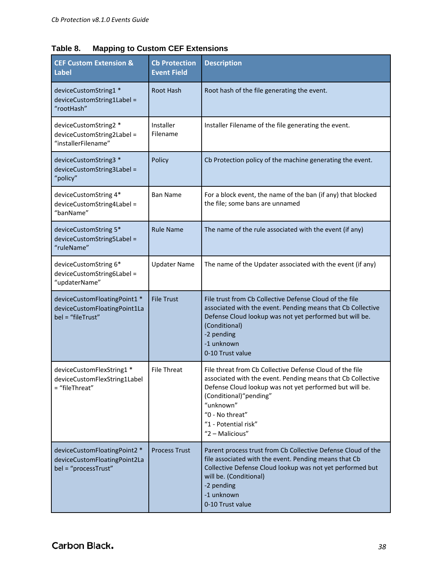<span id="page-37-0"></span>

| Table 8. | <b>Mapping to Custom CEF Extensions</b> |
|----------|-----------------------------------------|
|----------|-----------------------------------------|

| <b>CEF Custom Extension &amp;</b><br><b>Label</b>                                    | <b>Cb Protection</b><br><b>Event Field</b> | <b>Description</b>                                                                                                                                                                                                                                                                      |
|--------------------------------------------------------------------------------------|--------------------------------------------|-----------------------------------------------------------------------------------------------------------------------------------------------------------------------------------------------------------------------------------------------------------------------------------------|
| deviceCustomString1 *<br>deviceCustomString1Label =<br>"rootHash"                    | <b>Root Hash</b>                           | Root hash of the file generating the event.                                                                                                                                                                                                                                             |
| deviceCustomString2 *<br>deviceCustomString2Label =<br>"installerFilename"           | Installer<br>Filename                      | Installer Filename of the file generating the event.                                                                                                                                                                                                                                    |
| deviceCustomString3 *<br>deviceCustomString3Label =<br>"policy"                      | Policy                                     | Cb Protection policy of the machine generating the event.                                                                                                                                                                                                                               |
| deviceCustomString 4*<br>deviceCustomString4Label =<br>"banName"                     | <b>Ban Name</b>                            | For a block event, the name of the ban (if any) that blocked<br>the file; some bans are unnamed                                                                                                                                                                                         |
| deviceCustomString 5*<br>deviceCustomString5Label =<br>"ruleName"                    | <b>Rule Name</b>                           | The name of the rule associated with the event (if any)                                                                                                                                                                                                                                 |
| deviceCustomString 6*<br>deviceCustomString6Label =<br>"updaterName"                 | <b>Updater Name</b>                        | The name of the Updater associated with the event (if any)                                                                                                                                                                                                                              |
| deviceCustomFloatingPoint1 *<br>deviceCustomFloatingPoint1La<br>bel = "fileTrust"    | <b>File Trust</b>                          | File trust from Cb Collective Defense Cloud of the file<br>associated with the event. Pending means that Cb Collective<br>Defense Cloud lookup was not yet performed but will be.<br>(Conditional)<br>-2 pending<br>-1 unknown<br>0-10 Trust value                                      |
| deviceCustomFlexString1 *<br>deviceCustomFlexString1Label<br>= "fileThreat"          | <b>File Threat</b>                         | File threat from Cb Collective Defense Cloud of the file<br>associated with the event. Pending means that Cb Collective<br>Defense Cloud lookup was not yet performed but will be.<br>(Conditional)"pending"<br>"unknown"<br>"0 - No threat"<br>"1 - Potential risk"<br>"2 - Malicious" |
| deviceCustomFloatingPoint2 *<br>deviceCustomFloatingPoint2La<br>bel = "processTrust" | <b>Process Trust</b>                       | Parent process trust from Cb Collective Defense Cloud of the<br>file associated with the event. Pending means that Cb<br>Collective Defense Cloud lookup was not yet performed but<br>will be. (Conditional)<br>-2 pending<br>-1 unknown<br>0-10 Trust value                            |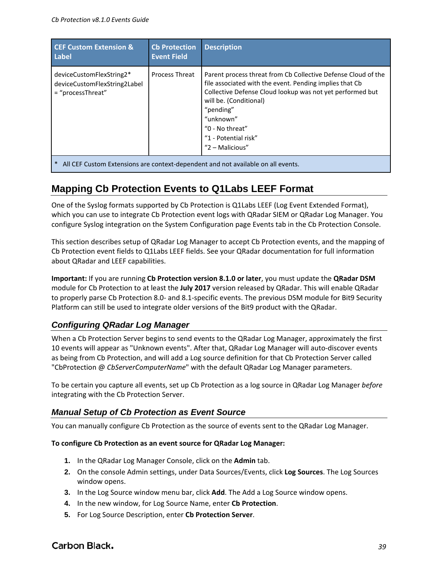| <b>CEF Custom Extension &amp;</b><br><b>Label</b>                                | <b>Cb Protection</b><br><b>Event Field</b> | <b>Description</b>                                                                                                                                                                                                                                                                                      |  |
|----------------------------------------------------------------------------------|--------------------------------------------|---------------------------------------------------------------------------------------------------------------------------------------------------------------------------------------------------------------------------------------------------------------------------------------------------------|--|
| deviceCustomFlexString2*<br>deviceCustomFlexString2Label<br>= "processThreat"    | <b>Process Threat</b>                      | Parent process threat from Cb Collective Defense Cloud of the<br>file associated with the event. Pending implies that Cb<br>Collective Defense Cloud lookup was not yet performed but<br>will be. (Conditional)<br>"pending"<br>"unknown"<br>"0 - No threat"<br>"1 - Potential risk"<br>"2 – Malicious" |  |
| All CEF Custom Extensions are context-dependent and not available on all events. |                                            |                                                                                                                                                                                                                                                                                                         |  |

#### <span id="page-38-0"></span>**Mapping Cb Protection Events to Q1Labs LEEF Format**

One of the Syslog formats supported by Cb Protection is Q1Labs LEEF (Log Event Extended Format), which you can use to integrate Cb Protection event logs with QRadar SIEM or QRadar Log Manager. You configure Syslog integration on the System Configuration page Events tab in the Cb Protection Console.

This section describes setup of QRadar Log Manager to accept Cb Protection events, and the mapping of Cb Protection event fields to Q1Labs LEEF fields. See your QRadar documentation for full information about QRadar and LEEF capabilities.

**Important:** If you are running **Cb Protection version 8.1.0 or later**, you must update the **QRadar DSM** module for Cb Protection to at least the **July 2017** version released by QRadar. This will enable QRadar to properly parse Cb Protection 8.0- and 8.1-specific events. The previous DSM module for Bit9 Security Platform can still be used to integrate older versions of the Bit9 product with the QRadar.

#### <span id="page-38-1"></span>*Configuring QRadar Log Manager*

When a Cb Protection Server begins to send events to the QRadar Log Manager, approximately the first 10 events will appear as "Unknown events". After that, QRadar Log Manager will auto-discover events as being from Cb Protection, and will add a Log source definition for that Cb Protection Server called "CbProtection @ *CbServerComputerName*" with the default QRadar Log Manager parameters.

To be certain you capture all events, set up Cb Protection as a log source in QRadar Log Manager *before*  integrating with the Cb Protection Server.

#### <span id="page-38-2"></span>*Manual Setup of Cb Protection as Event Source*

You can manually configure Cb Protection as the source of events sent to the QRadar Log Manager.

#### **To configure Cb Protection as an event source for QRadar Log Manager:**

- **1.** In the QRadar Log Manager Console, click on the **Admin** tab.
- **2.** On the console Admin settings, under Data Sources/Events, click **Log Sources**. The Log Sources window opens.
- **3.** In the Log Source window menu bar, click **Add**. The Add a Log Source window opens.
- **4.** In the new window, for Log Source Name, enter **Cb Protection**.
- **5.** For Log Source Description, enter **Cb Protection Server**.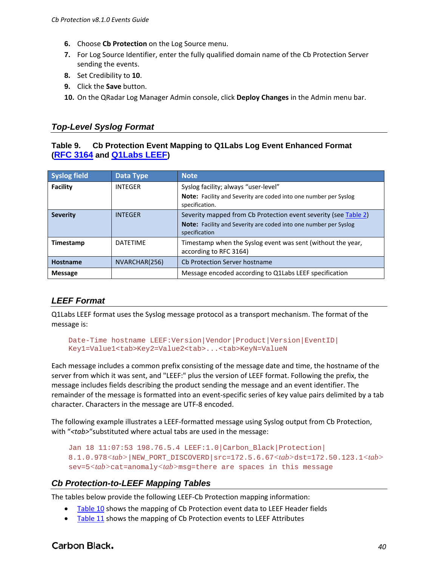- **6.** Choose **Cb Protection** on the Log Source menu.
- **7.** For Log Source Identifier, enter the fully qualified domain name of the Cb Protection Server sending the events.
- **8.** Set Credibility to **10**.
- **9.** Click the **Save** button.
- **10.** On the QRadar Log Manager Admin console, click **Deploy Changes** in the Admin menu bar.

#### <span id="page-39-0"></span>*Top-Level Syslog Format*

#### **Table 9. Cb Protection Event Mapping to Q1Labs Log Event Enhanced Format [\(RFC 3164](http://tools.ietf.org/search/rfc3164) and [Q1Labs LEEF\)](http://q1labs.com/content/press-details/q1-labs-announces-innovative-security-intelligence-partner-program-that-speeds-and-simplifies-security-vendor-integration/99.aspx)**

| Syslog field    | Data Type       | <b>Note</b>                                                                                                                                                 |
|-----------------|-----------------|-------------------------------------------------------------------------------------------------------------------------------------------------------------|
| <b>Facility</b> | <b>INTEGER</b>  | Syslog facility; always "user-level"<br>Note: Facility and Severity are coded into one number per Syslog<br>specification.                                  |
| <b>Severity</b> | <b>INTEGER</b>  | Severity mapped from Cb Protection event severity (see Table 2)<br><b>Note:</b> Facility and Severity are coded into one number per Syslog<br>specification |
| Timestamp       | <b>DATETIME</b> | Timestamp when the Syslog event was sent (without the year,<br>according to RFC 3164)                                                                       |
| <b>Hostname</b> | NVARCHAR(256)   | Cb Protection Server hostname                                                                                                                               |
| <b>Message</b>  |                 | Message encoded according to Q1Labs LEEF specification                                                                                                      |

#### <span id="page-39-1"></span>*LEEF Format*

Q1Labs LEEF format uses the Syslog message protocol as a transport mechanism. The format of the message is:

```
Date-Time hostname LEEF:Version|Vendor|Product|Version|EventID|
Key1=Value1<tab>Key2=Value2<tab>...<tab>KeyN=ValueN
```
Each message includes a common prefix consisting of the message date and time, the hostname of the server from which it was sent, and "LEEF:" plus the version of LEEF format. Following the prefix, the message includes fields describing the product sending the message and an event identifier. The remainder of the message is formatted into an event-specific series of key value pairs delimited by a tab character. Characters in the message are UTF-8 encoded.

The following example illustrates a LEEF-formatted message using Syslog output from Cb Protection, with "*<tab>*"substituted where actual tabs are used in the message:

```
Jan 18 11:07:53 198.76.5.4 LEEF:1.0|Carbon_Black|Protection|
8.1.0.978<tab>|NEW_PORT_DISCOVERD|src=172.5.6.67<tab>dst=172.50.123.1<tab>
sev=5<tab>cat=anomaly<tab>msg=there are spaces in this message
```
#### <span id="page-39-2"></span>*Cb Protection-to-LEEF Mapping Tables*

The tables below provide the following LEEF-Cb Protection mapping information:

- [Table 10](#page-40-0) shows the mapping of Cb Protection event data to LEEF Header fields
- [Table 11](#page-40-1) shows the mapping of Cb Protection events to LEEF Attributes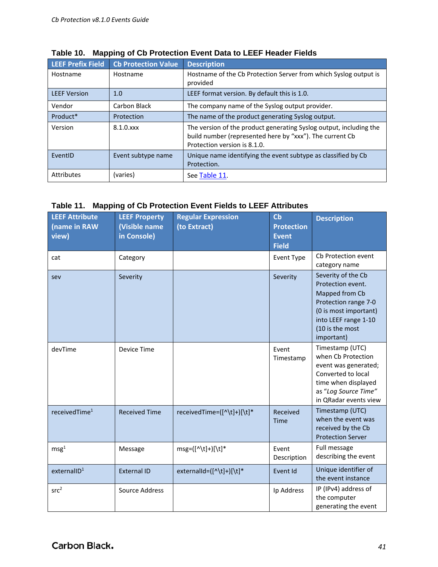| <b>LEEF Prefix Field</b> | <b>Cb Protection Value</b> | <b>Description</b>                                                                                                                                             |
|--------------------------|----------------------------|----------------------------------------------------------------------------------------------------------------------------------------------------------------|
| Hostname                 | Hostname                   | Hostname of the Cb Protection Server from which Syslog output is<br>provided                                                                                   |
| <b>LEEF Version</b>      | 1.0                        | LEEF format version. By default this is 1.0.                                                                                                                   |
| Vendor                   | Carbon Black               | The company name of the Syslog output provider.                                                                                                                |
| Product*                 | Protection                 | The name of the product generating Syslog output.                                                                                                              |
| Version                  | 8.1.0.xxx                  | The version of the product generating Syslog output, including the<br>build number (represented here by "xxx"). The current Cb<br>Protection version is 8.1.0. |
| EventID                  | Event subtype name         | Unique name identifying the event subtype as classified by Cb<br>Protection.                                                                                   |
| Attributes               | (varies)                   | See Table 11.                                                                                                                                                  |

#### <span id="page-40-0"></span>**Table 10. Mapping of Cb Protection Event Data to LEEF Header Fields**

#### <span id="page-40-1"></span>**Table 11. Mapping of Cb Protection Event Fields to LEEF Attributes**

| <b>LEEF Attribute</b><br>(name in RAW<br>view) | <b>LEEF Property</b><br>(Visible name<br>in Console) | <b>Regular Expression</b><br>(to Extract) | $ch$<br><b>Protection</b><br><b>Event</b><br><b>Field</b> | <b>Description</b>                                                                                                                                                  |
|------------------------------------------------|------------------------------------------------------|-------------------------------------------|-----------------------------------------------------------|---------------------------------------------------------------------------------------------------------------------------------------------------------------------|
| cat                                            | Category                                             |                                           | Event Type                                                | Cb Protection event<br>category name                                                                                                                                |
| sev                                            | Severity                                             |                                           | Severity                                                  | Severity of the Cb<br>Protection event.<br>Mapped from Cb<br>Protection range 7-0<br>(0 is most important)<br>into LEEF range 1-10<br>(10 is the most<br>important) |
| devTime                                        | Device Time                                          |                                           | Event<br>Timestamp                                        | Timestamp (UTC)<br>when Cb Protection<br>event was generated;<br>Converted to local<br>time when displayed<br>as "Log Source Time"<br>in QRadar events view         |
| receivedTime <sup>1</sup>                      | <b>Received Time</b>                                 | receivedTime=([^\t]+)[\t]*                | Received<br><b>Time</b>                                   | Timestamp (UTC)<br>when the event was<br>received by the Cb<br><b>Protection Server</b>                                                                             |
| msg <sup>1</sup>                               | Message                                              | $msg=[({^\wedge}\t]+)[\t]^*$              | Event<br>Description                                      | Full message<br>describing the event                                                                                                                                |
| externalID <sup>1</sup>                        | <b>External ID</b>                                   | externalld= $([\wedge \ t]+)[\t]$ *       | Event Id                                                  | Unique identifier of<br>the event instance                                                                                                                          |
| src <sup>2</sup>                               | Source Address                                       |                                           | Ip Address                                                | IP (IPv4) address of<br>the computer<br>generating the event                                                                                                        |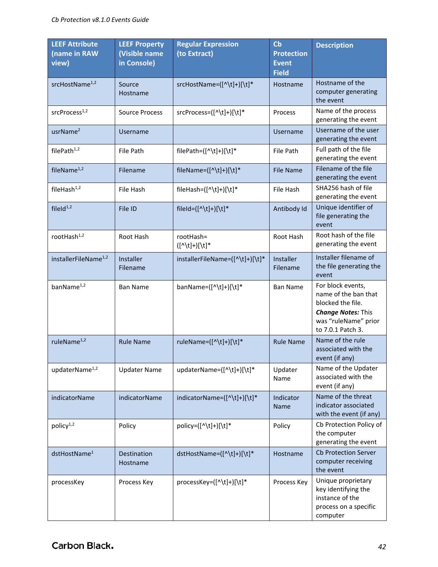| <b>LEEF Attribute</b><br>(name in RAW<br>view) | <b>LEEF Property</b><br><b>(Visible name</b><br>in Console) | <b>Regular Expression</b><br>(to Extract)                       | $ch$<br><b>Protection</b><br><b>Event</b><br><b>Field</b> | <b>Description</b>                                                                                                                       |
|------------------------------------------------|-------------------------------------------------------------|-----------------------------------------------------------------|-----------------------------------------------------------|------------------------------------------------------------------------------------------------------------------------------------------|
| srcHostName <sup>1,2</sup>                     | Source<br>Hostname                                          | srcHostName=([^\t]+)[\t]*                                       | Hostname                                                  | Hostname of the<br>computer generating<br>the event                                                                                      |
| srcProcess <sup>1,2</sup>                      | <b>Source Process</b>                                       | $srcProcess=[({^n \t})[^n \t)]^*$                               | Process                                                   | Name of the process<br>generating the event                                                                                              |
| usrName <sup>2</sup>                           | <b>Username</b>                                             |                                                                 | <b>Username</b>                                           | Username of the user<br>generating the event                                                                                             |
| filePath <sup>1,2</sup>                        | File Path                                                   | filePath=([^\t]+)[\t]*                                          | File Path                                                 | Full path of the file<br>generating the event                                                                                            |
| fileName $1,2$                                 | Filename                                                    | fileName= $([^{\wedge} \setminus t]+)[^{\wedge} \setminus t]^*$ | <b>File Name</b>                                          | Filename of the file<br>generating the event                                                                                             |
| fileHash $1,2$                                 | File Hash                                                   | fileHash= $([\wedge \ t]+)[\t\t\wedge \t]^*$                    | File Hash                                                 | SHA256 hash of file<br>generating the event                                                                                              |
| fileI $d^{1,2}$                                | File ID                                                     | fileId= $([^{\wedge}t]+)[\t]^{*}$                               | Antibody Id                                               | Unique identifier of<br>file generating the<br>event                                                                                     |
| rootHash <sup>1,2</sup>                        | Root Hash                                                   | rootHash=<br>$([^{\wedge}t]+)[\t]^{*}$                          | Root Hash                                                 | Root hash of the file<br>generating the event                                                                                            |
| installerFileName <sup>1,2</sup>               | Installer<br>Filename                                       | installerFileName=([^\t]+)[\t]*                                 | Installer<br>Filename                                     | Installer filename of<br>the file generating the<br>event                                                                                |
| banName <sup>1,2</sup>                         | <b>Ban Name</b>                                             | banName= $([^{\wedge}t]+)[\t]^{*}$                              | <b>Ban Name</b>                                           | For block events,<br>name of the ban that<br>blocked the file.<br><b>Change Notes: This</b><br>was "ruleName" prior<br>to 7.0.1 Patch 3. |
| ruleName <sup>1,2</sup>                        | <b>Rule Name</b>                                            | ruleName=([^\t]+)[\t]*                                          | <b>Rule Name</b>                                          | Name of the rule<br>associated with the<br>event (if any)                                                                                |
| updaterName <sup>1,2</sup>                     | <b>Updater Name</b>                                         | updaterName=([^\t]+)[\t]*                                       | Updater<br>Name                                           | Name of the Updater<br>associated with the<br>event (if any)                                                                             |
| indicatorName                                  | indicatorName                                               | indicatorName=([^\t]+)[\t]*                                     | Indicator<br>Name                                         | Name of the threat<br>indicator associated<br>with the event (if any)                                                                    |
| policy <sup>1,2</sup>                          | Policy                                                      | policy=([^\t]+)[\t]*                                            | Policy                                                    | Cb Protection Policy of<br>the computer<br>generating the event                                                                          |
| dstHostName <sup>1</sup>                       | Destination<br>Hostname                                     | dstHostName=([^\t]+)[\t]*                                       | Hostname                                                  | <b>Cb Protection Server</b><br>computer receiving<br>the event                                                                           |
| processKey                                     | Process Key                                                 | processKey=([^\t]+)[\t]*                                        | Process Key                                               | Unique proprietary<br>key identifying the<br>instance of the<br>process on a specific<br>computer                                        |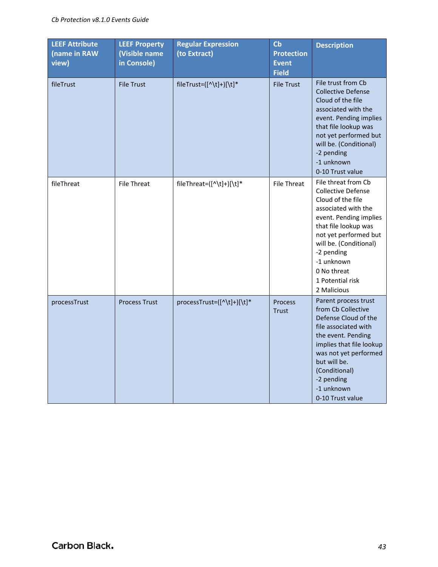#### *Cb Protection v8.1.0 Events Guide*

| <b>LEEF Attribute</b><br>(name in RAW<br>view) | <b>LEEF Property</b><br>(Visible name<br>in Console) | <b>Regular Expression</b><br>(to Extract) | $ch$<br><b>Protection</b><br><b>Event</b><br><b>Field</b> | <b>Description</b>                                                                                                                                                                                                                                                              |
|------------------------------------------------|------------------------------------------------------|-------------------------------------------|-----------------------------------------------------------|---------------------------------------------------------------------------------------------------------------------------------------------------------------------------------------------------------------------------------------------------------------------------------|
| fileTrust                                      | <b>File Trust</b>                                    | fileTrust=([^\t]+)[\t]*                   | <b>File Trust</b>                                         | File trust from Cb<br><b>Collective Defense</b><br>Cloud of the file<br>associated with the<br>event. Pending implies<br>that file lookup was<br>not yet performed but<br>will be. (Conditional)<br>-2 pending<br>-1 unknown<br>0-10 Trust value                                |
| fileThreat                                     | <b>File Threat</b>                                   | fileThreat=([^\t]+)[\t]*                  | <b>File Threat</b>                                        | File threat from Cb<br><b>Collective Defense</b><br>Cloud of the file<br>associated with the<br>event. Pending implies<br>that file lookup was<br>not yet performed but<br>will be. (Conditional)<br>-2 pending<br>-1 unknown<br>0 No threat<br>1 Potential risk<br>2 Malicious |
| processTrust                                   | <b>Process Trust</b>                                 | processTrust=([^\t]+)[\t]*                | <b>Process</b><br><b>Trust</b>                            | Parent process trust<br>from Cb Collective<br>Defense Cloud of the<br>file associated with<br>the event. Pending<br>implies that file lookup<br>was not yet performed<br>but will be.<br>(Conditional)<br>-2 pending<br>-1 unknown<br>0-10 Trust value                          |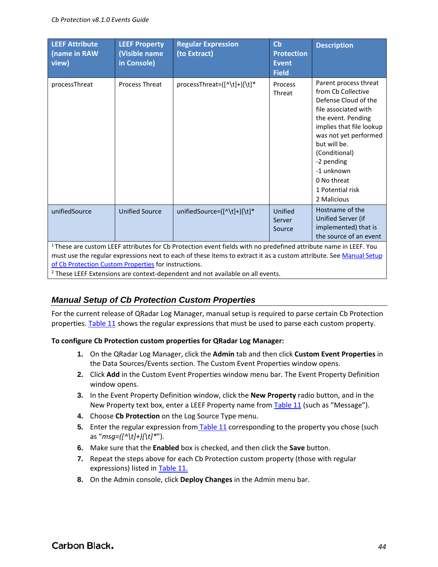| <b>LEEF Attribute</b><br>(name in RAW<br>view)                                                                                                                                                                                                                                                            | <b>LEEF Property</b><br>(Visible name<br>in Console) | <b>Regular Expression</b><br>(to Extract) | $ch$<br><b>Protection</b><br><b>Event</b><br><b>Field</b> | <b>Description</b>                                                                                                                                                                                                                                                                    |
|-----------------------------------------------------------------------------------------------------------------------------------------------------------------------------------------------------------------------------------------------------------------------------------------------------------|------------------------------------------------------|-------------------------------------------|-----------------------------------------------------------|---------------------------------------------------------------------------------------------------------------------------------------------------------------------------------------------------------------------------------------------------------------------------------------|
| processThreat                                                                                                                                                                                                                                                                                             | <b>Process Threat</b>                                | processThreat=([^\t]+)[\t]*               | Process<br>Threat                                         | Parent process threat<br>from Cb Collective<br>Defense Cloud of the<br>file associated with<br>the event. Pending<br>implies that file lookup<br>was not yet performed<br>but will be.<br>(Conditional)<br>-2 pending<br>-1 unknown<br>0 No threat<br>1 Potential risk<br>2 Malicious |
| unifiedSource                                                                                                                                                                                                                                                                                             | <b>Unified Source</b>                                | unifiedSource=([^\t]+)[\t]*               | Unified<br>Server<br>Source                               | Hostname of the<br>Unified Server (if<br>implemented) that is<br>the source of an event                                                                                                                                                                                               |
| <sup>1</sup> These are custom LEEF attributes for Cb Protection event fields with no predefined attribute name in LEEF. You<br>must use the regular expressions next to each of these items to extract it as a custom attribute. See Manual Setup<br>of Cb Protection Custom Properties for instructions. |                                                      |                                           |                                                           |                                                                                                                                                                                                                                                                                       |

<sup>2</sup> These LEEF Extensions are context-dependent and not available on all events.

#### <span id="page-43-0"></span>*Manual Setup of Cb Protection Custom Properties*

For the current release of QRadar Log Manager, manual setup is required to parse certain Cb Protection properties. [Table 11](#page-40-1) shows the regular expressions that must be used to parse each custom property.

#### **To configure Cb Protection custom properties for QRadar Log Manager:**

- **1.** On the QRadar Log Manager, click the **Admin** tab and then click **Custom Event Properties** in the Data Sources/Events section. The Custom Event Properties window opens.
- **2.** Click **Add** in the Custom Event Properties window menu bar. The Event Property Definition window opens.
- **3.** In the Event Property Definition window, click the **New Property** radio button, and in the New Property text box, enter a LEEF Property name from [Table 11](#page-40-1) (such as "Message").
- **4.** Choose **Cb Protection** on the Log Source Type menu.
- **5.** Enter the regular expression from [Table 11](#page-40-1) corresponding to the property you chose (such as "*msg=([^\t]+)[\t]\**").
- **6.** Make sure that the **Enabled** box is checked, and then click the **Save** button.
- **7.** Repeat the steps above for each Cb Protection custom property (those with regular expressions) listed in [Table 11.](#page-40-1)
- **8.** On the Admin console, click **Deploy Changes** in the Admin menu bar.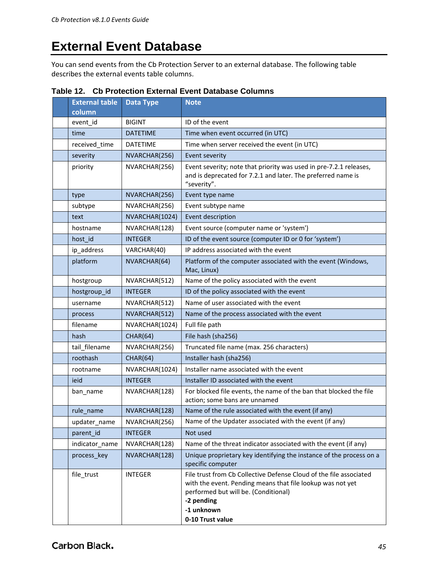# <span id="page-44-0"></span>**External Event Database**

You can send events from the Cb Protection Server to an external database. The following table describes the external events table columns.

| <b>External table</b><br>column | <b>Data Type</b> | <b>Note</b>                                                                                                                                                                                          |
|---------------------------------|------------------|------------------------------------------------------------------------------------------------------------------------------------------------------------------------------------------------------|
| event_id                        | <b>BIGINT</b>    | ID of the event                                                                                                                                                                                      |
| time                            | <b>DATETIME</b>  | Time when event occurred (in UTC)                                                                                                                                                                    |
| received time                   | <b>DATETIME</b>  | Time when server received the event (in UTC)                                                                                                                                                         |
| severity                        | NVARCHAR(256)    | Event severity                                                                                                                                                                                       |
| priority                        | NVARCHAR(256)    | Event severity; note that priority was used in pre-7.2.1 releases,<br>and is deprecated for 7.2.1 and later. The preferred name is<br>"severity".                                                    |
| type                            | NVARCHAR(256)    | Event type name                                                                                                                                                                                      |
| subtype                         | NVARCHAR(256)    | Event subtype name                                                                                                                                                                                   |
| text                            | NVARCHAR(1024)   | Event description                                                                                                                                                                                    |
| hostname                        | NVARCHAR(128)    | Event source (computer name or 'system')                                                                                                                                                             |
| host_id                         | <b>INTEGER</b>   | ID of the event source (computer ID or 0 for 'system')                                                                                                                                               |
| ip_address                      | VARCHAR(40)      | IP address associated with the event                                                                                                                                                                 |
| platform                        | NVARCHAR(64)     | Platform of the computer associated with the event (Windows,<br>Mac, Linux)                                                                                                                          |
| hostgroup                       | NVARCHAR(512)    | Name of the policy associated with the event                                                                                                                                                         |
| hostgroup id                    | <b>INTEGER</b>   | ID of the policy associated with the event                                                                                                                                                           |
| username                        | NVARCHAR(512)    | Name of user associated with the event                                                                                                                                                               |
| process                         | NVARCHAR(512)    | Name of the process associated with the event                                                                                                                                                        |
| filename                        | NVARCHAR(1024)   | Full file path                                                                                                                                                                                       |
| hash                            | CHAR(64)         | File hash (sha256)                                                                                                                                                                                   |
| tail filename                   | NVARCHAR(256)    | Truncated file name (max. 256 characters)                                                                                                                                                            |
| roothash                        | CHAR(64)         | Installer hash (sha256)                                                                                                                                                                              |
| rootname                        | NVARCHAR(1024)   | Installer name associated with the event                                                                                                                                                             |
| ieid                            | <b>INTEGER</b>   | Installer ID associated with the event                                                                                                                                                               |
| ban_name                        | NVARCHAR(128)    | For blocked file events, the name of the ban that blocked the file<br>action; some bans are unnamed                                                                                                  |
| rule_name                       | NVARCHAR(128)    | Name of the rule associated with the event (if any)                                                                                                                                                  |
| updater name                    | NVARCHAR(256)    | Name of the Updater associated with the event (if any)                                                                                                                                               |
| parent_id                       | <b>INTEGER</b>   | Not used                                                                                                                                                                                             |
| indicator name                  | NVARCHAR(128)    | Name of the threat indicator associated with the event (if any)                                                                                                                                      |
| process_key                     | NVARCHAR(128)    | Unique proprietary key identifying the instance of the process on a<br>specific computer                                                                                                             |
| file_trust                      | <b>INTEGER</b>   | File trust from Cb Collective Defense Cloud of the file associated<br>with the event. Pending means that file lookup was not yet<br>performed but will be. (Conditional)<br>-2 pending<br>-1 unknown |
|                                 |                  | 0-10 Trust value                                                                                                                                                                                     |

#### **Table 12. Cb Protection External Event Database Columns**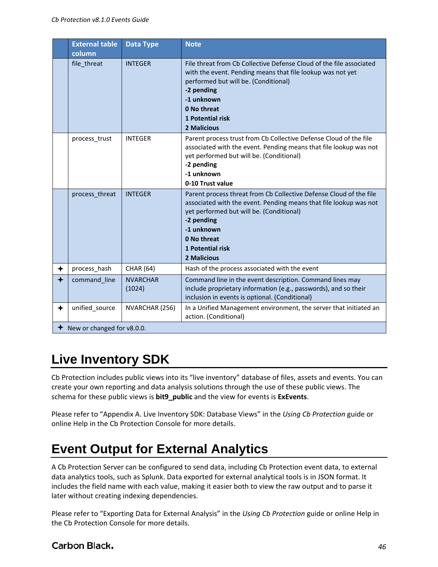|   | <b>External table</b><br>column | <b>Data Type</b>          | <b>Note</b>                                                                                                                                                                                                                                                       |  |
|---|---------------------------------|---------------------------|-------------------------------------------------------------------------------------------------------------------------------------------------------------------------------------------------------------------------------------------------------------------|--|
|   | file threat                     | <b>INTEGER</b>            | File threat from Cb Collective Defense Cloud of the file associated<br>with the event. Pending means that file lookup was not yet<br>performed but will be. (Conditional)<br>-2 pending<br>-1 unknown<br>0 No threat<br>1 Potential risk<br>2 Malicious           |  |
|   | process_trust                   | <b>INTEGER</b>            | Parent process trust from Cb Collective Defense Cloud of the file<br>associated with the event. Pending means that file lookup was not<br>yet performed but will be. (Conditional)<br>-2 pending<br>-1 unknown<br>0-10 Trust value                                |  |
|   | process_threat                  | <b>INTEGER</b>            | Parent process threat from Cb Collective Defense Cloud of the file<br>associated with the event. Pending means that file lookup was not<br>yet performed but will be. (Conditional)<br>-2 pending<br>-1 unknown<br>0 No threat<br>1 Potential risk<br>2 Malicious |  |
|   | process_hash                    | <b>CHAR (64)</b>          | Hash of the process associated with the event                                                                                                                                                                                                                     |  |
|   | command line                    | <b>NVARCHAR</b><br>(1024) | Command line in the event description. Command lines may<br>include proprietary information (e.g., passwords), and so their<br>inclusion in events is optional. (Conditional)                                                                                     |  |
| ✦ | unified_source                  | NVARCHAR (256)            | In a Unified Management environment, the server that initiated an<br>action. (Conditional)                                                                                                                                                                        |  |
|   | New or changed for v8.0.0.      |                           |                                                                                                                                                                                                                                                                   |  |

# <span id="page-45-0"></span>**Live Inventory SDK**

Cb Protection includes public views into its "live inventory" database of files, assets and events. You can create your own reporting and data analysis solutions through the use of these public views. The schema for these public views is **bit9\_public** and the view for events is **ExEvents**.

Please refer to "Appendix A. Live Inventory SDK: Database Views" in the *Using Cb Protection* guide or online Help in the Cb Protection Console for more details.

# <span id="page-45-1"></span>**Event Output for External Analytics**

A Cb Protection Server can be configured to send data, including Cb Protection event data, to external data analytics tools, such as Splunk. Data exported for external analytical tools is in JSON format. It includes the field name with each value, making it easier both to view the raw output and to parse it later without creating indexing dependencies.

Please refer to "Exporting Data for External Analysis" in the *Using Cb Protection* guide or online Help in the Cb Protection Console for more details.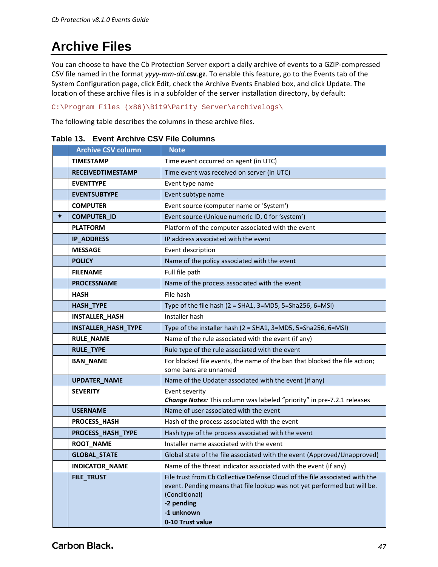# <span id="page-46-0"></span>**Archive Files**

You can choose to have the Cb Protection Server export a daily archive of events to a GZIP-compressed CSV file named in the format *yyyy-mm-dd.***csv**.**gz**. To enable this feature, go to the Events tab of the System Configuration page, click Edit, check the Archive Events Enabled box, and click Update. The location of these archive files is in a subfolder of the server installation directory, by default:

C:\Program Files (x86)\Bit9\Parity Server\archivelogs\

The following table describes the columns in these archive files.

|   | <b>Archive CSV column</b> | <b>Note</b>                                                                                                                                                                                          |
|---|---------------------------|------------------------------------------------------------------------------------------------------------------------------------------------------------------------------------------------------|
|   | <b>TIMESTAMP</b>          | Time event occurred on agent (in UTC)                                                                                                                                                                |
|   | <b>RECEIVEDTIMESTAMP</b>  | Time event was received on server (in UTC)                                                                                                                                                           |
|   | <b>EVENTTYPE</b>          | Event type name                                                                                                                                                                                      |
|   | <b>EVENTSUBTYPE</b>       | Event subtype name                                                                                                                                                                                   |
|   | <b>COMPUTER</b>           | Event source (computer name or 'System')                                                                                                                                                             |
| ✦ | <b>COMPUTER_ID</b>        | Event source (Unique numeric ID, 0 for 'system')                                                                                                                                                     |
|   | <b>PLATFORM</b>           | Platform of the computer associated with the event                                                                                                                                                   |
|   | <b>IP_ADDRESS</b>         | IP address associated with the event                                                                                                                                                                 |
|   | <b>MESSAGE</b>            | Event description                                                                                                                                                                                    |
|   | <b>POLICY</b>             | Name of the policy associated with the event                                                                                                                                                         |
|   | <b>FILENAME</b>           | Full file path                                                                                                                                                                                       |
|   | <b>PROCESSNAME</b>        | Name of the process associated with the event                                                                                                                                                        |
|   | <b>HASH</b>               | File hash                                                                                                                                                                                            |
|   | HASH_TYPE                 | Type of the file hash (2 = SHA1, 3=MD5, 5=Sha256, 6=MSI)                                                                                                                                             |
|   | <b>INSTALLER_HASH</b>     | Installer hash                                                                                                                                                                                       |
|   | INSTALLER_HASH_TYPE       | Type of the installer hash ( $2 = SHA1$ , $3 = MD5$ , $5 = Sha256$ , $6 = MSI$ )                                                                                                                     |
|   | <b>RULE_NAME</b>          | Name of the rule associated with the event (if any)                                                                                                                                                  |
|   | <b>RULE_TYPE</b>          | Rule type of the rule associated with the event                                                                                                                                                      |
|   | <b>BAN_NAME</b>           | For blocked file events, the name of the ban that blocked the file action;<br>some bans are unnamed                                                                                                  |
|   | <b>UPDATER_NAME</b>       | Name of the Updater associated with the event (if any)                                                                                                                                               |
|   | <b>SEVERITY</b>           | Event severity                                                                                                                                                                                       |
|   |                           | Change Notes: This column was labeled "priority" in pre-7.2.1 releases                                                                                                                               |
|   | <b>USERNAME</b>           | Name of user associated with the event                                                                                                                                                               |
|   | <b>PROCESS_HASH</b>       | Hash of the process associated with the event                                                                                                                                                        |
|   | PROCESS_HASH_TYPE         | Hash type of the process associated with the event                                                                                                                                                   |
|   | ROOT_NAME                 | Installer name associated with the event                                                                                                                                                             |
|   | <b>GLOBAL_STATE</b>       | Global state of the file associated with the event (Approved/Unapproved)                                                                                                                             |
|   | INDICATOR_NAME            | Name of the threat indicator associated with the event (if any)                                                                                                                                      |
|   | <b>FILE TRUST</b>         | File trust from Cb Collective Defense Cloud of the file associated with the<br>event. Pending means that file lookup was not yet performed but will be.<br>(Conditional)<br>-2 pending<br>-1 unknown |
|   |                           | 0-10 Trust value                                                                                                                                                                                     |

#### **Table 13. Event Archive CSV File Columns**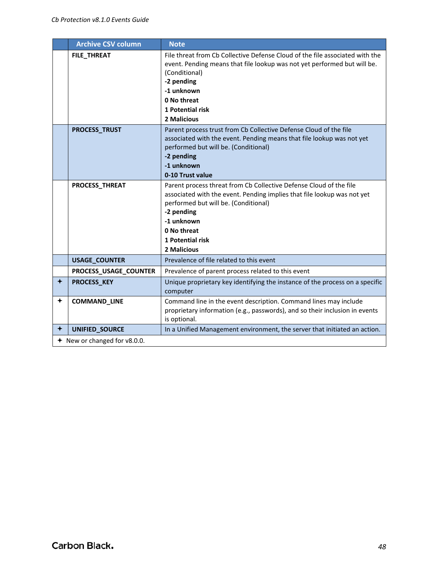|   | <b>Archive CSV column</b>         | <b>Note</b>                                                                                                                                                                                                                                                         |  |  |
|---|-----------------------------------|---------------------------------------------------------------------------------------------------------------------------------------------------------------------------------------------------------------------------------------------------------------------|--|--|
|   | FILE_THREAT                       | File threat from Cb Collective Defense Cloud of the file associated with the<br>event. Pending means that file lookup was not yet performed but will be.<br>(Conditional)<br>-2 pending<br>-1 unknown<br>0 No threat<br>1 Potential risk<br>2 Malicious             |  |  |
|   | <b>PROCESS_TRUST</b>              | Parent process trust from Cb Collective Defense Cloud of the file<br>associated with the event. Pending means that file lookup was not yet<br>performed but will be. (Conditional)<br>-2 pending<br>-1 unknown<br>0-10 Trust value                                  |  |  |
|   | PROCESS_THREAT                    | Parent process threat from Cb Collective Defense Cloud of the file<br>associated with the event. Pending implies that file lookup was not yet<br>performed but will be. (Conditional)<br>-2 pending<br>-1 unknown<br>0 No threat<br>1 Potential risk<br>2 Malicious |  |  |
|   | <b>USAGE_COUNTER</b>              | Prevalence of file related to this event                                                                                                                                                                                                                            |  |  |
|   | PROCESS_USAGE_COUNTER             | Prevalence of parent process related to this event                                                                                                                                                                                                                  |  |  |
| ✦ | PROCESS_KEY                       | Unique proprietary key identifying the instance of the process on a specific<br>computer                                                                                                                                                                            |  |  |
| ✦ | <b>COMMAND_LINE</b>               | Command line in the event description. Command lines may include<br>proprietary information (e.g., passwords), and so their inclusion in events<br>is optional.                                                                                                     |  |  |
| ✦ | UNIFIED_SOURCE                    | In a Unified Management environment, the server that initiated an action.                                                                                                                                                                                           |  |  |
|   | $\div$ New or changed for v8.0.0. |                                                                                                                                                                                                                                                                     |  |  |